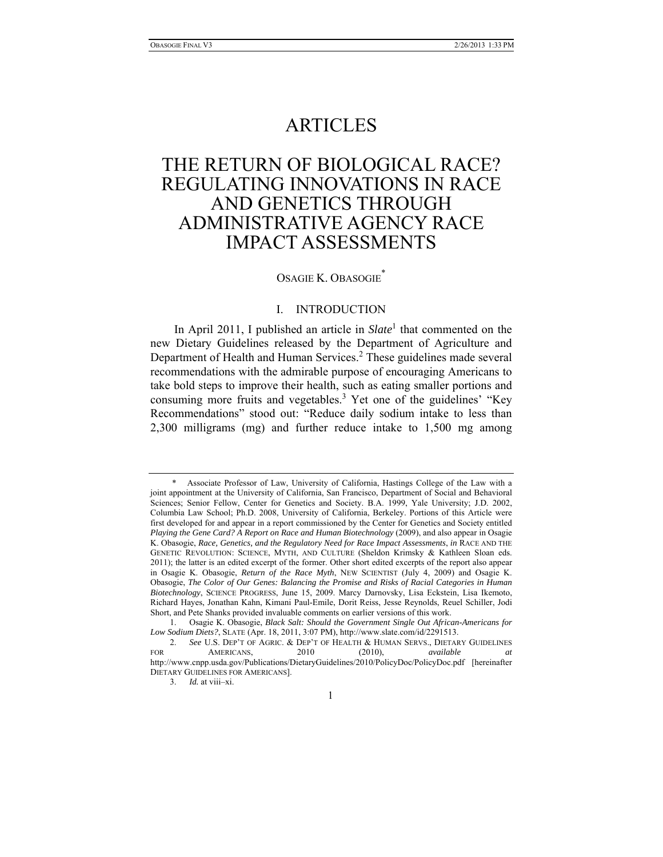# ARTICLES

# THE RETURN OF BIOLOGICAL RACE? REGULATING INNOVATIONS IN RACE AND GENETICS THROUGH ADMINISTRATIVE AGENCY RACE IMPACT ASSESSMENTS

# OSAGIE K. OBASOGIE\*

# I. INTRODUCTION

In April 2011, I published an article in *Slate*<sup>1</sup> that commented on the new Dietary Guidelines released by the Department of Agriculture and Department of Health and Human Services.<sup>2</sup> These guidelines made several recommendations with the admirable purpose of encouraging Americans to take bold steps to improve their health, such as eating smaller portions and consuming more fruits and vegetables.<sup>3</sup> Yet one of the guidelines' "Key Recommendations" stood out: "Reduce daily sodium intake to less than 2,300 milligrams (mg) and further reduce intake to 1,500 mg among

Associate Professor of Law, University of California, Hastings College of the Law with a joint appointment at the University of California, San Francisco, Department of Social and Behavioral Sciences; Senior Fellow, Center for Genetics and Society. B.A. 1999, Yale University; J.D. 2002, Columbia Law School; Ph.D. 2008, University of California, Berkeley. Portions of this Article were first developed for and appear in a report commissioned by the Center for Genetics and Society entitled *Playing the Gene Card? A Report on Race and Human Biotechnology* (2009), and also appear in Osagie K. Obasogie, *Race, Genetics, and the Regulatory Need for Race Impact Assessments*, *in* RACE AND THE GENETIC REVOLUTION: SCIENCE, MYTH, AND CULTURE (Sheldon Krimsky & Kathleen Sloan eds. 2011); the latter is an edited excerpt of the former. Other short edited excerpts of the report also appear in Osagie K. Obasogie, *Return of the Race Myth*, NEW SCIENTIST (July 4, 2009) and Osagie K. Obasogie, *The Color of Our Genes: Balancing the Promise and Risks of Racial Categories in Human Biotechnology*, SCIENCE PROGRESS, June 15, 2009. Marcy Darnovsky, Lisa Eckstein, Lisa Ikemoto, Richard Hayes, Jonathan Kahn, Kimani Paul-Emile, Dorit Reiss, Jesse Reynolds, Reuel Schiller, Jodi Short, and Pete Shanks provided invaluable comments on earlier versions of this work.

<sup>1.</sup> Osagie K. Obasogie, *Black Salt: Should the Government Single Out African-Americans for Low Sodium Diets?*, SLATE (Apr. 18, 2011, 3:07 PM), http://www.slate.com/id/2291513.

<sup>2.</sup> *See U.S. DEP'T OF AGRIC. & DEP'T OF HEALTH & HUMAN SERVS., DIETARY GUIDELINES*<br>AMERICANS. 2010 (2010). *available at* FOR AMERICANS, 2010 (2010), *available at* http://www.cnpp.usda.gov/Publications/DietaryGuidelines/2010/PolicyDoc/PolicyDoc.pdf [hereinafter DIETARY GUIDELINES FOR AMERICANS].

<sup>3.</sup> *Id.* at viii–xi.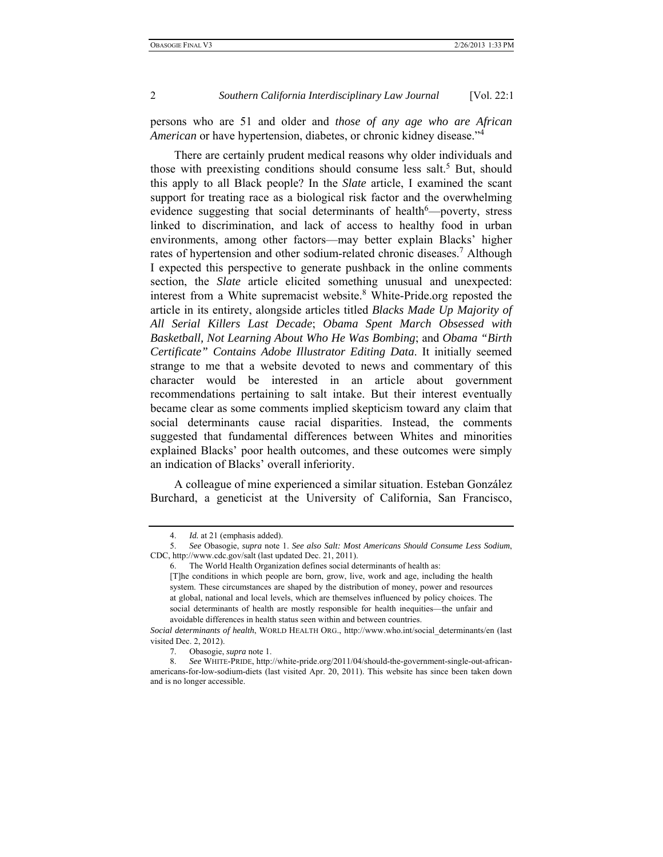persons who are 51 and older and *those of any age who are African American* or have hypertension, diabetes, or chronic kidney disease."<sup>4</sup>

There are certainly prudent medical reasons why older individuals and those with preexisting conditions should consume less salt.<sup>5</sup> But, should this apply to all Black people? In the *Slate* article, I examined the scant support for treating race as a biological risk factor and the overwhelming evidence suggesting that social determinants of health<sup>6</sup>—poverty, stress linked to discrimination, and lack of access to healthy food in urban environments, among other factors—may better explain Blacks' higher rates of hypertension and other sodium-related chronic diseases.<sup>7</sup> Although I expected this perspective to generate pushback in the online comments section, the *Slate* article elicited something unusual and unexpected: interest from a White supremacist website.<sup>8</sup> White-Pride.org reposted the article in its entirety, alongside articles titled *Blacks Made Up Majority of All Serial Killers Last Decade*; *Obama Spent March Obsessed with Basketball, Not Learning About Who He Was Bombing*; and *Obama "Birth Certificate" Contains Adobe Illustrator Editing Data*. It initially seemed strange to me that a website devoted to news and commentary of this character would be interested in an article about government recommendations pertaining to salt intake. But their interest eventually became clear as some comments implied skepticism toward any claim that social determinants cause racial disparities. Instead, the comments suggested that fundamental differences between Whites and minorities explained Blacks' poor health outcomes, and these outcomes were simply an indication of Blacks' overall inferiority.

A colleague of mine experienced a similar situation. Esteban González Burchard, a geneticist at the University of California, San Francisco,

<sup>4.</sup> *Id.* at 21 (emphasis added).

<sup>5.</sup> *See* Obasogie, *supra* note 1. *See also Salt: Most Americans Should Consume Less Sodium*, CDC, http://www.cdc.gov/salt (last updated Dec. 21, 2011).

<sup>6.</sup> The World Health Organization defines social determinants of health as:

<sup>[</sup>T]he conditions in which people are born, grow, live, work and age, including the health system. These circumstances are shaped by the distribution of money, power and resources at global, national and local levels, which are themselves influenced by policy choices. The social determinants of health are mostly responsible for health inequities—the unfair and avoidable differences in health status seen within and between countries.

*Social determinants of health*, WORLD HEALTH ORG., http://www.who.int/social\_determinants/en (last visited Dec. 2, 2012).

<sup>7.</sup> Obasogie, *supra* note 1.

<sup>8.</sup> *See* WHITE-PRIDE, http://white-pride.org/2011/04/should-the-government-single-out-africanamericans-for-low-sodium-diets (last visited Apr. 20, 2011). This website has since been taken down and is no longer accessible.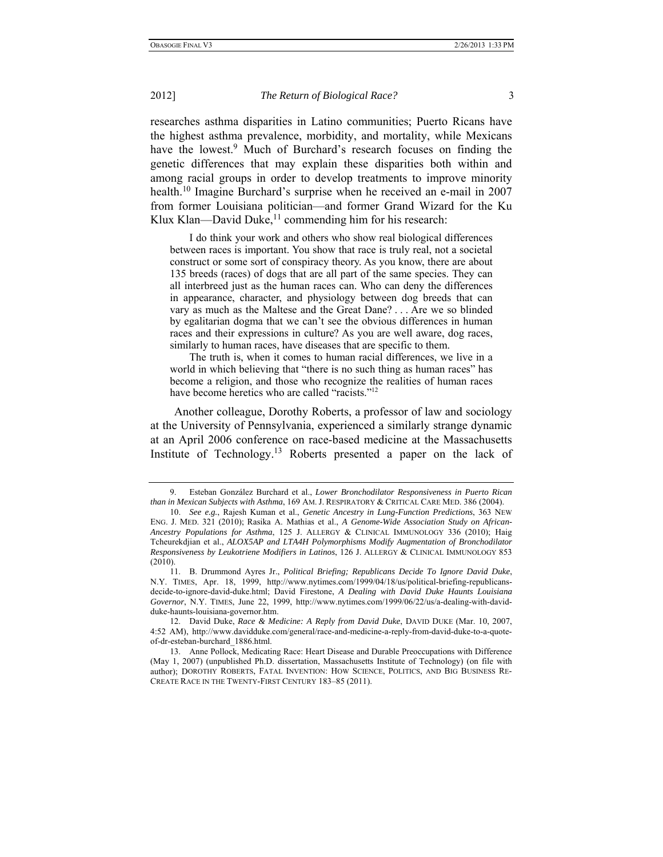researches asthma disparities in Latino communities; Puerto Ricans have the highest asthma prevalence, morbidity, and mortality, while Mexicans have the lowest.<sup>9</sup> Much of Burchard's research focuses on finding the genetic differences that may explain these disparities both within and among racial groups in order to develop treatments to improve minority health.<sup>10</sup> Imagine Burchard's surprise when he received an e-mail in 2007 from former Louisiana politician—and former Grand Wizard for the Ku Klux Klan—David Duke, $<sup>11</sup>$  commending him for his research:</sup>

 I do think your work and others who show real biological differences between races is important. You show that race is truly real, not a societal construct or some sort of conspiracy theory. As you know, there are about 135 breeds (races) of dogs that are all part of the same species. They can all interbreed just as the human races can. Who can deny the differences in appearance, character, and physiology between dog breeds that can vary as much as the Maltese and the Great Dane? . . . Are we so blinded by egalitarian dogma that we can't see the obvious differences in human races and their expressions in culture? As you are well aware, dog races, similarly to human races, have diseases that are specific to them.

 The truth is, when it comes to human racial differences, we live in a world in which believing that "there is no such thing as human races" has become a religion, and those who recognize the realities of human races have become heretics who are called "racists."<sup>12</sup>

Another colleague, Dorothy Roberts, a professor of law and sociology at the University of Pennsylvania, experienced a similarly strange dynamic at an April 2006 conference on race-based medicine at the Massachusetts Institute of Technology.<sup>13</sup> Roberts presented a paper on the lack of

<sup>9.</sup> Esteban González Burchard et al., *Lower Bronchodilator Responsiveness in Puerto Rican than in Mexican Subjects with Asthma*, 169 AM. J. RESPIRATORY & CRITICAL CARE MED. 386 (2004).

<sup>10.</sup> *See e.g.*, Rajesh Kuman et al., *Genetic Ancestry in Lung-Function Predictions*, 363 NEW ENG. J. MED. 321 (2010); Rasika A. Mathias et al., *A Genome-Wide Association Study on African-Ancestry Populations for Asthma*, 125 J. ALLERGY & CLINICAL IMMUNOLOGY 336 (2010); Haig Tcheurekdjian et al., *ALOX5AP and LTA4H Polymorphisms Modify Augmentation of Bronchodilator Responsiveness by Leukotriene Modifiers in Latinos*, 126 J. ALLERGY & CLINICAL IMMUNOLOGY 853 (2010).

<sup>11.</sup> B. Drummond Ayres Jr., *Political Briefing; Republicans Decide To Ignore David Duke*, N.Y. TIMES, Apr. 18, 1999, http://www.nytimes.com/1999/04/18/us/political-briefing-republicansdecide-to-ignore-david-duke.html; David Firestone, *A Dealing with David Duke Haunts Louisiana Governor*, N.Y. TIMES, June 22, 1999, http://www.nytimes.com/1999/06/22/us/a-dealing-with-davidduke-haunts-louisiana-governor.htm.

<sup>12.</sup> David Duke, *Race & Medicine: A Reply from David Duke*, DAVID DUKE (Mar. 10, 2007, 4:52 AM), http://www.davidduke.com/general/race-and-medicine-a-reply-from-david-duke-to-a-quoteof-dr-esteban-burchard\_1886.html.

<sup>13.</sup> Anne Pollock, Medicating Race: Heart Disease and Durable Preoccupations with Difference (May 1, 2007) (unpublished Ph.D. dissertation, Massachusetts Institute of Technology) (on file with author); DOROTHY ROBERTS, FATAL INVENTION: HOW SCIENCE, POLITICS, AND BIG BUSINESS RE-CREATE RACE IN THE TWENTY-FIRST CENTURY 183–85 (2011).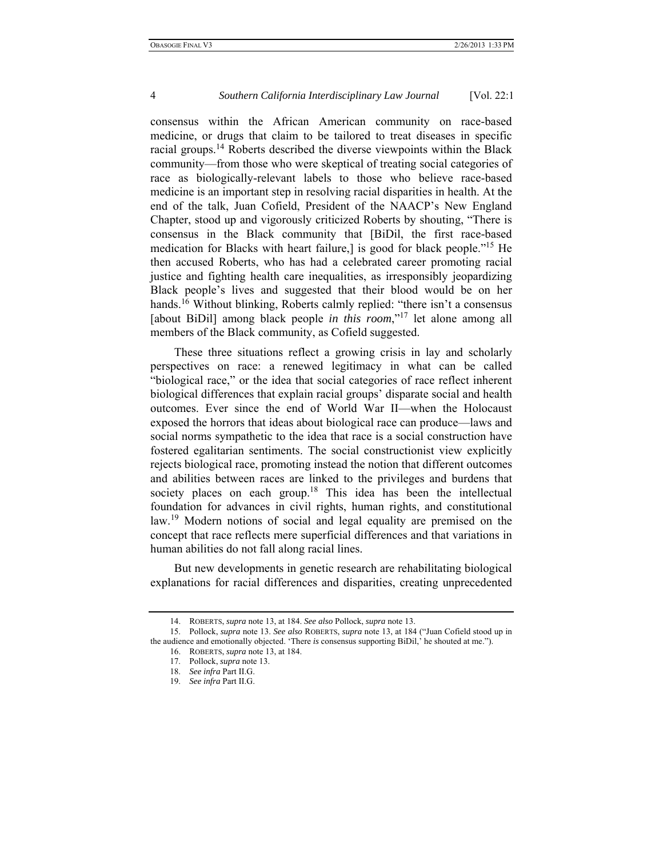consensus within the African American community on race-based medicine, or drugs that claim to be tailored to treat diseases in specific racial groups.14 Roberts described the diverse viewpoints within the Black community—from those who were skeptical of treating social categories of race as biologically-relevant labels to those who believe race-based medicine is an important step in resolving racial disparities in health. At the end of the talk, Juan Cofield, President of the NAACP's New England Chapter, stood up and vigorously criticized Roberts by shouting, "There is consensus in the Black community that [BiDil, the first race-based medication for Blacks with heart failure,] is good for black people."15 He then accused Roberts, who has had a celebrated career promoting racial justice and fighting health care inequalities, as irresponsibly jeopardizing Black people's lives and suggested that their blood would be on her hands.<sup>16</sup> Without blinking, Roberts calmly replied: "there isn't a consensus [about BiDil] among black people *in this room*,"<sup>17</sup> let alone among all members of the Black community, as Cofield suggested.

These three situations reflect a growing crisis in lay and scholarly perspectives on race: a renewed legitimacy in what can be called "biological race," or the idea that social categories of race reflect inherent biological differences that explain racial groups' disparate social and health outcomes. Ever since the end of World War II—when the Holocaust exposed the horrors that ideas about biological race can produce—laws and social norms sympathetic to the idea that race is a social construction have fostered egalitarian sentiments. The social constructionist view explicitly rejects biological race, promoting instead the notion that different outcomes and abilities between races are linked to the privileges and burdens that society places on each group.<sup>18</sup> This idea has been the intellectual foundation for advances in civil rights, human rights, and constitutional law.<sup>19</sup> Modern notions of social and legal equality are premised on the concept that race reflects mere superficial differences and that variations in human abilities do not fall along racial lines.

But new developments in genetic research are rehabilitating biological explanations for racial differences and disparities, creating unprecedented

<sup>14.</sup> ROBERTS, *supra* note 13, at 184. *See also* Pollock, *supra* note 13.

<sup>15.</sup> Pollock, *supra* note 13. *See also* ROBERTS, *supra* note 13, at 184 ("Juan Cofield stood up in the audience and emotionally objected. 'There *is* consensus supporting BiDil,' he shouted at me.").

<sup>16.</sup> ROBERTS, *supra* note 13, at 184. 17. Pollock, *supra* note 13.

<sup>18.</sup> *See infra* Part II.G.

<sup>19.</sup> *See infra* Part II.G.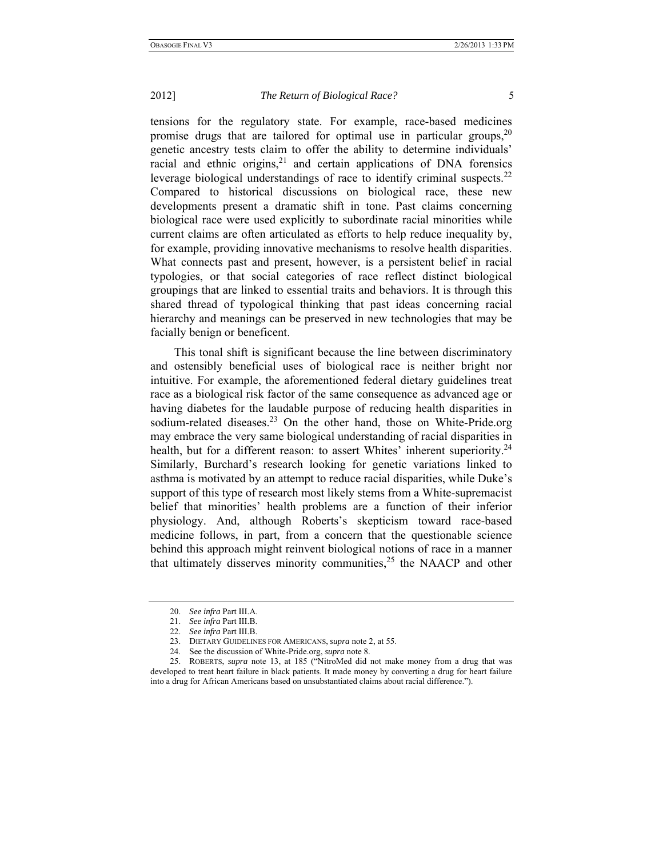tensions for the regulatory state. For example, race-based medicines promise drugs that are tailored for optimal use in particular groups,  $2^0$ genetic ancestry tests claim to offer the ability to determine individuals' racial and ethnic origins,<sup>21</sup> and certain applications of DNA forensics leverage biological understandings of race to identify criminal suspects.<sup>22</sup> Compared to historical discussions on biological race, these new developments present a dramatic shift in tone. Past claims concerning biological race were used explicitly to subordinate racial minorities while current claims are often articulated as efforts to help reduce inequality by, for example, providing innovative mechanisms to resolve health disparities. What connects past and present, however, is a persistent belief in racial typologies, or that social categories of race reflect distinct biological groupings that are linked to essential traits and behaviors. It is through this shared thread of typological thinking that past ideas concerning racial hierarchy and meanings can be preserved in new technologies that may be facially benign or beneficent.

This tonal shift is significant because the line between discriminatory and ostensibly beneficial uses of biological race is neither bright nor intuitive. For example, the aforementioned federal dietary guidelines treat race as a biological risk factor of the same consequence as advanced age or having diabetes for the laudable purpose of reducing health disparities in sodium-related diseases.<sup>23</sup> On the other hand, those on White-Pride.org may embrace the very same biological understanding of racial disparities in health, but for a different reason: to assert Whites' inherent superiority.<sup>24</sup> Similarly, Burchard's research looking for genetic variations linked to asthma is motivated by an attempt to reduce racial disparities, while Duke's support of this type of research most likely stems from a White-supremacist belief that minorities' health problems are a function of their inferior physiology. And, although Roberts's skepticism toward race-based medicine follows, in part, from a concern that the questionable science behind this approach might reinvent biological notions of race in a manner that ultimately disserves minority communities,<sup>25</sup> the NAACP and other

<sup>20.</sup> *See infra* Part III.A.

<sup>21.</sup> *See infra* Part III.B.

<sup>22.</sup> *See infra* Part III.B.

<sup>23.</sup> DIETARY GUIDELINES FOR AMERICANS, *supra* note 2, at 55.

<sup>24.</sup> See the discussion of White-Pride.org, *supra* note 8.

<sup>25.</sup> ROBERTS, *supra* note 13, at 185 ("NitroMed did not make money from a drug that was developed to treat heart failure in black patients. It made money by converting a drug for heart failure into a drug for African Americans based on unsubstantiated claims about racial difference.").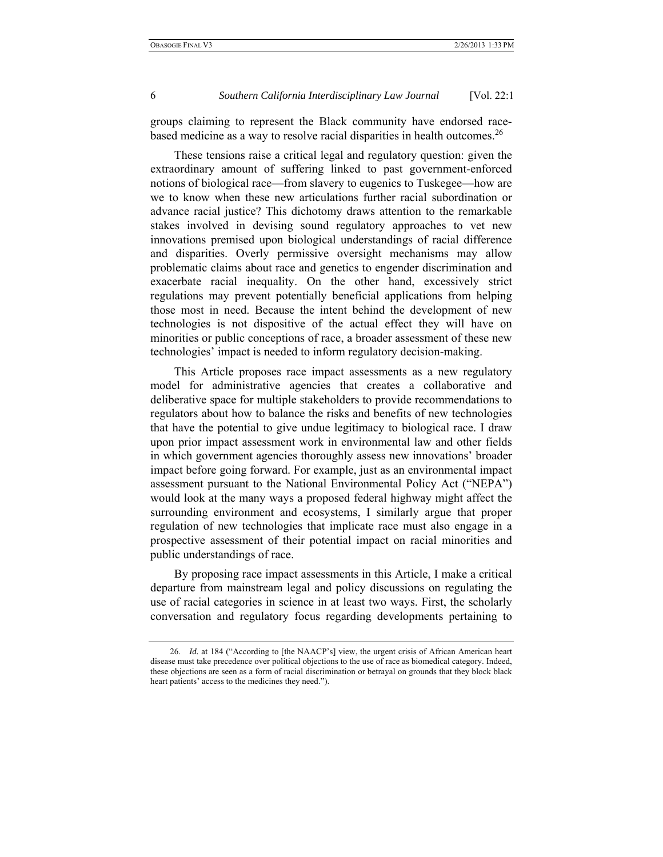groups claiming to represent the Black community have endorsed racebased medicine as a way to resolve racial disparities in health outcomes.<sup>26</sup>

These tensions raise a critical legal and regulatory question: given the extraordinary amount of suffering linked to past government-enforced notions of biological race—from slavery to eugenics to Tuskegee—how are we to know when these new articulations further racial subordination or advance racial justice? This dichotomy draws attention to the remarkable stakes involved in devising sound regulatory approaches to vet new innovations premised upon biological understandings of racial difference and disparities. Overly permissive oversight mechanisms may allow problematic claims about race and genetics to engender discrimination and exacerbate racial inequality. On the other hand, excessively strict regulations may prevent potentially beneficial applications from helping those most in need. Because the intent behind the development of new technologies is not dispositive of the actual effect they will have on minorities or public conceptions of race, a broader assessment of these new technologies' impact is needed to inform regulatory decision-making.

This Article proposes race impact assessments as a new regulatory model for administrative agencies that creates a collaborative and deliberative space for multiple stakeholders to provide recommendations to regulators about how to balance the risks and benefits of new technologies that have the potential to give undue legitimacy to biological race. I draw upon prior impact assessment work in environmental law and other fields in which government agencies thoroughly assess new innovations' broader impact before going forward. For example, just as an environmental impact assessment pursuant to the National Environmental Policy Act ("NEPA") would look at the many ways a proposed federal highway might affect the surrounding environment and ecosystems, I similarly argue that proper regulation of new technologies that implicate race must also engage in a prospective assessment of their potential impact on racial minorities and public understandings of race.

By proposing race impact assessments in this Article, I make a critical departure from mainstream legal and policy discussions on regulating the use of racial categories in science in at least two ways. First, the scholarly conversation and regulatory focus regarding developments pertaining to

<sup>26.</sup> *Id.* at 184 ("According to [the NAACP's] view, the urgent crisis of African American heart disease must take precedence over political objections to the use of race as biomedical category. Indeed, these objections are seen as a form of racial discrimination or betrayal on grounds that they block black heart patients' access to the medicines they need.").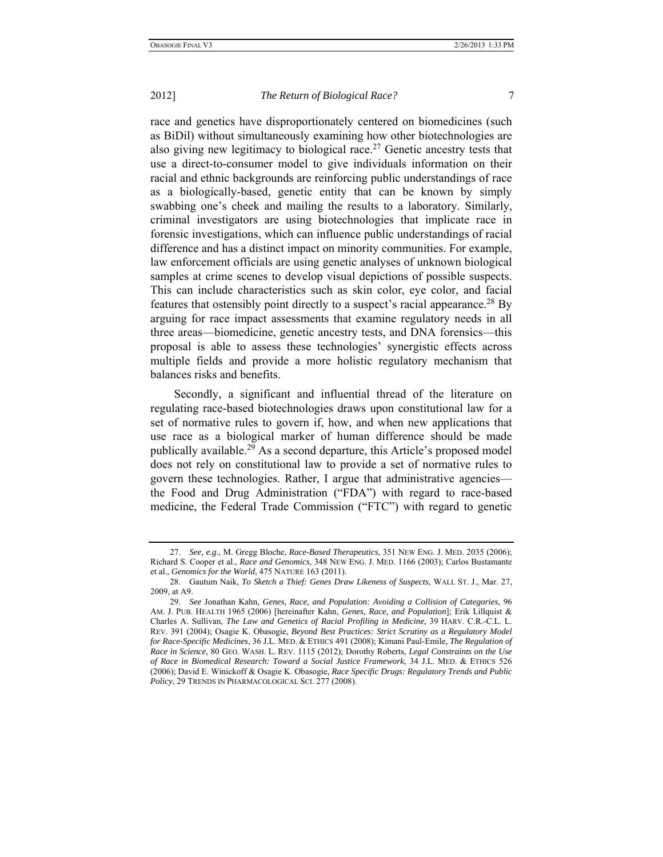race and genetics have disproportionately centered on biomedicines (such as BiDil) without simultaneously examining how other biotechnologies are also giving new legitimacy to biological race.<sup>27</sup> Genetic ancestry tests that use a direct-to-consumer model to give individuals information on their racial and ethnic backgrounds are reinforcing public understandings of race as a biologically-based, genetic entity that can be known by simply swabbing one's cheek and mailing the results to a laboratory. Similarly, criminal investigators are using biotechnologies that implicate race in forensic investigations, which can influence public understandings of racial difference and has a distinct impact on minority communities. For example, law enforcement officials are using genetic analyses of unknown biological samples at crime scenes to develop visual depictions of possible suspects. This can include characteristics such as skin color, eye color, and facial features that ostensibly point directly to a suspect's racial appearance.<sup>28</sup> By arguing for race impact assessments that examine regulatory needs in all three areas—biomedicine, genetic ancestry tests, and DNA forensics—this proposal is able to assess these technologies' synergistic effects across multiple fields and provide a more holistic regulatory mechanism that balances risks and benefits.

Secondly, a significant and influential thread of the literature on regulating race-based biotechnologies draws upon constitutional law for a set of normative rules to govern if, how, and when new applications that use race as a biological marker of human difference should be made publically available.29 As a second departure, this Article's proposed model does not rely on constitutional law to provide a set of normative rules to govern these technologies. Rather, I argue that administrative agencies the Food and Drug Administration ("FDA") with regard to race-based medicine, the Federal Trade Commission ("FTC") with regard to genetic

<sup>27.</sup> *See, e.g*., M. Gregg Bloche, *Race-Based Therapeutics*, 351 NEW ENG. J. MED. 2035 (2006); Richard S. Cooper et al., *Race and Genomics*, 348 NEW ENG. J. MED. 1166 (2003); Carlos Bustamante et al., *Genomics for the World*, 475 NATURE 163 (2011).

<sup>28.</sup> Gautum Naik, *To Sketch a Thief: Genes Draw Likeness of Suspects*, WALL ST. J., Mar. 27, 2009, at A9.

<sup>29.</sup> *See* Jonathan Kahn, *Genes, Race, and Population: Avoiding a Collision of Categories*, 96 AM. J. PUB. HEALTH 1965 (2006) [hereinafter Kahn, *Genes, Race, and Population*]; Erik Lillquist & Charles A. Sullivan, *The Law and Genetics of Racial Profiling in Medicine*, 39 HARV. C.R.-C.L. L. REV. 391 (2004); Osagie K. Obasogie, *Beyond Best Practices: Strict Scrutiny as a Regulatory Model for Race-Specific Medicines*, 36 J.L. MED. & ETHICS 491 (2008); Kimani Paul-Emile, *The Regulation of Race in Science*, 80 GEO. WASH. L. REV. 1115 (2012); Dorothy Roberts, *Legal Constraints on the Use of Race in Biomedical Research: Toward a Social Justice Framework*, 34 J.L. MED. & ETHICS 526 (2006); David E. Winickoff & Osagie K. Obasogie, *Race Specific Drugs: Regulatory Trends and Public Policy*, 29 TRENDS IN PHARMACOLOGICAL SCI. 277 (2008).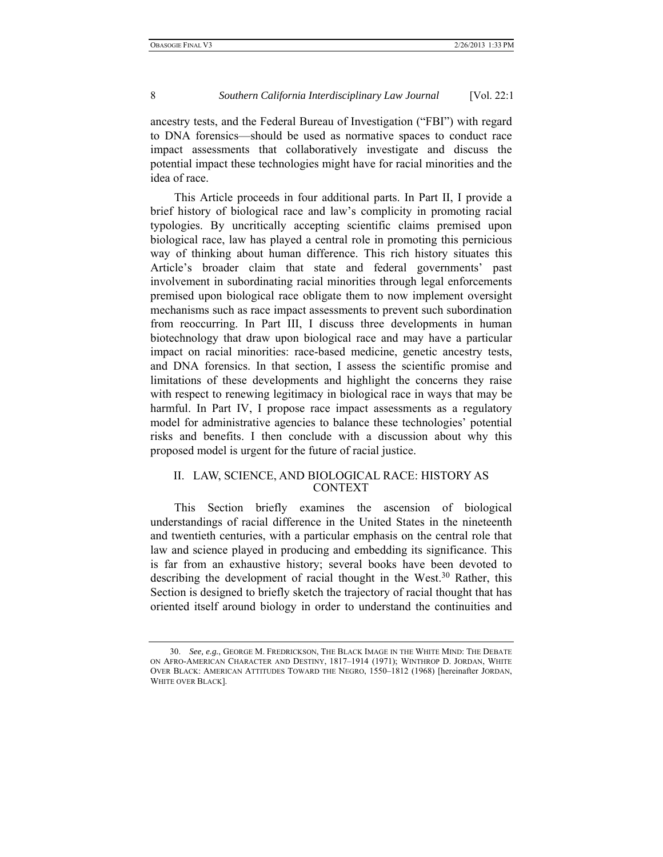ancestry tests, and the Federal Bureau of Investigation ("FBI") with regard to DNA forensics—should be used as normative spaces to conduct race impact assessments that collaboratively investigate and discuss the potential impact these technologies might have for racial minorities and the idea of race.

This Article proceeds in four additional parts. In Part II, I provide a brief history of biological race and law's complicity in promoting racial typologies. By uncritically accepting scientific claims premised upon biological race, law has played a central role in promoting this pernicious way of thinking about human difference. This rich history situates this Article's broader claim that state and federal governments' past involvement in subordinating racial minorities through legal enforcements premised upon biological race obligate them to now implement oversight mechanisms such as race impact assessments to prevent such subordination from reoccurring. In Part III, I discuss three developments in human biotechnology that draw upon biological race and may have a particular impact on racial minorities: race-based medicine, genetic ancestry tests, and DNA forensics. In that section, I assess the scientific promise and limitations of these developments and highlight the concerns they raise with respect to renewing legitimacy in biological race in ways that may be harmful. In Part IV, I propose race impact assessments as a regulatory model for administrative agencies to balance these technologies' potential risks and benefits. I then conclude with a discussion about why this proposed model is urgent for the future of racial justice.

# II. LAW, SCIENCE, AND BIOLOGICAL RACE: HISTORY AS CONTEXT

This Section briefly examines the ascension of biological understandings of racial difference in the United States in the nineteenth and twentieth centuries, with a particular emphasis on the central role that law and science played in producing and embedding its significance. This is far from an exhaustive history; several books have been devoted to describing the development of racial thought in the West.<sup>30</sup> Rather, this Section is designed to briefly sketch the trajectory of racial thought that has oriented itself around biology in order to understand the continuities and

<sup>30.</sup> *See, e.g.*, GEORGE M. FREDRICKSON, THE BLACK IMAGE IN THE WHITE MIND: THE DEBATE ON AFRO-AMERICAN CHARACTER AND DESTINY, 1817–1914 (1971); WINTHROP D. JORDAN, WHITE OVER BLACK: AMERICAN ATTITUDES TOWARD THE NEGRO, 1550–1812 (1968) [hereinafter JORDAN, WHITE OVER BLACK].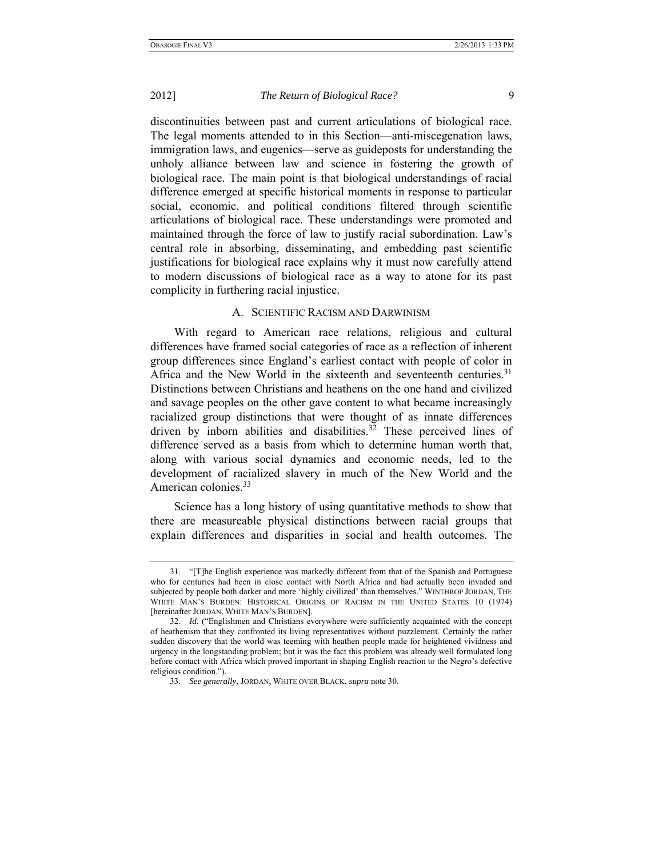discontinuities between past and current articulations of biological race. The legal moments attended to in this Section—anti-miscegenation laws, immigration laws, and eugenics—serve as guideposts for understanding the unholy alliance between law and science in fostering the growth of biological race. The main point is that biological understandings of racial difference emerged at specific historical moments in response to particular social, economic, and political conditions filtered through scientific articulations of biological race. These understandings were promoted and maintained through the force of law to justify racial subordination. Law's central role in absorbing, disseminating, and embedding past scientific justifications for biological race explains why it must now carefully attend to modern discussions of biological race as a way to atone for its past complicity in furthering racial injustice.

#### A. SCIENTIFIC RACISM AND DARWINISM

With regard to American race relations, religious and cultural differences have framed social categories of race as a reflection of inherent group differences since England's earliest contact with people of color in Africa and the New World in the sixteenth and seventeenth centuries.<sup>31</sup> Distinctions between Christians and heathens on the one hand and civilized and savage peoples on the other gave content to what became increasingly racialized group distinctions that were thought of as innate differences driven by inborn abilities and disabilities.<sup>32</sup> These perceived lines of difference served as a basis from which to determine human worth that, along with various social dynamics and economic needs, led to the development of racialized slavery in much of the New World and the American colonies.<sup>33</sup>

Science has a long history of using quantitative methods to show that there are measureable physical distinctions between racial groups that explain differences and disparities in social and health outcomes. The

<sup>31. &</sup>quot;[T]he English experience was markedly different from that of the Spanish and Portuguese who for centuries had been in close contact with North Africa and had actually been invaded and subjected by people both darker and more 'highly civilized' than themselves." WINTHROP JORDAN, THE WHITE MAN'S BURDEN: HISTORICAL ORIGINS OF RACISM IN THE UNITED STATES 10 (1974) [hereinafter JORDAN, WHITE MAN'S BURDEN].

<sup>32.</sup> *Id.* ("Englishmen and Christians everywhere were sufficiently acquainted with the concept of heathenism that they confronted its living representatives without puzzlement. Certainly the rather sudden discovery that the world was teeming with heathen people made for heightened vividness and urgency in the longstanding problem; but it was the fact this problem was already well formulated long before contact with Africa which proved important in shaping English reaction to the Negro's defective religious condition.").

<sup>33.</sup> *See generally,* JORDAN, WHITE OVER BLACK, *supra* note 30.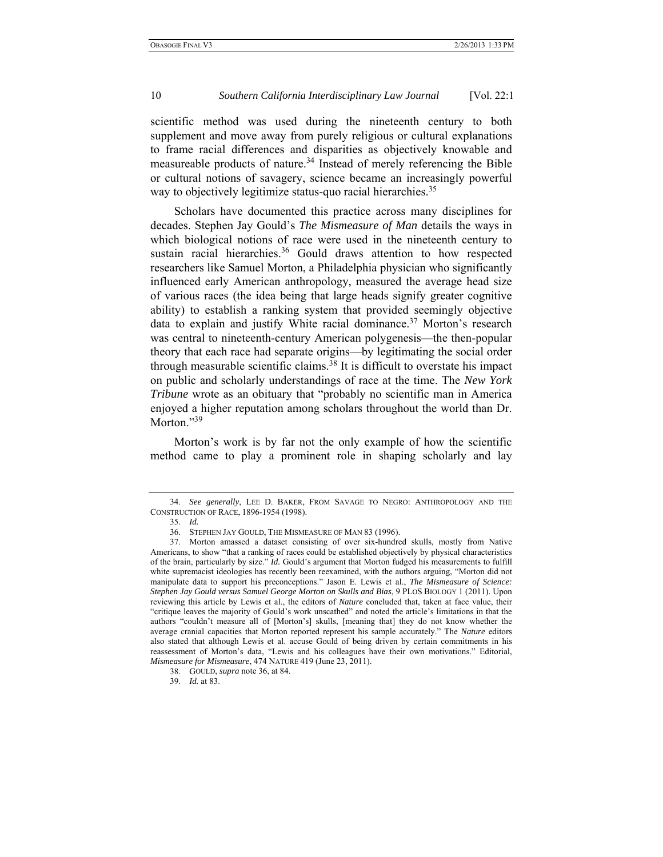scientific method was used during the nineteenth century to both supplement and move away from purely religious or cultural explanations to frame racial differences and disparities as objectively knowable and measureable products of nature.<sup>34</sup> Instead of merely referencing the Bible or cultural notions of savagery, science became an increasingly powerful way to objectively legitimize status-quo racial hierarchies.<sup>35</sup>

Scholars have documented this practice across many disciplines for decades. Stephen Jay Gould's *The Mismeasure of Man* details the ways in which biological notions of race were used in the nineteenth century to sustain racial hierarchies.<sup>36</sup> Gould draws attention to how respected researchers like Samuel Morton, a Philadelphia physician who significantly influenced early American anthropology, measured the average head size of various races (the idea being that large heads signify greater cognitive ability) to establish a ranking system that provided seemingly objective data to explain and justify White racial dominance.<sup>37</sup> Morton's research was central to nineteenth-century American polygenesis—the then-popular theory that each race had separate origins—by legitimating the social order through measurable scientific claims.<sup>38</sup> It is difficult to overstate his impact on public and scholarly understandings of race at the time. The *New York Tribune* wrote as an obituary that "probably no scientific man in America enjoyed a higher reputation among scholars throughout the world than Dr. Morton."39

Morton's work is by far not the only example of how the scientific method came to play a prominent role in shaping scholarly and lay

<sup>34.</sup> *See generally*, LEE D. BAKER, FROM SAVAGE TO NEGRO: ANTHROPOLOGY AND THE CONSTRUCTION OF RACE, 1896-1954 (1998).

<sup>35.</sup> *Id.*

<sup>36.</sup> STEPHEN JAY GOULD, THE MISMEASURE OF MAN 83 (1996).

<sup>37.</sup> Morton amassed a dataset consisting of over six-hundred skulls, mostly from Native Americans, to show "that a ranking of races could be established objectively by physical characteristics of the brain, particularly by size." *Id.* Gould's argument that Morton fudged his measurements to fulfill white supremacist ideologies has recently been reexamined, with the authors arguing, "Morton did not manipulate data to support his preconceptions." Jason E. Lewis et al., *The Mismeasure of Science: Stephen Jay Gould versus Samuel George Morton on Skulls and Bias*, 9 PLOS BIOLOGY 1 (2011). Upon reviewing this article by Lewis et al., the editors of *Nature* concluded that, taken at face value, their "critique leaves the majority of Gould's work unscathed" and noted the article's limitations in that the authors "couldn't measure all of [Morton's] skulls, [meaning that] they do not know whether the average cranial capacities that Morton reported represent his sample accurately." The *Nature* editors also stated that although Lewis et al. accuse Gould of being driven by certain commitments in his reassessment of Morton's data, "Lewis and his colleagues have their own motivations." Editorial, *Mismeasure for Mismeasure*, 474 NATURE 419 (June 23, 2011).

<sup>38.</sup> GOULD, *supra* note 36, at 84.

<sup>39.</sup> *Id.* at 83.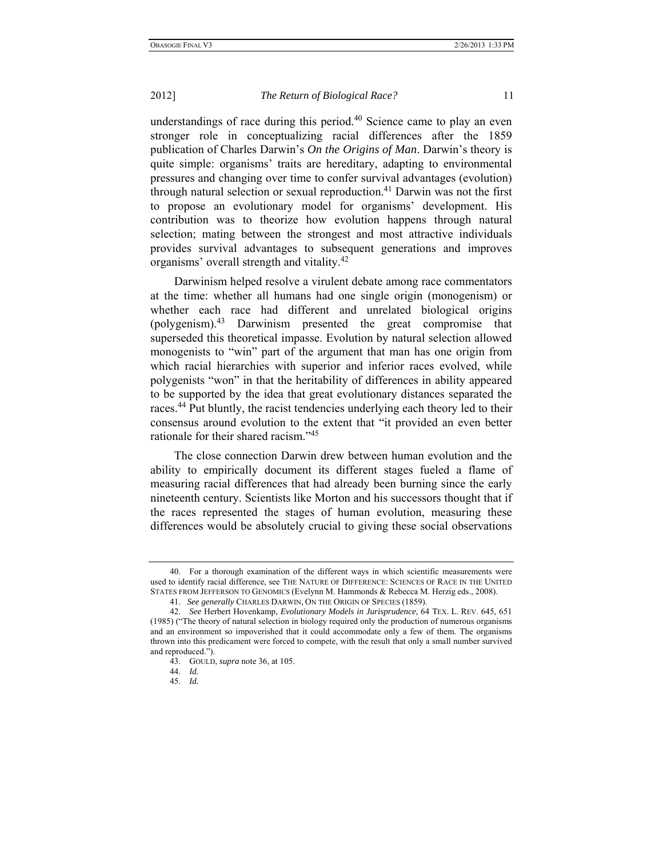understandings of race during this period.<sup>40</sup> Science came to play an even stronger role in conceptualizing racial differences after the 1859 publication of Charles Darwin's *On the Origins of Man*. Darwin's theory is quite simple: organisms' traits are hereditary, adapting to environmental pressures and changing over time to confer survival advantages (evolution) through natural selection or sexual reproduction.<sup>41</sup> Darwin was not the first to propose an evolutionary model for organisms' development. His contribution was to theorize how evolution happens through natural selection; mating between the strongest and most attractive individuals provides survival advantages to subsequent generations and improves organisms' overall strength and vitality.42

Darwinism helped resolve a virulent debate among race commentators at the time: whether all humans had one single origin (monogenism) or whether each race had different and unrelated biological origins (polygenism).43 Darwinism presented the great compromise that superseded this theoretical impasse. Evolution by natural selection allowed monogenists to "win" part of the argument that man has one origin from which racial hierarchies with superior and inferior races evolved, while polygenists "won" in that the heritability of differences in ability appeared to be supported by the idea that great evolutionary distances separated the races.<sup>44</sup> Put bluntly, the racist tendencies underlying each theory led to their consensus around evolution to the extent that "it provided an even better rationale for their shared racism."45

The close connection Darwin drew between human evolution and the ability to empirically document its different stages fueled a flame of measuring racial differences that had already been burning since the early nineteenth century. Scientists like Morton and his successors thought that if the races represented the stages of human evolution, measuring these differences would be absolutely crucial to giving these social observations

<sup>40.</sup> For a thorough examination of the different ways in which scientific measurements were used to identify racial difference, see THE NATURE OF DIFFERENCE: SCIENCES OF RACE IN THE UNITED STATES FROM JEFFERSON TO GENOMICS (Evelynn M. Hammonds & Rebecca M. Herzig eds., 2008).

<sup>41.</sup> *See generally* CHARLES DARWIN, ON THE ORIGIN OF SPECIES (1859).

<sup>42.</sup> *See* Herbert Hovenkamp, *Evolutionary Models in Jurisprudence*, 64 TEX. L. REV. 645, 651 (1985) ("The theory of natural selection in biology required only the production of numerous organisms and an environment so impoverished that it could accommodate only a few of them. The organisms thrown into this predicament were forced to compete, with the result that only a small number survived and reproduced.").

<sup>43.</sup> GOULD, *supra* note 36, at 105.

<sup>44.</sup> *Id.*

<sup>45.</sup> *Id.*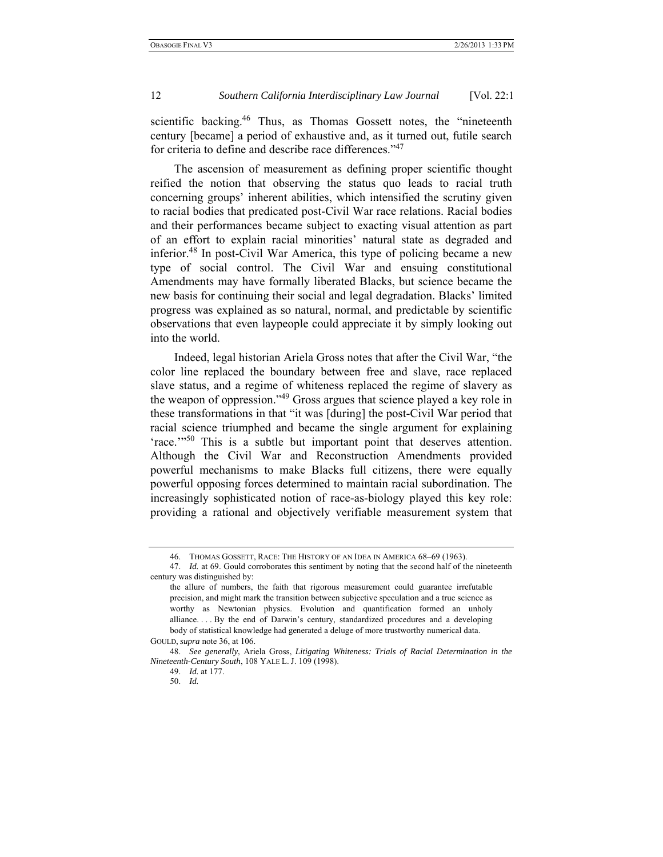scientific backing.<sup>46</sup> Thus, as Thomas Gossett notes, the "nineteenth" century [became] a period of exhaustive and, as it turned out, futile search for criteria to define and describe race differences."47

The ascension of measurement as defining proper scientific thought reified the notion that observing the status quo leads to racial truth concerning groups' inherent abilities, which intensified the scrutiny given to racial bodies that predicated post-Civil War race relations. Racial bodies and their performances became subject to exacting visual attention as part of an effort to explain racial minorities' natural state as degraded and inferior.48 In post-Civil War America, this type of policing became a new type of social control. The Civil War and ensuing constitutional Amendments may have formally liberated Blacks, but science became the new basis for continuing their social and legal degradation. Blacks' limited progress was explained as so natural, normal, and predictable by scientific observations that even laypeople could appreciate it by simply looking out into the world.

Indeed, legal historian Ariela Gross notes that after the Civil War, "the color line replaced the boundary between free and slave, race replaced slave status, and a regime of whiteness replaced the regime of slavery as the weapon of oppression."49 Gross argues that science played a key role in these transformations in that "it was [during] the post-Civil War period that racial science triumphed and became the single argument for explaining 'race.'"50 This is a subtle but important point that deserves attention. Although the Civil War and Reconstruction Amendments provided powerful mechanisms to make Blacks full citizens, there were equally powerful opposing forces determined to maintain racial subordination. The increasingly sophisticated notion of race-as-biology played this key role: providing a rational and objectively verifiable measurement system that

<sup>46.</sup> THOMAS GOSSETT, RACE: THE HISTORY OF AN IDEA IN AMERICA 68–69 (1963).

<sup>47.</sup> *Id.* at 69. Gould corroborates this sentiment by noting that the second half of the nineteenth century was distinguished by:

the allure of numbers, the faith that rigorous measurement could guarantee irrefutable precision, and might mark the transition between subjective speculation and a true science as worthy as Newtonian physics. Evolution and quantification formed an unholy alliance. . . . By the end of Darwin's century, standardized procedures and a developing body of statistical knowledge had generated a deluge of more trustworthy numerical data.

GOULD, *supra* note 36, at 106.

<sup>48.</sup> *See generally*, Ariela Gross, *Litigating Whiteness: Trials of Racial Determination in the Nineteenth-Century South*, 108 YALE L. J. 109 (1998).

<sup>49.</sup> *Id.* at 177.

<sup>50.</sup> *Id.*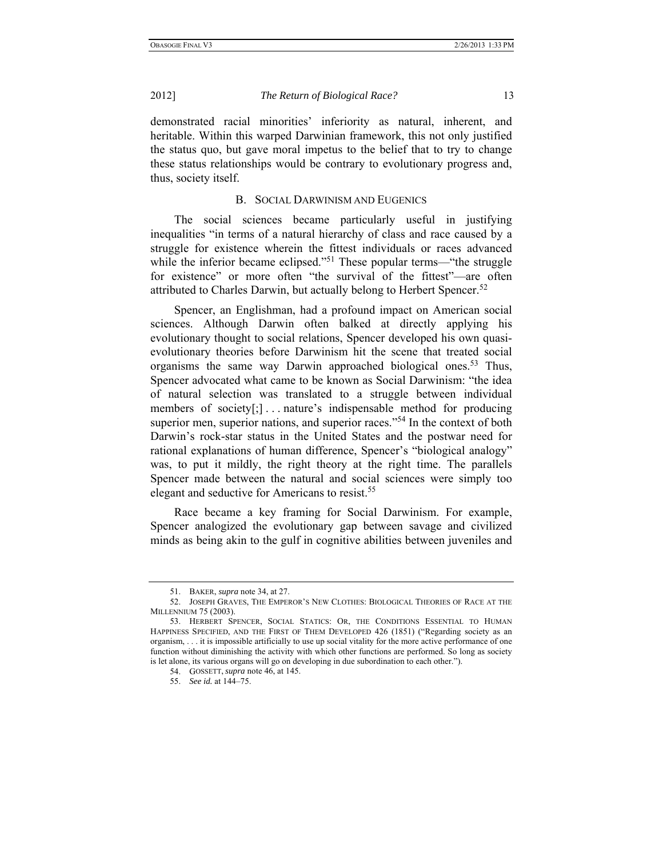demonstrated racial minorities' inferiority as natural, inherent, and heritable. Within this warped Darwinian framework, this not only justified the status quo, but gave moral impetus to the belief that to try to change these status relationships would be contrary to evolutionary progress and, thus, society itself.

#### B. SOCIAL DARWINISM AND EUGENICS

The social sciences became particularly useful in justifying inequalities "in terms of a natural hierarchy of class and race caused by a struggle for existence wherein the fittest individuals or races advanced while the inferior became eclipsed."<sup>51</sup> These popular terms—"the struggle for existence" or more often "the survival of the fittest"—are often attributed to Charles Darwin, but actually belong to Herbert Spencer.<sup>52</sup>

Spencer, an Englishman, had a profound impact on American social sciences. Although Darwin often balked at directly applying his evolutionary thought to social relations, Spencer developed his own quasievolutionary theories before Darwinism hit the scene that treated social organisms the same way Darwin approached biological ones.<sup>53</sup> Thus, Spencer advocated what came to be known as Social Darwinism: "the idea of natural selection was translated to a struggle between individual members of society[;]... nature's indispensable method for producing superior men, superior nations, and superior races."<sup>54</sup> In the context of both Darwin's rock-star status in the United States and the postwar need for rational explanations of human difference, Spencer's "biological analogy" was, to put it mildly, the right theory at the right time. The parallels Spencer made between the natural and social sciences were simply too elegant and seductive for Americans to resist.<sup>55</sup>

Race became a key framing for Social Darwinism. For example, Spencer analogized the evolutionary gap between savage and civilized minds as being akin to the gulf in cognitive abilities between juveniles and

<sup>51.</sup> BAKER, *supra* note 34, at 27.

<sup>52.</sup> JOSEPH GRAVES, THE EMPEROR'S NEW CLOTHES: BIOLOGICAL THEORIES OF RACE AT THE MILLENNIUM 75 (2003).

<sup>53.</sup> HERBERT SPENCER, SOCIAL STATICS: OR, THE CONDITIONS ESSENTIAL TO HUMAN HAPPINESS SPECIFIED, AND THE FIRST OF THEM DEVELOPED 426 (1851) ("Regarding society as an organism, . . . it is impossible artificially to use up social vitality for the more active performance of one function without diminishing the activity with which other functions are performed. So long as society is let alone, its various organs will go on developing in due subordination to each other.").

<sup>54.</sup> GOSSETT, *supra* note 46, at 145.

<sup>55.</sup> *See id.* at 144–75.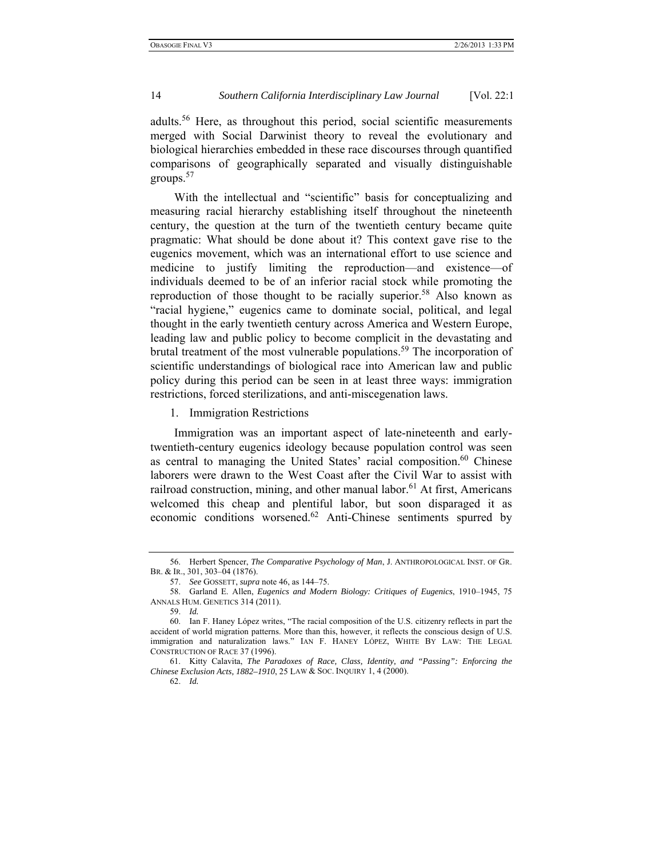adults.56 Here, as throughout this period, social scientific measurements merged with Social Darwinist theory to reveal the evolutionary and biological hierarchies embedded in these race discourses through quantified comparisons of geographically separated and visually distinguishable groups. $57$ 

With the intellectual and "scientific" basis for conceptualizing and measuring racial hierarchy establishing itself throughout the nineteenth century, the question at the turn of the twentieth century became quite pragmatic: What should be done about it? This context gave rise to the eugenics movement, which was an international effort to use science and medicine to justify limiting the reproduction—and existence—of individuals deemed to be of an inferior racial stock while promoting the reproduction of those thought to be racially superior.<sup>58</sup> Also known as "racial hygiene," eugenics came to dominate social, political, and legal thought in the early twentieth century across America and Western Europe, leading law and public policy to become complicit in the devastating and brutal treatment of the most vulnerable populations.<sup>59</sup> The incorporation of scientific understandings of biological race into American law and public policy during this period can be seen in at least three ways: immigration restrictions, forced sterilizations, and anti-miscegenation laws.

1. Immigration Restrictions

Immigration was an important aspect of late-nineteenth and earlytwentieth-century eugenics ideology because population control was seen as central to managing the United States' racial composition. $60$  Chinese laborers were drawn to the West Coast after the Civil War to assist with railroad construction, mining, and other manual labor.<sup>61</sup> At first, Americans welcomed this cheap and plentiful labor, but soon disparaged it as economic conditions worsened.<sup>62</sup> Anti-Chinese sentiments spurred by

<sup>56.</sup> Herbert Spencer, *The Comparative Psychology of Man*, J. ANTHROPOLOGICAL INST. OF GR. BR. & IR., 301, 303–04 (1876).

<sup>57.</sup> *See* GOSSETT, *supra* note 46, as 144–75.

<sup>58.</sup> Garland E. Allen, *Eugenics and Modern Biology: Critiques of Eugenics*, 1910–1945, 75 ANNALS HUM. GENETICS 314 (2011).

<sup>59.</sup> *Id.*

<sup>60.</sup> Ian F. Haney López writes, "The racial composition of the U.S. citizenry reflects in part the accident of world migration patterns. More than this, however, it reflects the conscious design of U.S. immigration and naturalization laws." IAN F. HANEY LÓPEZ, WHITE BY LAW: THE LEGAL CONSTRUCTION OF RACE 37 (1996).

<sup>61.</sup> Kitty Calavita, *The Paradoxes of Race, Class, Identity, and "Passing": Enforcing the Chinese Exclusion Acts, 1882–1910*, 25 LAW & SOC. INQUIRY 1, 4 (2000).

<sup>62.</sup> *Id.*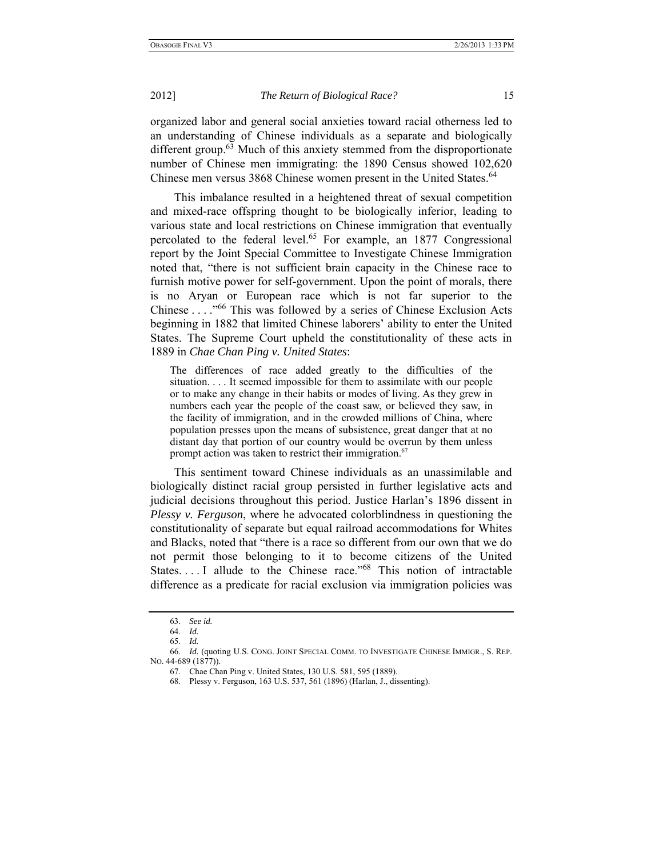organized labor and general social anxieties toward racial otherness led to an understanding of Chinese individuals as a separate and biologically different group.<sup>63</sup> Much of this anxiety stemmed from the disproportionate number of Chinese men immigrating: the 1890 Census showed 102,620 Chinese men versus 3868 Chinese women present in the United States.<sup>64</sup>

This imbalance resulted in a heightened threat of sexual competition and mixed-race offspring thought to be biologically inferior, leading to various state and local restrictions on Chinese immigration that eventually percolated to the federal level.65 For example, an 1877 Congressional report by the Joint Special Committee to Investigate Chinese Immigration noted that, "there is not sufficient brain capacity in the Chinese race to furnish motive power for self-government. Upon the point of morals, there is no Aryan or European race which is not far superior to the Chinese . . . ."66 This was followed by a series of Chinese Exclusion Acts beginning in 1882 that limited Chinese laborers' ability to enter the United States. The Supreme Court upheld the constitutionality of these acts in 1889 in *Chae Chan Ping v. United States*:

The differences of race added greatly to the difficulties of the situation. . . . It seemed impossible for them to assimilate with our people or to make any change in their habits or modes of living. As they grew in numbers each year the people of the coast saw, or believed they saw, in the facility of immigration, and in the crowded millions of China, where population presses upon the means of subsistence, great danger that at no distant day that portion of our country would be overrun by them unless prompt action was taken to restrict their immigration.<sup>67</sup>

This sentiment toward Chinese individuals as an unassimilable and biologically distinct racial group persisted in further legislative acts and judicial decisions throughout this period. Justice Harlan's 1896 dissent in *Plessy v. Ferguson*, where he advocated colorblindness in questioning the constitutionality of separate but equal railroad accommodations for Whites and Blacks, noted that "there is a race so different from our own that we do not permit those belonging to it to become citizens of the United States....I allude to the Chinese race."<sup>68</sup> This notion of intractable difference as a predicate for racial exclusion via immigration policies was

<sup>63.</sup> *See id.*

<sup>64.</sup> *Id.* 

<sup>65.</sup> *Id.*

<sup>66.</sup> *Id.* (quoting U.S. CONG. JOINT SPECIAL COMM. TO INVESTIGATE CHINESE IMMIGR., S. REP. NO. 44-689 (1877)).

<sup>67.</sup> Chae Chan Ping v. United States, 130 U.S. 581, 595 (1889).

<sup>68.</sup> Plessy v. Ferguson, 163 U.S. 537, 561 (1896) (Harlan, J., dissenting).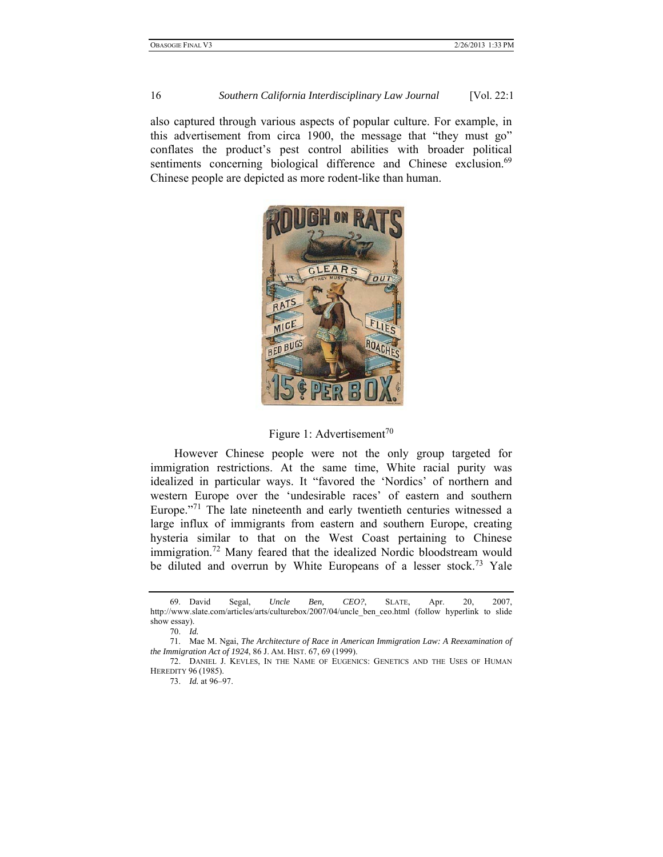also captured through various aspects of popular culture. For example, in this advertisement from circa 1900, the message that "they must go" conflates the product's pest control abilities with broader political sentiments concerning biological difference and Chinese exclusion.<sup>69</sup> Chinese people are depicted as more rodent-like than human.



Figure 1: Advertisement<sup>70</sup>

However Chinese people were not the only group targeted for immigration restrictions. At the same time, White racial purity was idealized in particular ways. It "favored the 'Nordics' of northern and western Europe over the 'undesirable races' of eastern and southern Europe."71 The late nineteenth and early twentieth centuries witnessed a large influx of immigrants from eastern and southern Europe, creating hysteria similar to that on the West Coast pertaining to Chinese immigration.<sup>72</sup> Many feared that the idealized Nordic bloodstream would be diluted and overrun by White Europeans of a lesser stock.<sup>73</sup> Yale

<sup>69.</sup> David Segal, *Uncle Ben, CEO?*, SLATE, Apr. 20, 2007, http://www.slate.com/articles/arts/culturebox/2007/04/uncle\_ben\_ceo.html (follow hyperlink to slide show essay).

<sup>70.</sup> *Id.* 

<sup>71.</sup> Mae M. Ngai, *The Architecture of Race in American Immigration Law: A Reexamination of the Immigration Act of 1924*, 86 J. AM. HIST. 67, 69 (1999).

<sup>72.</sup> DANIEL J. KEVLES, IN THE NAME OF EUGENICS: GENETICS AND THE USES OF HUMAN HEREDITY 96 (1985).

<sup>73.</sup> *Id.* at 96–97.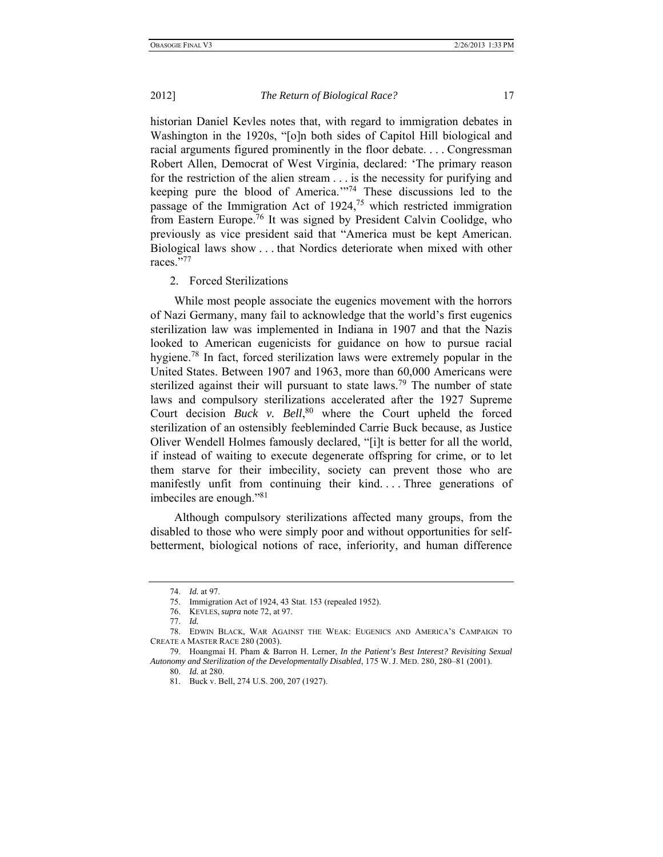historian Daniel Kevles notes that, with regard to immigration debates in Washington in the 1920s, "[o]n both sides of Capitol Hill biological and racial arguments figured prominently in the floor debate. . . . Congressman Robert Allen, Democrat of West Virginia, declared: 'The primary reason for the restriction of the alien stream . . . is the necessity for purifying and keeping pure the blood of America.'"74 These discussions led to the passage of the Immigration Act of  $1924<sup>75</sup>$  which restricted immigration from Eastern Europe.76 It was signed by President Calvin Coolidge, who previously as vice president said that "America must be kept American. Biological laws show . . . that Nordics deteriorate when mixed with other races."77

2. Forced Sterilizations

While most people associate the eugenics movement with the horrors of Nazi Germany, many fail to acknowledge that the world's first eugenics sterilization law was implemented in Indiana in 1907 and that the Nazis looked to American eugenicists for guidance on how to pursue racial hygiene.<sup>78</sup> In fact, forced sterilization laws were extremely popular in the United States. Between 1907 and 1963, more than 60,000 Americans were sterilized against their will pursuant to state laws.<sup>79</sup> The number of state laws and compulsory sterilizations accelerated after the 1927 Supreme Court decision *Buck v. Bell*, 80 where the Court upheld the forced sterilization of an ostensibly feebleminded Carrie Buck because, as Justice Oliver Wendell Holmes famously declared, "[i]t is better for all the world, if instead of waiting to execute degenerate offspring for crime, or to let them starve for their imbecility, society can prevent those who are manifestly unfit from continuing their kind. . . . Three generations of imbeciles are enough."81

Although compulsory sterilizations affected many groups, from the disabled to those who were simply poor and without opportunities for selfbetterment, biological notions of race, inferiority, and human difference

<sup>74.</sup> *Id.* at 97.

<sup>75.</sup> Immigration Act of 1924, 43 Stat. 153 (repealed 1952).

<sup>76.</sup> KEVLES, *supra* note 72, at 97.

<sup>77.</sup> *Id.*

<sup>78.</sup> EDWIN BLACK, WAR AGAINST THE WEAK: EUGENICS AND AMERICA'S CAMPAIGN TO CREATE A MASTER RACE 280 (2003).

<sup>79.</sup> Hoangmai H. Pham & Barron H. Lerner, *In the Patient's Best Interest? Revisiting Sexual Autonomy and Sterilization of the Developmentally Disabled*, 175 W. J. MED. 280, 280–81 (2001).

<sup>80.</sup> *Id.* at 280.

<sup>81.</sup> Buck v. Bell, 274 U.S. 200, 207 (1927).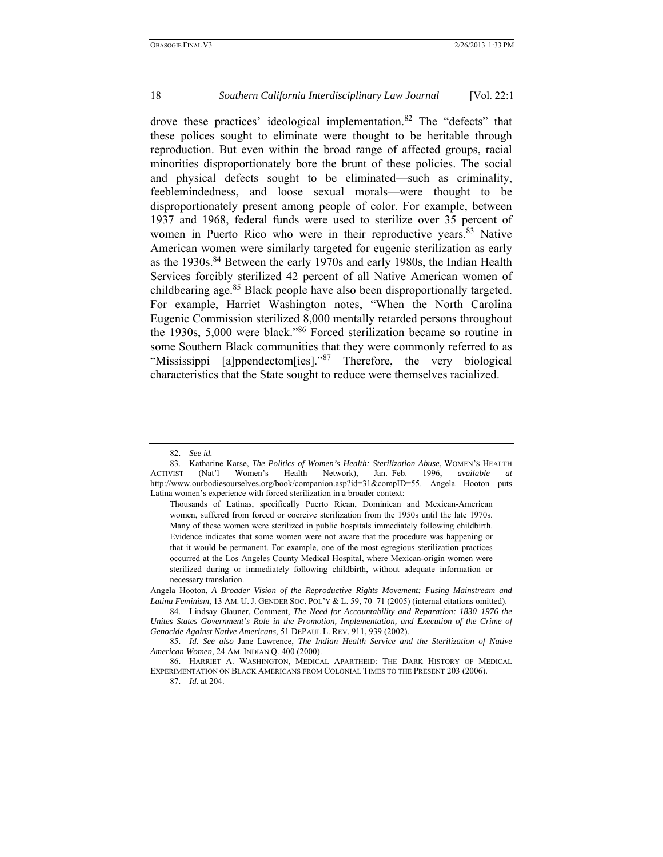drove these practices' ideological implementation.<sup>82</sup> The "defects" that these polices sought to eliminate were thought to be heritable through reproduction. But even within the broad range of affected groups, racial minorities disproportionately bore the brunt of these policies. The social and physical defects sought to be eliminated—such as criminality, feeblemindedness, and loose sexual morals—were thought to be disproportionately present among people of color. For example, between 1937 and 1968, federal funds were used to sterilize over 35 percent of women in Puerto Rico who were in their reproductive years.<sup>83</sup> Native American women were similarly targeted for eugenic sterilization as early as the 1930s.<sup>84</sup> Between the early 1970s and early 1980s, the Indian Health Services forcibly sterilized 42 percent of all Native American women of childbearing age.<sup>85</sup> Black people have also been disproportionally targeted. For example, Harriet Washington notes, "When the North Carolina Eugenic Commission sterilized 8,000 mentally retarded persons throughout the 1930s, 5,000 were black."86 Forced sterilization became so routine in some Southern Black communities that they were commonly referred to as "Mississippi [a]ppendectom[ies]."<sup>87</sup> Therefore, the very biological characteristics that the State sought to reduce were themselves racialized.

87. *Id.* at 204.

<sup>82.</sup> *See id.*

<sup>83.</sup> Katharine Karse, *The Politics of Women's Health: Sterilization Abuse*, WOMEN'S HEALTH ACTIVIST (Nat'l Women's Health Network), Jan.–Feb. 1996, *available* http://www.ourbodiesourselves.org/book/companion.asp?id=31&compID=55. Angela Hooton puts Latina women's experience with forced sterilization in a broader context:

Thousands of Latinas, specifically Puerto Rican, Dominican and Mexican-American women, suffered from forced or coercive sterilization from the 1950s until the late 1970s. Many of these women were sterilized in public hospitals immediately following childbirth. Evidence indicates that some women were not aware that the procedure was happening or that it would be permanent. For example, one of the most egregious sterilization practices occurred at the Los Angeles County Medical Hospital, where Mexican-origin women were sterilized during or immediately following childbirth, without adequate information or necessary translation.

Angela Hooton, *A Broader Vision of the Reproductive Rights Movement: Fusing Mainstream and Latina Feminism*, 13 AM. U. J. GENDER SOC. POL'Y & L. 59, 70–71 (2005) (internal citations omitted).

<sup>84.</sup> Lindsay Glauner, Comment, *The Need for Accountability and Reparation: 1830–1976 the Unites States Government's Role in the Promotion, Implementation, and Execution of the Crime of Genocide Against Native Americans*, 51 DEPAUL L. REV. 911, 939 (2002).

<sup>85.</sup> *Id. See also* Jane Lawrence, *The Indian Health Service and the Sterilization of Native American Women*, 24 AM. INDIAN Q. 400 (2000).

<sup>86.</sup> HARRIET A. WASHINGTON, MEDICAL APARTHEID: THE DARK HISTORY OF MEDICAL EXPERIMENTATION ON BLACK AMERICANS FROM COLONIAL TIMES TO THE PRESENT 203 (2006).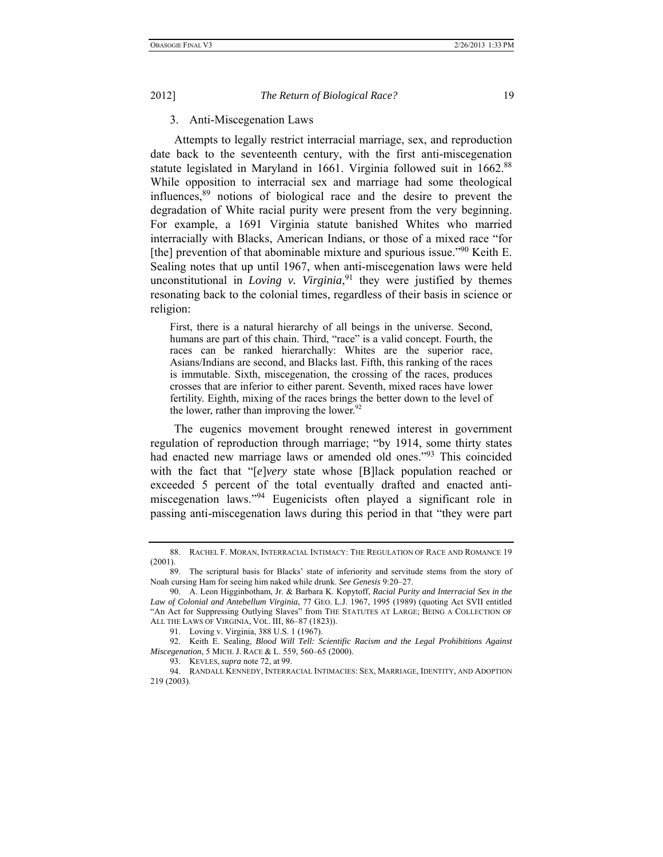#### 3. Anti-Miscegenation Laws

Attempts to legally restrict interracial marriage, sex, and reproduction date back to the seventeenth century, with the first anti-miscegenation statute legislated in Maryland in 1661. Virginia followed suit in 1662.<sup>88</sup> While opposition to interracial sex and marriage had some theological influences,89 notions of biological race and the desire to prevent the degradation of White racial purity were present from the very beginning. For example, a 1691 Virginia statute banished Whites who married interracially with Blacks, American Indians, or those of a mixed race "for [the] prevention of that abominable mixture and spurious issue."<sup>90</sup> Keith E. Sealing notes that up until 1967, when anti-miscegenation laws were held unconstitutional in *Loving v. Virginia*,<sup>91</sup> they were justified by themes resonating back to the colonial times, regardless of their basis in science or religion:

First, there is a natural hierarchy of all beings in the universe. Second, humans are part of this chain. Third, "race" is a valid concept. Fourth, the races can be ranked hierarchally: Whites are the superior race, Asians/Indians are second, and Blacks last. Fifth, this ranking of the races is immutable. Sixth, miscegenation, the crossing of the races, produces crosses that are inferior to either parent. Seventh, mixed races have lower fertility. Eighth, mixing of the races brings the better down to the level of the lower, rather than improving the lower. $92$ 

The eugenics movement brought renewed interest in government regulation of reproduction through marriage; "by 1914, some thirty states had enacted new marriage laws or amended old ones."<sup>93</sup> This coincided with the fact that "[*e*]*very* state whose [B]lack population reached or exceeded 5 percent of the total eventually drafted and enacted antimiscegenation laws."94 Eugenicists often played a significant role in passing anti-miscegenation laws during this period in that "they were part

<sup>88.</sup> RACHEL F. MORAN, INTERRACIAL INTIMACY: THE REGULATION OF RACE AND ROMANCE 19 (2001).

<sup>89.</sup> The scriptural basis for Blacks' state of inferiority and servitude stems from the story of Noah cursing Ham for seeing him naked while drunk. *See Genesis* 9:20–27.

<sup>90.</sup> A. Leon Higginbotham, Jr. & Barbara K. Kopytoff, *Racial Purity and Interracial Sex in the Law of Colonial and Antebellum Virginia*, 77 GEO. L.J. 1967, 1995 (1989) (quoting Act SVII entitled "An Act for Suppressing Outlying Slaves" from THE STATUTES AT LARGE; BEING A COLLECTION OF ALL THE LAWS OF VIRGINIA, VOL. III, 86–87 (1823)).

<sup>91.</sup> Loving v. Virginia, 388 U.S. 1 (1967).

<sup>92.</sup> Keith E. Sealing, *Blood Will Tell: Scientific Racism and the Legal Prohibitions Against Miscegenation*, 5 MICH. J. RACE & L. 559, 560–65 (2000).

<sup>93.</sup> KEVLES, *supra* note 72, at 99.

<sup>94.</sup> RANDALL KENNEDY, INTERRACIAL INTIMACIES: SEX, MARRIAGE, IDENTITY, AND ADOPTION 219 (2003).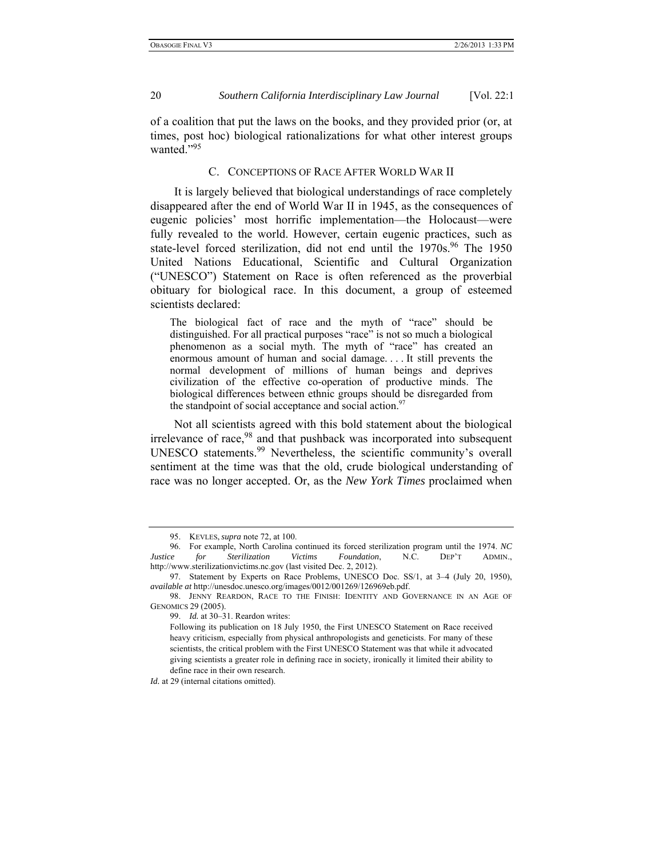of a coalition that put the laws on the books, and they provided prior (or, at times, post hoc) biological rationalizations for what other interest groups wanted."<sup>95</sup>

# C. CONCEPTIONS OF RACE AFTER WORLD WAR II

It is largely believed that biological understandings of race completely disappeared after the end of World War II in 1945, as the consequences of eugenic policies' most horrific implementation—the Holocaust—were fully revealed to the world. However, certain eugenic practices, such as state-level forced sterilization, did not end until the 1970s.<sup>96</sup> The 1950 United Nations Educational, Scientific and Cultural Organization ("UNESCO") Statement on Race is often referenced as the proverbial obituary for biological race. In this document, a group of esteemed scientists declared:

The biological fact of race and the myth of "race" should be distinguished. For all practical purposes "race" is not so much a biological phenomenon as a social myth. The myth of "race" has created an enormous amount of human and social damage. . . . It still prevents the normal development of millions of human beings and deprives civilization of the effective co-operation of productive minds. The biological differences between ethnic groups should be disregarded from the standpoint of social acceptance and social action.<sup>97</sup>

Not all scientists agreed with this bold statement about the biological irrelevance of race,<sup>98</sup> and that pushback was incorporated into subsequent UNESCO statements.99 Nevertheless, the scientific community's overall sentiment at the time was that the old, crude biological understanding of race was no longer accepted. Or, as the *New York Times* proclaimed when

99. *Id.* at 30–31. Reardon writes:

*Id.* at 29 (internal citations omitted).

<sup>95.</sup> KEVLES, *supra* note 72, at 100.

<sup>96.</sup> For example, North Carolina continued its forced sterilization program until the 1974. *NC Justice for Sterilization Victims Foundation*, N.C. DEP'T ADMIN., http://www.sterilizationvictims.nc.gov (last visited Dec. 2, 2012).

<sup>97.</sup> Statement by Experts on Race Problems, UNESCO Doc. SS/1, at 3–4 (July 20, 1950), *available at* http://unesdoc.unesco.org/images/0012/001269/126969eb.pdf.

<sup>98.</sup> JENNY REARDON, RACE TO THE FINISH: IDENTITY AND GOVERNANCE IN AN AGE OF GENOMICS 29 (2005).

Following its publication on 18 July 1950, the First UNESCO Statement on Race received heavy criticism, especially from physical anthropologists and geneticists. For many of these scientists, the critical problem with the First UNESCO Statement was that while it advocated giving scientists a greater role in defining race in society, ironically it limited their ability to define race in their own research.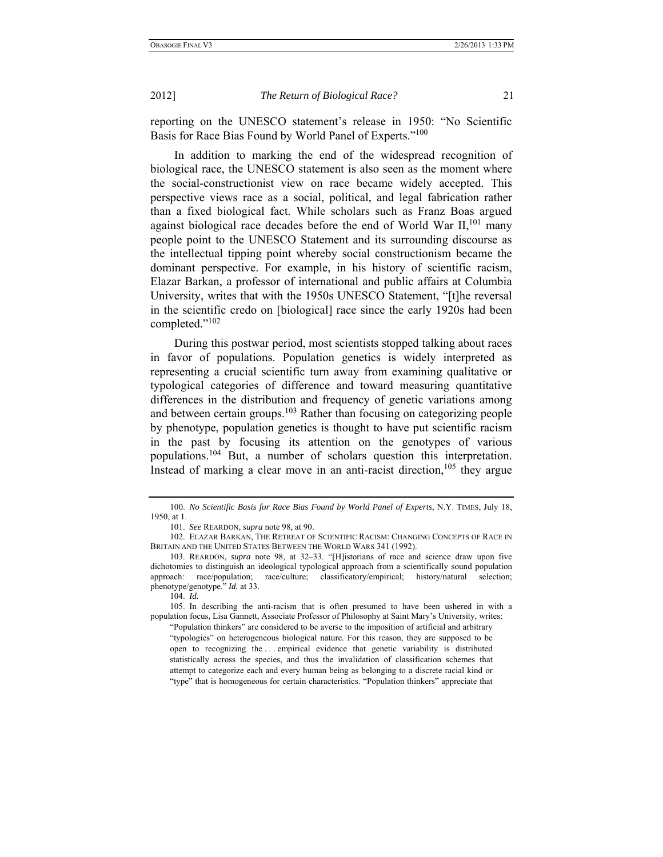reporting on the UNESCO statement's release in 1950: "No Scientific Basis for Race Bias Found by World Panel of Experts."<sup>100</sup>

In addition to marking the end of the widespread recognition of biological race, the UNESCO statement is also seen as the moment where the social-constructionist view on race became widely accepted. This perspective views race as a social, political, and legal fabrication rather than a fixed biological fact. While scholars such as Franz Boas argued against biological race decades before the end of World War  $II$ ,  $^{101}$  many people point to the UNESCO Statement and its surrounding discourse as the intellectual tipping point whereby social constructionism became the dominant perspective. For example, in his history of scientific racism, Elazar Barkan, a professor of international and public affairs at Columbia University, writes that with the 1950s UNESCO Statement, "[t]he reversal in the scientific credo on [biological] race since the early 1920s had been completed."<sup>102</sup>

During this postwar period, most scientists stopped talking about races in favor of populations. Population genetics is widely interpreted as representing a crucial scientific turn away from examining qualitative or typological categories of difference and toward measuring quantitative differences in the distribution and frequency of genetic variations among and between certain groups.<sup>103</sup> Rather than focusing on categorizing people by phenotype, population genetics is thought to have put scientific racism in the past by focusing its attention on the genotypes of various populations.104 But, a number of scholars question this interpretation. Instead of marking a clear move in an anti-racist direction,  $105$  they argue

<sup>100.</sup> *No Scientific Basis for Race Bias Found by World Panel of Experts*, N.Y. TIMES, July 18, 1950, at 1.

<sup>101.</sup> *See* REARDON, *supra* note 98, at 90.

<sup>102.</sup> ELAZAR BARKAN, THE RETREAT OF SCIENTIFIC RACISM: CHANGING CONCEPTS OF RACE IN BRITAIN AND THE UNITED STATES BETWEEN THE WORLD WARS 341 (1992).

<sup>103.</sup> REARDON, *supra* note 98, at 32–33. "[H]istorians of race and science draw upon five dichotomies to distinguish an ideological typological approach from a scientifically sound population approach: race/population; race/culture; classificatory/empirical; history/natural selection; phenotype/genotype." *Id.* at 33.

<sup>104.</sup> *Id.*

<sup>105.</sup> In describing the anti-racism that is often presumed to have been ushered in with a population focus, Lisa Gannett, Associate Professor of Philosophy at Saint Mary's University, writes:

<sup>&</sup>quot;Population thinkers" are considered to be averse to the imposition of artificial and arbitrary "typologies" on heterogeneous biological nature. For this reason, they are supposed to be open to recognizing the . . . empirical evidence that genetic variability is distributed statistically across the species, and thus the invalidation of classification schemes that attempt to categorize each and every human being as belonging to a discrete racial kind or "type" that is homogeneous for certain characteristics. "Population thinkers" appreciate that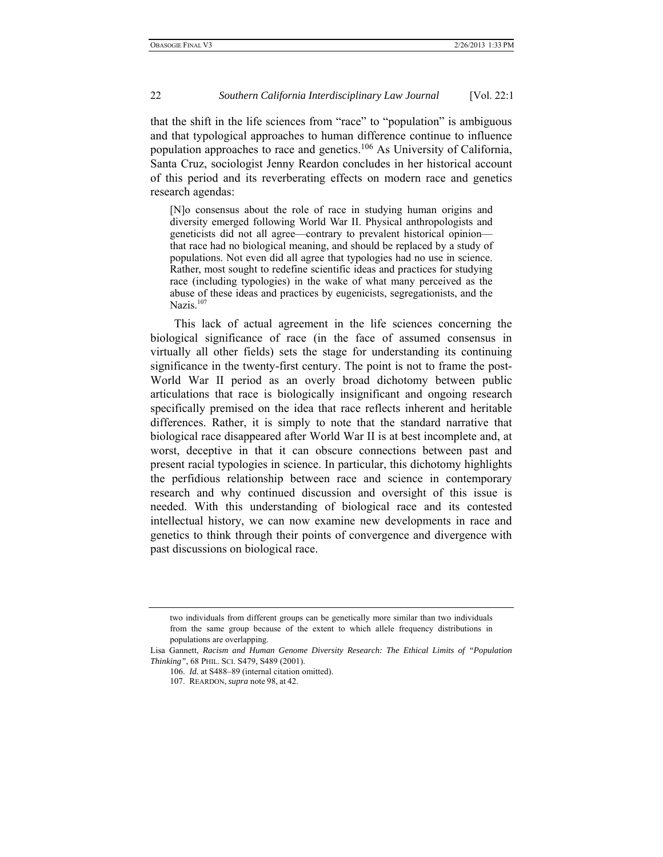that the shift in the life sciences from "race" to "population" is ambiguous and that typological approaches to human difference continue to influence population approaches to race and genetics.106 As University of California, Santa Cruz, sociologist Jenny Reardon concludes in her historical account of this period and its reverberating effects on modern race and genetics research agendas:

[N]o consensus about the role of race in studying human origins and diversity emerged following World War II. Physical anthropologists and geneticists did not all agree—contrary to prevalent historical opinion that race had no biological meaning, and should be replaced by a study of populations. Not even did all agree that typologies had no use in science. Rather, most sought to redefine scientific ideas and practices for studying race (including typologies) in the wake of what many perceived as the abuse of these ideas and practices by eugenicists, segregationists, and the Nazis.<sup>107</sup>

This lack of actual agreement in the life sciences concerning the biological significance of race (in the face of assumed consensus in virtually all other fields) sets the stage for understanding its continuing significance in the twenty-first century. The point is not to frame the post-World War II period as an overly broad dichotomy between public articulations that race is biologically insignificant and ongoing research specifically premised on the idea that race reflects inherent and heritable differences. Rather, it is simply to note that the standard narrative that biological race disappeared after World War II is at best incomplete and, at worst, deceptive in that it can obscure connections between past and present racial typologies in science. In particular, this dichotomy highlights the perfidious relationship between race and science in contemporary research and why continued discussion and oversight of this issue is needed. With this understanding of biological race and its contested intellectual history, we can now examine new developments in race and genetics to think through their points of convergence and divergence with past discussions on biological race.

two individuals from different groups can be genetically more similar than two individuals from the same group because of the extent to which allele frequency distributions in populations are overlapping.

Lisa Gannett, *Racism and Human Genome Diversity Research: The Ethical Limits of "Population Thinking"*, 68 PHIL. SCI. S479, S489 (2001).

<sup>106.</sup> *Id.* at S488–89 (internal citation omitted).

<sup>107.</sup> REARDON, *supra* note 98, at 42.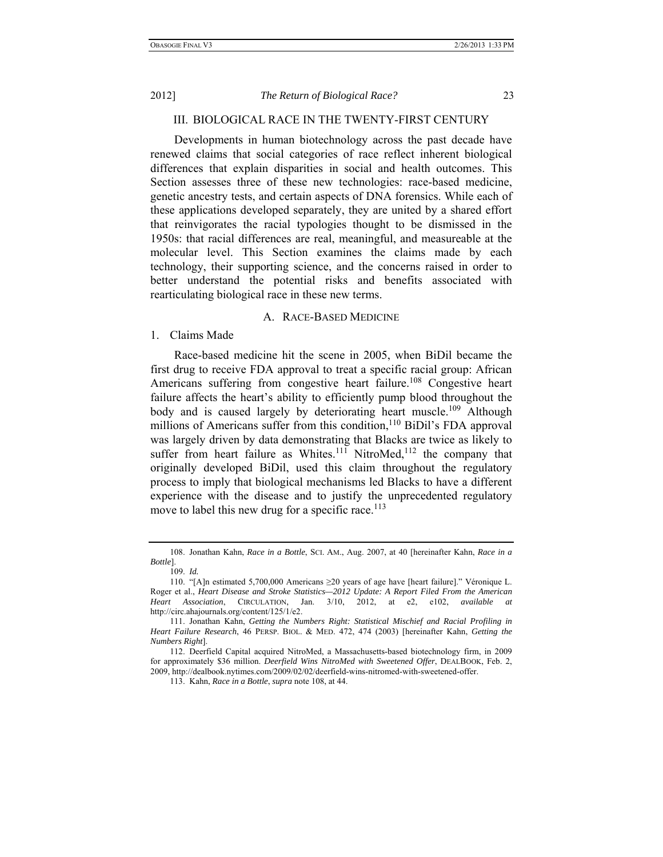# III. BIOLOGICAL RACE IN THE TWENTY-FIRST CENTURY

Developments in human biotechnology across the past decade have renewed claims that social categories of race reflect inherent biological differences that explain disparities in social and health outcomes. This Section assesses three of these new technologies: race-based medicine, genetic ancestry tests, and certain aspects of DNA forensics. While each of these applications developed separately, they are united by a shared effort that reinvigorates the racial typologies thought to be dismissed in the 1950s: that racial differences are real, meaningful, and measureable at the molecular level. This Section examines the claims made by each technology, their supporting science, and the concerns raised in order to better understand the potential risks and benefits associated with rearticulating biological race in these new terms.

#### A. RACE-BASED MEDICINE

#### 1. Claims Made

Race-based medicine hit the scene in 2005, when BiDil became the first drug to receive FDA approval to treat a specific racial group: African Americans suffering from congestive heart failure.<sup>108</sup> Congestive heart failure affects the heart's ability to efficiently pump blood throughout the body and is caused largely by deteriorating heart muscle.<sup>109</sup> Although millions of Americans suffer from this condition,<sup>110</sup> BiDil's FDA approval was largely driven by data demonstrating that Blacks are twice as likely to suffer from heart failure as Whites.<sup>111</sup> NitroMed,<sup>112</sup> the company that originally developed BiDil, used this claim throughout the regulatory process to imply that biological mechanisms led Blacks to have a different experience with the disease and to justify the unprecedented regulatory move to label this new drug for a specific race.<sup>113</sup>

<sup>108.</sup> Jonathan Kahn, *Race in a Bottle*, SCI. AM., Aug. 2007, at 40 [hereinafter Kahn, *Race in a Bottle*].

<sup>109.</sup> *Id.* 

<sup>110. &</sup>quot;[A]n estimated 5,700,000 Americans ≥20 years of age have [heart failure]." Véronique L. Roger et al., *Heart Disease and Stroke Statistics—2012 Update: A Report Filed From the American Heart Association*, CIRCULATION, Jan. 3/10, 2012, at e2, e102, *available at* http://circ.ahajournals.org/content/125/1/e2.

<sup>111.</sup> Jonathan Kahn, *Getting the Numbers Right: Statistical Mischief and Racial Profiling in Heart Failure Research*, 46 PERSP. BIOL. & MED. 472, 474 (2003) [hereinafter Kahn, *Getting the Numbers Right*].

<sup>112.</sup> Deerfield Capital acquired NitroMed, a Massachusetts-based biotechnology firm, in 2009 for approximately \$36 million. *Deerfield Wins NitroMed with Sweetened Offer*, DEALBOOK, Feb. 2, 2009, http://dealbook.nytimes.com/2009/02/02/deerfield-wins-nitromed-with-sweetened-offer.

<sup>113.</sup> Kahn, *Race in a Bottle*, *supra* note 108, at 44.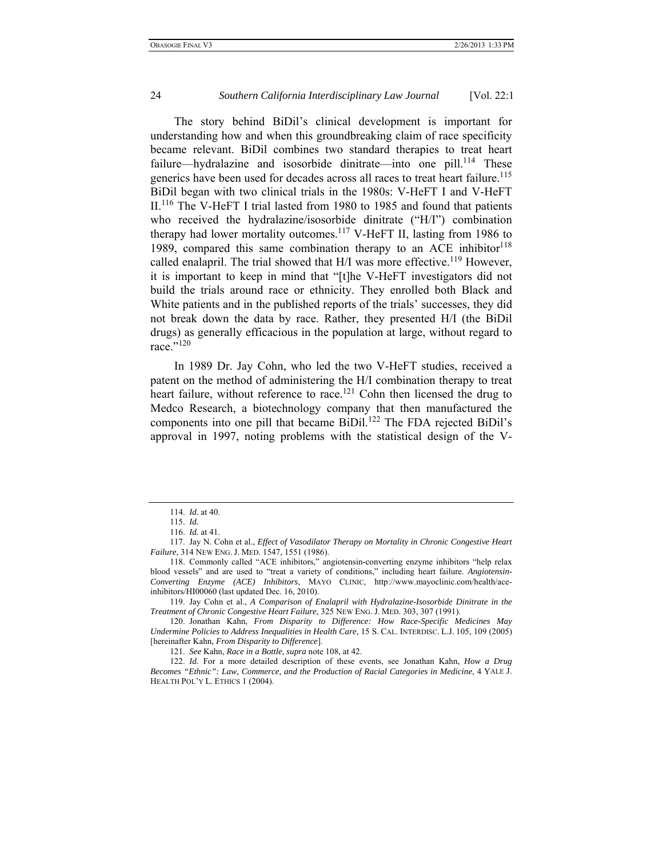The story behind BiDil's clinical development is important for understanding how and when this groundbreaking claim of race specificity became relevant. BiDil combines two standard therapies to treat heart failure—hydralazine and isosorbide dinitrate—into one pill.<sup>114</sup> These generics have been used for decades across all races to treat heart failure.<sup>115</sup> BiDil began with two clinical trials in the 1980s: V-HeFT I and V-HeFT II.<sup>116</sup> The V-HeFT I trial lasted from 1980 to 1985 and found that patients who received the hydralazine/isosorbide dinitrate ("H/I") combination therapy had lower mortality outcomes.117 V-HeFT II, lasting from 1986 to 1989, compared this same combination therapy to an ACE inhibitor<sup>118</sup> called enalapril. The trial showed that  $H/I$  was more effective.<sup>119</sup> However, it is important to keep in mind that "[t]he V-HeFT investigators did not build the trials around race or ethnicity. They enrolled both Black and White patients and in the published reports of the trials' successes, they did not break down the data by race. Rather, they presented H/I (the BiDil drugs) as generally efficacious in the population at large, without regard to race." $^{120}$ 

In 1989 Dr. Jay Cohn, who led the two V-HeFT studies, received a patent on the method of administering the H/I combination therapy to treat heart failure, without reference to race.<sup>121</sup> Cohn then licensed the drug to Medco Research, a biotechnology company that then manufactured the components into one pill that became BiDil.<sup>122</sup> The FDA rejected BiDil's approval in 1997, noting problems with the statistical design of the V-

<sup>114.</sup> *Id.* at 40.

<sup>115.</sup> *Id.* 

<sup>116.</sup> *Id.* at 41.

<sup>117.</sup> Jay N. Cohn et al., *Effect of Vasodilator Therapy on Mortality in Chronic Congestive Heart Failure*, 314 NEW ENG. J. MED. 1547, 1551 (1986).

<sup>118.</sup> Commonly called "ACE inhibitors," angiotensin-converting enzyme inhibitors "help relax blood vessels" and are used to "treat a variety of conditions," including heart failure. *Angiotensin-Converting Enzyme (ACE) Inhibitors*, MAYO CLINIC, http://www.mayoclinic.com/health/aceinhibitors/HI00060 (last updated Dec. 16, 2010).

<sup>119.</sup> Jay Cohn et al., *A Comparison of Enalapril with Hydralazine-Isosorbide Dinitrate in the Treatment of Chronic Congestive Heart Failure*, 325 NEW ENG. J. MED. 303, 307 (1991).

<sup>120.</sup> Jonathan Kahn, *From Disparity to Difference: How Race-Specific Medicines May Undermine Policies to Address Inequalities in Health Care*, 15 S. CAL. INTERDISC. L.J. 105, 109 (2005) [hereinafter Kahn, *From Disparity to Difference*].

<sup>121.</sup> *See* Kahn, *Race in a Bottle*, *supra* note 108, at 42.

<sup>122.</sup> *Id.* For a more detailed description of these events, see Jonathan Kahn, *How a Drug Becomes "Ethnic": Law, Commerce, and the Production of Racial Categories in Medicine*, 4 YALE J. HEALTH POL'Y L. ETHICS 1 (2004).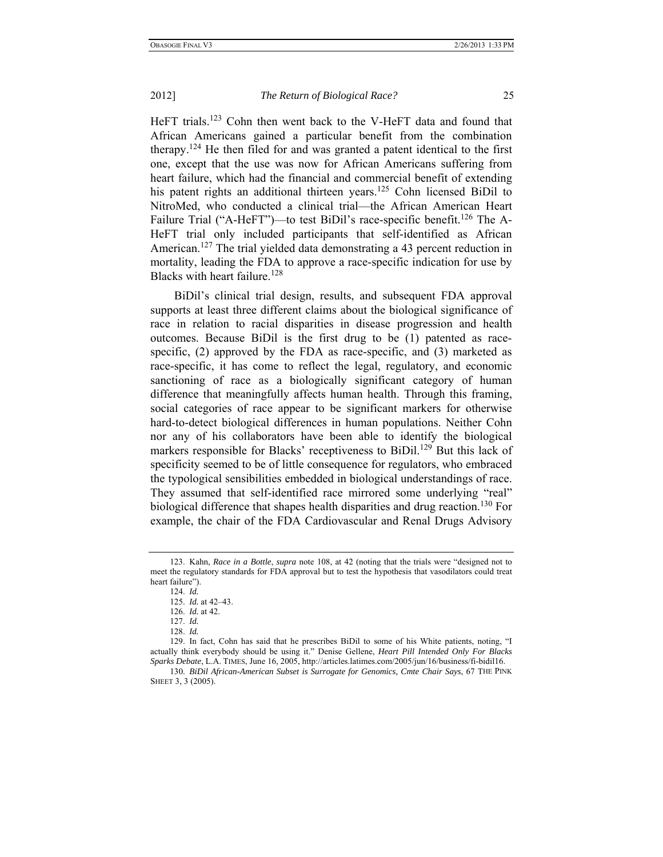HeFT trials.<sup>123</sup> Cohn then went back to the V-HeFT data and found that African Americans gained a particular benefit from the combination therapy.124 He then filed for and was granted a patent identical to the first one, except that the use was now for African Americans suffering from heart failure, which had the financial and commercial benefit of extending his patent rights an additional thirteen years.<sup>125</sup> Cohn licensed BiDil to NitroMed, who conducted a clinical trial—the African American Heart Failure Trial ("A-HeFT")—to test BiDil's race-specific benefit.<sup>126</sup> The A-HeFT trial only included participants that self-identified as African American.<sup>127</sup> The trial yielded data demonstrating a 43 percent reduction in mortality, leading the FDA to approve a race-specific indication for use by Blacks with heart failure.<sup>128</sup>

BiDil's clinical trial design, results, and subsequent FDA approval supports at least three different claims about the biological significance of race in relation to racial disparities in disease progression and health outcomes. Because BiDil is the first drug to be (1) patented as racespecific, (2) approved by the FDA as race-specific, and (3) marketed as race-specific, it has come to reflect the legal, regulatory, and economic sanctioning of race as a biologically significant category of human difference that meaningfully affects human health. Through this framing, social categories of race appear to be significant markers for otherwise hard-to-detect biological differences in human populations. Neither Cohn nor any of his collaborators have been able to identify the biological markers responsible for Blacks' receptiveness to BiDil.<sup>129</sup> But this lack of specificity seemed to be of little consequence for regulators, who embraced the typological sensibilities embedded in biological understandings of race. They assumed that self-identified race mirrored some underlying "real" biological difference that shapes health disparities and drug reaction.<sup>130</sup> For example, the chair of the FDA Cardiovascular and Renal Drugs Advisory

<sup>123.</sup> Kahn, *Race in a Bottle*, *supra* note 108, at 42 (noting that the trials were "designed not to meet the regulatory standards for FDA approval but to test the hypothesis that vasodilators could treat heart failure").

<sup>124.</sup> *Id.* 

<sup>125.</sup> *Id.* at 42–43.

<sup>126.</sup> *Id.* at 42.

<sup>127.</sup> *Id.* 

<sup>128.</sup> *Id.* 

<sup>129.</sup> In fact, Cohn has said that he prescribes BiDil to some of his White patients, noting, "I actually think everybody should be using it." Denise Gellene, *Heart Pill Intended Only For Blacks Sparks Debate*, L.A. TIMES, June 16, 2005, http://articles.latimes.com/2005/jun/16/business/fi-bidil16.

<sup>130.</sup> *BiDil African-American Subset is Surrogate for Genomics, Cmte Chair Says*, 67 THE PINK SHEET 3, 3 (2005).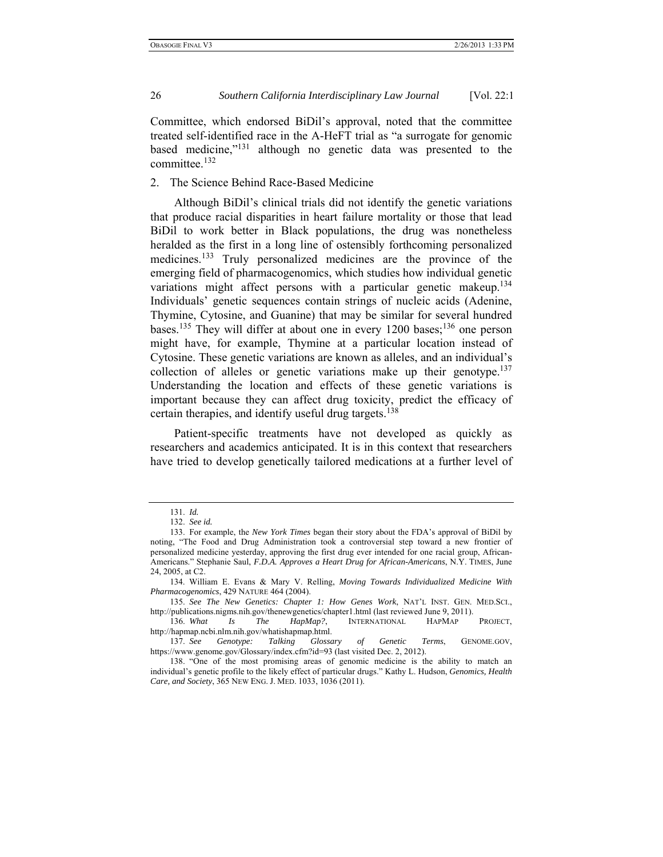Committee, which endorsed BiDil's approval, noted that the committee treated self-identified race in the A-HeFT trial as "a surrogate for genomic based medicine,"131 although no genetic data was presented to the committee.<sup>132</sup>

#### 2. The Science Behind Race-Based Medicine

Although BiDil's clinical trials did not identify the genetic variations that produce racial disparities in heart failure mortality or those that lead BiDil to work better in Black populations, the drug was nonetheless heralded as the first in a long line of ostensibly forthcoming personalized medicines.<sup>133</sup> Truly personalized medicines are the province of the emerging field of pharmacogenomics, which studies how individual genetic variations might affect persons with a particular genetic makeup.<sup>134</sup> Individuals' genetic sequences contain strings of nucleic acids (Adenine, Thymine, Cytosine, and Guanine) that may be similar for several hundred bases.<sup>135</sup> They will differ at about one in every 1200 bases;<sup>136</sup> one person might have, for example, Thymine at a particular location instead of Cytosine. These genetic variations are known as alleles, and an individual's collection of alleles or genetic variations make up their genotype.<sup>137</sup> Understanding the location and effects of these genetic variations is important because they can affect drug toxicity, predict the efficacy of certain therapies, and identify useful drug targets.<sup>138</sup>

Patient-specific treatments have not developed as quickly as researchers and academics anticipated. It is in this context that researchers have tried to develop genetically tailored medications at a further level of

<sup>131.</sup> *Id.*

<sup>132.</sup> *See id.*

<sup>133.</sup> For example, the *New York Times* began their story about the FDA's approval of BiDil by noting, "The Food and Drug Administration took a controversial step toward a new frontier of personalized medicine yesterday, approving the first drug ever intended for one racial group, African-Americans." Stephanie Saul, *F.D.A. Approves a Heart Drug for African-Americans*, N.Y. TIMES, June 24, 2005, at C2.

<sup>134.</sup> William E. Evans & Mary V. Relling, *Moving Towards Individualized Medicine With Pharmacogenomics*, 429 NATURE 464 (2004).

<sup>135.</sup> *See The New Genetics: Chapter 1: How Genes Work*, NAT'L INST. GEN. MED.SCI., http://publications.nigms.nih.gov/thenewgenetics/chapter1.html (last reviewed June 9, 2011).<br>136. What Is The HapMap?, INTERNATIONAL HAPMAP

<sup>136.</sup> *What Is The HapMap?*, INTERNATIONAL HAPMAP PROJECT, http://hapmap.ncbi.nlm.nih.gov/whatishapmap.html.

<sup>137.</sup> *See Genotype: Talking Glossary of Genetic Terms*, GENOME.GOV, https://www.genome.gov/Glossary/index.cfm?id=93 (last visited Dec. 2, 2012).

<sup>138. &</sup>quot;One of the most promising areas of genomic medicine is the ability to match an individual's genetic profile to the likely effect of particular drugs." Kathy L. Hudson, *Genomics, Health Care, and Society*, 365 NEW ENG. J. MED. 1033, 1036 (2011).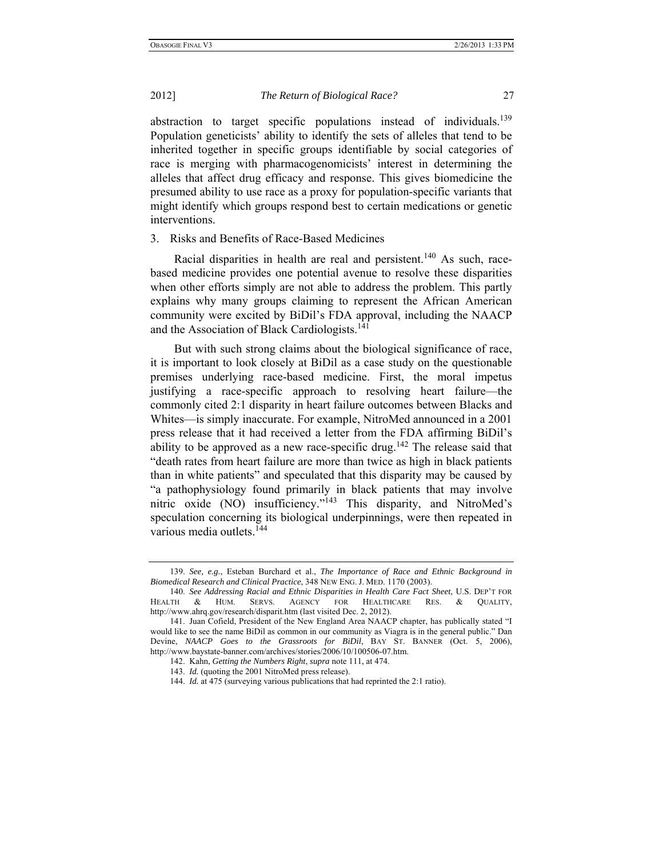abstraction to target specific populations instead of individuals.<sup>139</sup> Population geneticists' ability to identify the sets of alleles that tend to be inherited together in specific groups identifiable by social categories of race is merging with pharmacogenomicists' interest in determining the alleles that affect drug efficacy and response. This gives biomedicine the presumed ability to use race as a proxy for population-specific variants that might identify which groups respond best to certain medications or genetic interventions.

3. Risks and Benefits of Race-Based Medicines

Racial disparities in health are real and persistent.<sup>140</sup> As such, racebased medicine provides one potential avenue to resolve these disparities when other efforts simply are not able to address the problem. This partly explains why many groups claiming to represent the African American community were excited by BiDil's FDA approval, including the NAACP and the Association of Black Cardiologists.<sup>141</sup>

But with such strong claims about the biological significance of race, it is important to look closely at BiDil as a case study on the questionable premises underlying race-based medicine. First, the moral impetus justifying a race-specific approach to resolving heart failure—the commonly cited 2:1 disparity in heart failure outcomes between Blacks and Whites—is simply inaccurate. For example, NitroMed announced in a 2001 press release that it had received a letter from the FDA affirming BiDil's ability to be approved as a new race-specific drug.<sup>142</sup> The release said that "death rates from heart failure are more than twice as high in black patients than in white patients" and speculated that this disparity may be caused by "a pathophysiology found primarily in black patients that may involve nitric oxide (NO) insufficiency."143 This disparity, and NitroMed's speculation concerning its biological underpinnings, were then repeated in various media outlets.<sup>144</sup>

<sup>139.</sup> *See, e.g.*, Esteban Burchard et al., *The Importance of Race and Ethnic Background in Biomedical Research and Clinical Practice*, 348 NEW ENG. J. MED. 1170 (2003).

<sup>140.</sup> *See Addressing Racial and Ethnic Disparities in Health Care Fact Sheet*, U.S. DEP'T FOR HEALTH & HUM. SERVS. AGENCY FOR HEALTHCARE RES. & QUALITY, http://www.ahrq.gov/research/disparit.htm (last visited Dec. 2, 2012).

<sup>141.</sup> Juan Cofield, President of the New England Area NAACP chapter, has publically stated "I would like to see the name BiDil as common in our community as Viagra is in the general public." Dan Devine, *NAACP Goes to the Grassroots for BiDil*, BAY ST. BANNER (Oct. 5, 2006), http://www.baystate-banner.com/archives/stories/2006/10/100506-07.htm.

<sup>142.</sup> Kahn, *Getting the Numbers Right*, *supra* note 111, at 474.

<sup>143.</sup> *Id.* (quoting the 2001 NitroMed press release).

<sup>144.</sup> *Id.* at 475 (surveying various publications that had reprinted the 2:1 ratio).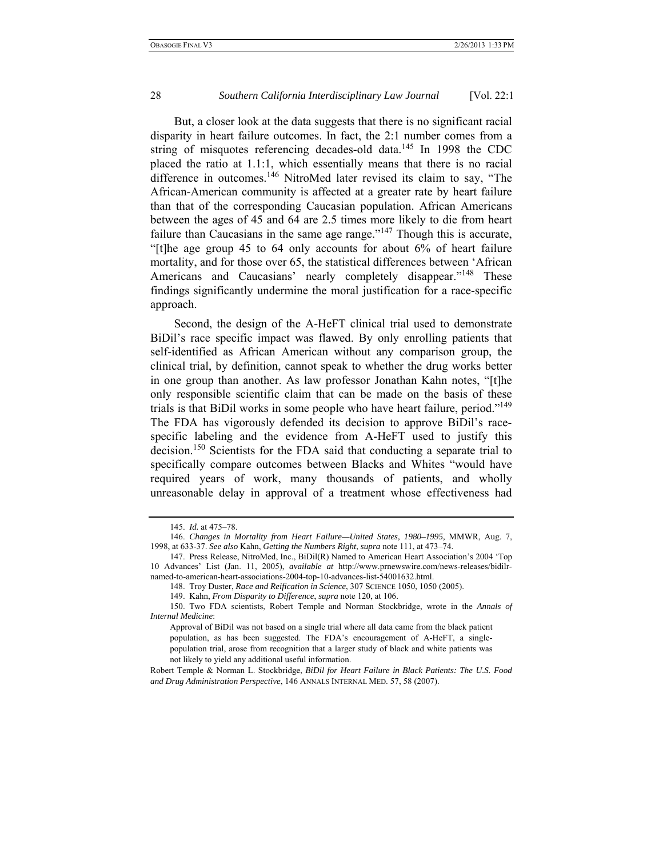But, a closer look at the data suggests that there is no significant racial disparity in heart failure outcomes. In fact, the 2:1 number comes from a string of misquotes referencing decades-old data.<sup>145</sup> In 1998 the CDC placed the ratio at 1.1:1, which essentially means that there is no racial difference in outcomes.<sup>146</sup> NitroMed later revised its claim to say, "The African-American community is affected at a greater rate by heart failure than that of the corresponding Caucasian population. African Americans between the ages of 45 and 64 are 2.5 times more likely to die from heart failure than Caucasians in the same age range." $147$  Though this is accurate, "[t]he age group 45 to 64 only accounts for about 6% of heart failure mortality, and for those over 65, the statistical differences between 'African Americans and Caucasians' nearly completely disappear."<sup>148</sup> These findings significantly undermine the moral justification for a race-specific approach.

Second, the design of the A-HeFT clinical trial used to demonstrate BiDil's race specific impact was flawed. By only enrolling patients that self-identified as African American without any comparison group, the clinical trial, by definition, cannot speak to whether the drug works better in one group than another. As law professor Jonathan Kahn notes, "[t]he only responsible scientific claim that can be made on the basis of these trials is that BiDil works in some people who have heart failure, period."<sup>149</sup> The FDA has vigorously defended its decision to approve BiDil's racespecific labeling and the evidence from A-HeFT used to justify this decision.150 Scientists for the FDA said that conducting a separate trial to specifically compare outcomes between Blacks and Whites "would have required years of work, many thousands of patients, and wholly unreasonable delay in approval of a treatment whose effectiveness had

Robert Temple & Norman L. Stockbridge, *BiDil for Heart Failure in Black Patients: The U.S. Food and Drug Administration Perspective*, 146 ANNALS INTERNAL MED. 57, 58 (2007).

<sup>145.</sup> *Id.* at 475–78.

<sup>146.</sup> *Changes in Mortality from Heart Failure—United States, 1980–1995,* MMWR, Aug. 7, 1998, at 633-37. *See also* Kahn, *Getting the Numbers Right*, *supra* note 111, at 473–74.

<sup>147.</sup> Press Release, NitroMed, Inc., BiDil(R) Named to American Heart Association's 2004 'Top 10 Advances' List (Jan. 11, 2005), *available at* http://www.prnewswire.com/news-releases/bidilrnamed-to-american-heart-associations-2004-top-10-advances-list-54001632.html.

<sup>148.</sup> Troy Duster, *Race and Reification in Science*, 307 SCIENCE 1050, 1050 (2005).

<sup>149.</sup> Kahn, *From Disparity to Difference*, *supra* note 120, at 106.

<sup>150.</sup> Two FDA scientists, Robert Temple and Norman Stockbridge, wrote in the *Annals of Internal Medicine*:

Approval of BiDil was not based on a single trial where all data came from the black patient population, as has been suggested. The FDA's encouragement of A-HeFT, a singlepopulation trial, arose from recognition that a larger study of black and white patients was not likely to yield any additional useful information.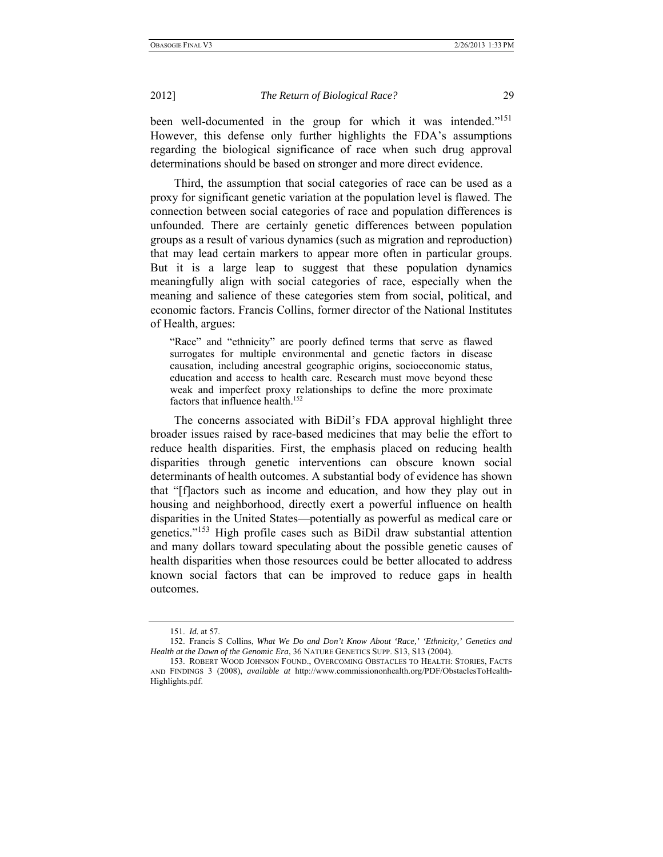been well-documented in the group for which it was intended."<sup>151</sup> However, this defense only further highlights the FDA's assumptions regarding the biological significance of race when such drug approval determinations should be based on stronger and more direct evidence.

Third, the assumption that social categories of race can be used as a proxy for significant genetic variation at the population level is flawed. The connection between social categories of race and population differences is unfounded. There are certainly genetic differences between population groups as a result of various dynamics (such as migration and reproduction) that may lead certain markers to appear more often in particular groups. But it is a large leap to suggest that these population dynamics meaningfully align with social categories of race, especially when the meaning and salience of these categories stem from social, political, and economic factors. Francis Collins, former director of the National Institutes of Health, argues:

"Race" and "ethnicity" are poorly defined terms that serve as flawed surrogates for multiple environmental and genetic factors in disease causation, including ancestral geographic origins, socioeconomic status, education and access to health care. Research must move beyond these weak and imperfect proxy relationships to define the more proximate factors that influence health.<sup>152</sup>

The concerns associated with BiDil's FDA approval highlight three broader issues raised by race-based medicines that may belie the effort to reduce health disparities. First, the emphasis placed on reducing health disparities through genetic interventions can obscure known social determinants of health outcomes. A substantial body of evidence has shown that "[f]actors such as income and education, and how they play out in housing and neighborhood, directly exert a powerful influence on health disparities in the United States—potentially as powerful as medical care or genetics."153 High profile cases such as BiDil draw substantial attention and many dollars toward speculating about the possible genetic causes of health disparities when those resources could be better allocated to address known social factors that can be improved to reduce gaps in health outcomes.

<sup>151.</sup> *Id.* at 57.

<sup>152.</sup> Francis S Collins, *What We Do and Don't Know About 'Race,' 'Ethnicity,' Genetics and Health at the Dawn of the Genomic Era*, 36 NATURE GENETICS SUPP. S13, S13 (2004).

<sup>153.</sup> ROBERT WOOD JOHNSON FOUND., OVERCOMING OBSTACLES TO HEALTH: STORIES, FACTS AND FINDINGS 3 (2008), *available at* http://www.commissiononhealth.org/PDF/ObstaclesToHealth-Highlights.pdf.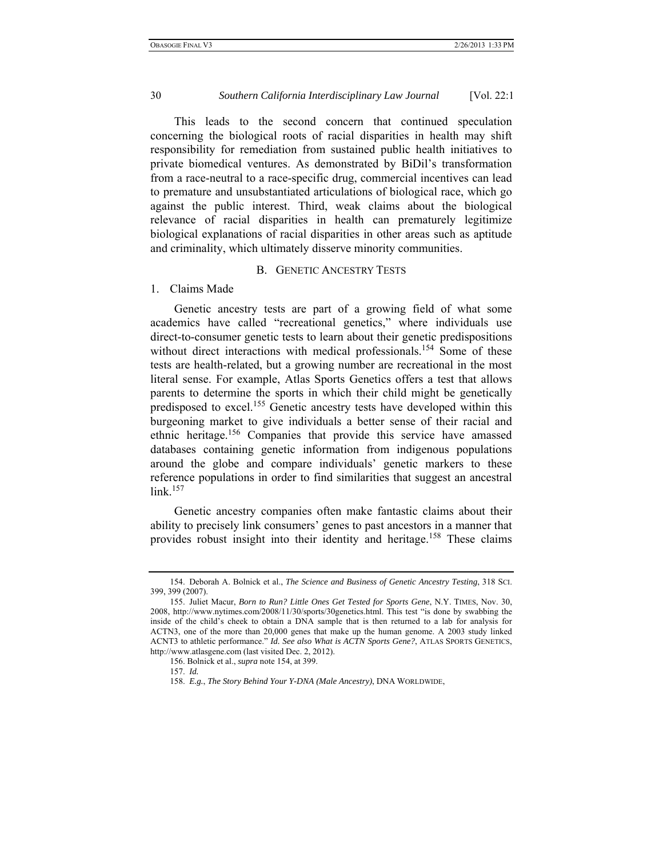This leads to the second concern that continued speculation concerning the biological roots of racial disparities in health may shift responsibility for remediation from sustained public health initiatives to private biomedical ventures. As demonstrated by BiDil's transformation from a race-neutral to a race-specific drug, commercial incentives can lead to premature and unsubstantiated articulations of biological race, which go against the public interest. Third, weak claims about the biological relevance of racial disparities in health can prematurely legitimize biological explanations of racial disparities in other areas such as aptitude and criminality, which ultimately disserve minority communities.

# B. GENETIC ANCESTRY TESTS

1. Claims Made

Genetic ancestry tests are part of a growing field of what some academics have called "recreational genetics," where individuals use direct-to-consumer genetic tests to learn about their genetic predispositions without direct interactions with medical professionals.<sup>154</sup> Some of these tests are health-related, but a growing number are recreational in the most literal sense. For example, Atlas Sports Genetics offers a test that allows parents to determine the sports in which their child might be genetically predisposed to excel.<sup>155</sup> Genetic ancestry tests have developed within this burgeoning market to give individuals a better sense of their racial and ethnic heritage.156 Companies that provide this service have amassed databases containing genetic information from indigenous populations around the globe and compare individuals' genetic markers to these reference populations in order to find similarities that suggest an ancestral  $link<sup>.157</sup>$ 

Genetic ancestry companies often make fantastic claims about their ability to precisely link consumers' genes to past ancestors in a manner that provides robust insight into their identity and heritage.158 These claims

<sup>154.</sup> Deborah A. Bolnick et al., *The Science and Business of Genetic Ancestry Testing*, 318 SCI. 399, 399 (2007).

<sup>155.</sup> Juliet Macur, *Born to Run? Little Ones Get Tested for Sports Gene*, N.Y. TIMES, Nov. 30, 2008, http://www.nytimes.com/2008/11/30/sports/30genetics.html. This test "is done by swabbing the inside of the child's cheek to obtain a DNA sample that is then returned to a lab for analysis for ACTN3, one of the more than 20,000 genes that make up the human genome. A 2003 study linked ACNT3 to athletic performance." *Id. See also What is ACTN Sports Gene?*, ATLAS SPORTS GENETICS, http://www.atlasgene.com (last visited Dec. 2, 2012).

<sup>156.</sup> Bolnick et al., *supra* note 154, at 399.

<sup>157.</sup> *Id.* 

<sup>158.</sup> *E.g.*, *The Story Behind Your Y-DNA (Male Ancestry)*, DNA WORLDWIDE,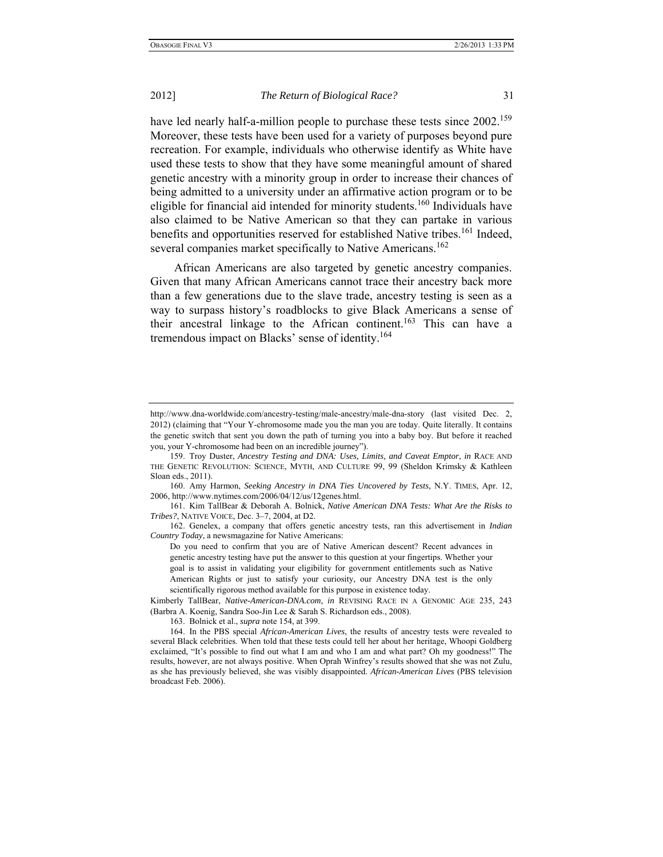have led nearly half-a-million people to purchase these tests since 2002.<sup>159</sup> Moreover, these tests have been used for a variety of purposes beyond pure recreation. For example, individuals who otherwise identify as White have used these tests to show that they have some meaningful amount of shared genetic ancestry with a minority group in order to increase their chances of being admitted to a university under an affirmative action program or to be eligible for financial aid intended for minority students.<sup>160</sup> Individuals have also claimed to be Native American so that they can partake in various benefits and opportunities reserved for established Native tribes.<sup>161</sup> Indeed, several companies market specifically to Native Americans.<sup>162</sup>

African Americans are also targeted by genetic ancestry companies. Given that many African Americans cannot trace their ancestry back more than a few generations due to the slave trade, ancestry testing is seen as a way to surpass history's roadblocks to give Black Americans a sense of their ancestral linkage to the African continent.<sup>163</sup> This can have a tremendous impact on Blacks' sense of identity.<sup>164</sup>

161. Kim TallBear & Deborah A. Bolnick, *Native American DNA Tests: What Are the Risks to Tribes?*, NATIVE VOICE, Dec. 3–7, 2004, at D2.

162. Genelex, a company that offers genetic ancestry tests, ran this advertisement in *Indian Country Today*, a newsmagazine for Native Americans:

Do you need to confirm that you are of Native American descent? Recent advances in genetic ancestry testing have put the answer to this question at your fingertips. Whether your goal is to assist in validating your eligibility for government entitlements such as Native American Rights or just to satisfy your curiosity, our Ancestry DNA test is the only scientifically rigorous method available for this purpose in existence today.

Kimberly TallBear, *Native-American-DNA.com*, *in* REVISING RACE IN A GENOMIC AGE 235, 243 (Barbra A. Koenig, Sandra Soo-Jin Lee & Sarah S. Richardson eds., 2008).

163. Bolnick et al., *supra* note 154, at 399.

http://www.dna-worldwide.com/ancestry-testing/male-ancestry/male-dna-story (last visited Dec. 2, 2012) (claiming that "Your Y-chromosome made you the man you are today. Quite literally. It contains the genetic switch that sent you down the path of turning you into a baby boy. But before it reached you, your Y-chromosome had been on an incredible journey").

<sup>159.</sup> Troy Duster, *Ancestry Testing and DNA: Uses, Limits, and Caveat Emptor*, *in* RACE AND THE GENETIC REVOLUTION: SCIENCE, MYTH, AND CULTURE 99, 99 (Sheldon Krimsky & Kathleen Sloan eds., 2011).

<sup>160.</sup> Amy Harmon, *Seeking Ancestry in DNA Ties Uncovered by Tests*, N.Y. TIMES, Apr. 12, 2006, http://www.nytimes.com/2006/04/12/us/12genes.html.

<sup>164.</sup> In the PBS special *African-American Lives*, the results of ancestry tests were revealed to several Black celebrities. When told that these tests could tell her about her heritage, Whoopi Goldberg exclaimed, "It's possible to find out what I am and who I am and what part? Oh my goodness!" The results, however, are not always positive. When Oprah Winfrey's results showed that she was not Zulu, as she has previously believed, she was visibly disappointed. *African-American Lives* (PBS television broadcast Feb. 2006).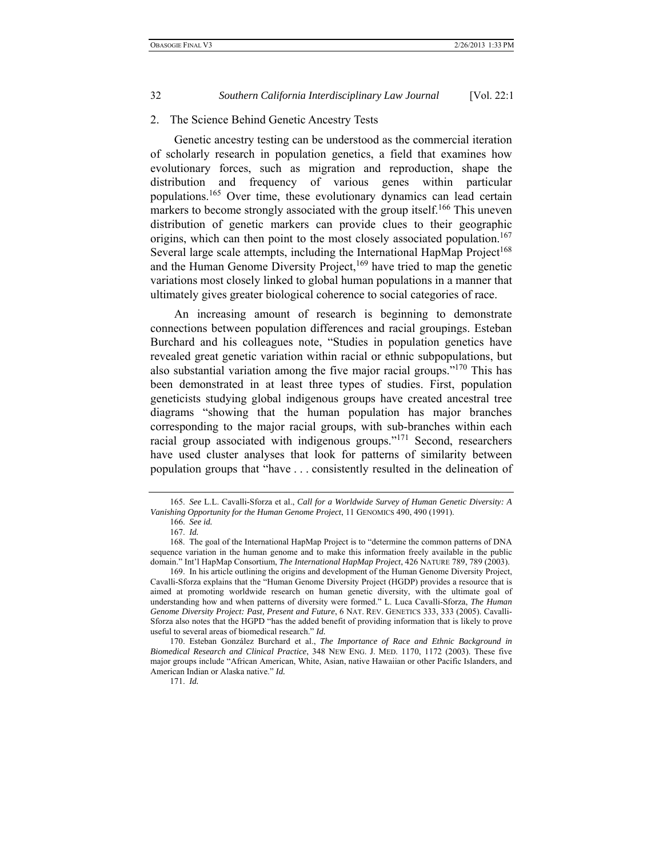#### 2. The Science Behind Genetic Ancestry Tests

Genetic ancestry testing can be understood as the commercial iteration of scholarly research in population genetics, a field that examines how evolutionary forces, such as migration and reproduction, shape the distribution and frequency of various genes within particular populations.165 Over time, these evolutionary dynamics can lead certain markers to become strongly associated with the group itself.<sup>166</sup> This uneven distribution of genetic markers can provide clues to their geographic origins, which can then point to the most closely associated population.<sup>167</sup> Several large scale attempts, including the International HapMap  $Project^{168}$ and the Human Genome Diversity Project,<sup>169</sup> have tried to map the genetic variations most closely linked to global human populations in a manner that ultimately gives greater biological coherence to social categories of race.

An increasing amount of research is beginning to demonstrate connections between population differences and racial groupings. Esteban Burchard and his colleagues note, "Studies in population genetics have revealed great genetic variation within racial or ethnic subpopulations, but also substantial variation among the five major racial groups."170 This has been demonstrated in at least three types of studies. First, population geneticists studying global indigenous groups have created ancestral tree diagrams "showing that the human population has major branches corresponding to the major racial groups, with sub-branches within each racial group associated with indigenous groups."<sup>171</sup> Second, researchers have used cluster analyses that look for patterns of similarity between population groups that "have . . . consistently resulted in the delineation of

170. Esteban González Burchard et al., *The Importance of Race and Ethnic Background in Biomedical Research and Clinical Practice*, 348 NEW ENG. J. MED. 1170, 1172 (2003). These five major groups include "African American, White, Asian, native Hawaiian or other Pacific Islanders, and American Indian or Alaska native." *Id.* 

171. *Id.*

<sup>165.</sup> *See* L.L. Cavalli-Sforza et al., *Call for a Worldwide Survey of Human Genetic Diversity: A Vanishing Opportunity for the Human Genome Project*, 11 GENOMICS 490, 490 (1991).

<sup>166.</sup> *See id.*

<sup>167.</sup> *Id.* 

<sup>168.</sup> The goal of the International HapMap Project is to "determine the common patterns of DNA sequence variation in the human genome and to make this information freely available in the public domain." Int'l HapMap Consortium, *The International HapMap Project*, 426 NATURE 789, 789 (2003).

<sup>169.</sup> In his article outlining the origins and development of the Human Genome Diversity Project, Cavalli-Sforza explains that the "Human Genome Diversity Project (HGDP) provides a resource that is aimed at promoting worldwide research on human genetic diversity, with the ultimate goal of understanding how and when patterns of diversity were formed." L. Luca Cavalli-Sforza, *The Human Genome Diversity Project: Past, Present and Future*, 6 NAT. REV. GENETICS 333, 333 (2005). Cavalli-Sforza also notes that the HGPD "has the added benefit of providing information that is likely to prove useful to several areas of biomedical research." *Id.*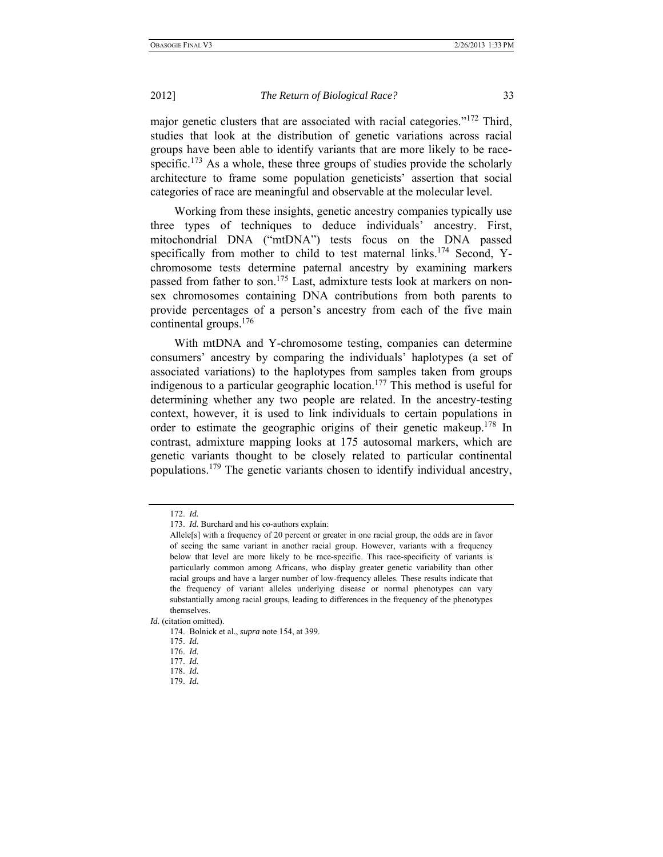major genetic clusters that are associated with racial categories."<sup>172</sup> Third, studies that look at the distribution of genetic variations across racial groups have been able to identify variants that are more likely to be racespecific.<sup>173</sup> As a whole, these three groups of studies provide the scholarly architecture to frame some population geneticists' assertion that social categories of race are meaningful and observable at the molecular level.

Working from these insights, genetic ancestry companies typically use three types of techniques to deduce individuals' ancestry. First, mitochondrial DNA ("mtDNA") tests focus on the DNA passed specifically from mother to child to test maternal links.<sup>174</sup> Second, Ychromosome tests determine paternal ancestry by examining markers passed from father to son.<sup>175</sup> Last, admixture tests look at markers on nonsex chromosomes containing DNA contributions from both parents to provide percentages of a person's ancestry from each of the five main continental groups.176

With mtDNA and Y-chromosome testing, companies can determine consumers' ancestry by comparing the individuals' haplotypes (a set of associated variations) to the haplotypes from samples taken from groups indigenous to a particular geographic location.<sup>177</sup> This method is useful for determining whether any two people are related. In the ancestry-testing context, however, it is used to link individuals to certain populations in order to estimate the geographic origins of their genetic makeup.<sup>178</sup> In contrast, admixture mapping looks at 175 autosomal markers, which are genetic variants thought to be closely related to particular continental populations.179 The genetic variants chosen to identify individual ancestry,

<sup>172.</sup> *Id.*

<sup>173.</sup> *Id.* Burchard and his co-authors explain:

Allele[s] with a frequency of 20 percent or greater in one racial group, the odds are in favor of seeing the same variant in another racial group. However, variants with a frequency below that level are more likely to be race-specific. This race-specificity of variants is particularly common among Africans, who display greater genetic variability than other racial groups and have a larger number of low-frequency alleles. These results indicate that the frequency of variant alleles underlying disease or normal phenotypes can vary substantially among racial groups, leading to differences in the frequency of the phenotypes themselves.

*Id.* (citation omitted).

<sup>174.</sup> Bolnick et al., *supra* note 154, at 399.

<sup>175.</sup> *Id.* 

<sup>176.</sup> *Id.* 

<sup>177.</sup> *Id.*

<sup>178.</sup> *Id.* 

<sup>179.</sup> *Id.*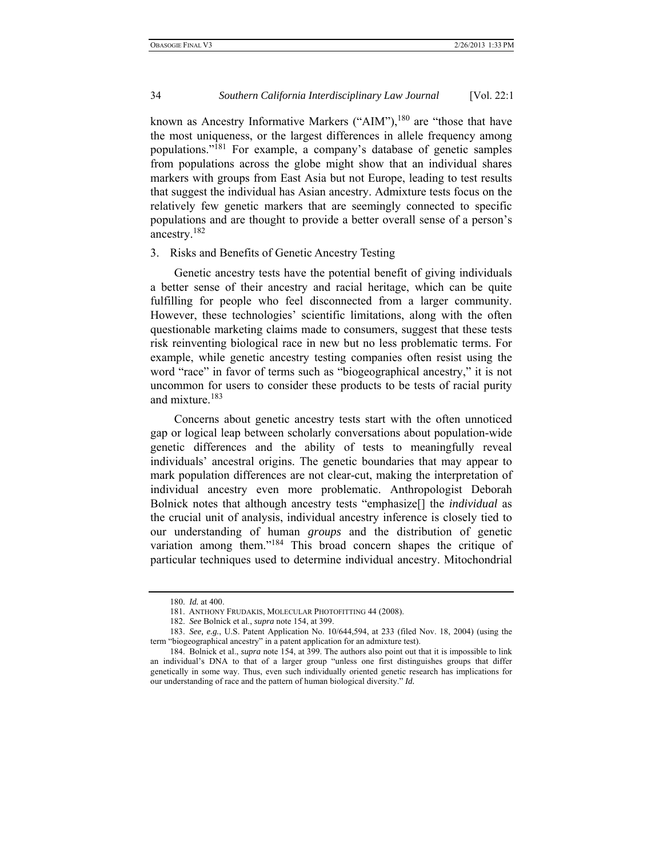known as Ancestry Informative Markers  $("AIM")$ <sup>180</sup> are "those that have the most uniqueness, or the largest differences in allele frequency among populations."181 For example, a company's database of genetic samples from populations across the globe might show that an individual shares markers with groups from East Asia but not Europe, leading to test results that suggest the individual has Asian ancestry. Admixture tests focus on the relatively few genetic markers that are seemingly connected to specific populations and are thought to provide a better overall sense of a person's ancestry.<sup>182</sup>

#### 3. Risks and Benefits of Genetic Ancestry Testing

Genetic ancestry tests have the potential benefit of giving individuals a better sense of their ancestry and racial heritage, which can be quite fulfilling for people who feel disconnected from a larger community. However, these technologies' scientific limitations, along with the often questionable marketing claims made to consumers, suggest that these tests risk reinventing biological race in new but no less problematic terms. For example, while genetic ancestry testing companies often resist using the word "race" in favor of terms such as "biogeographical ancestry," it is not uncommon for users to consider these products to be tests of racial purity and mixture.<sup>183</sup>

Concerns about genetic ancestry tests start with the often unnoticed gap or logical leap between scholarly conversations about population-wide genetic differences and the ability of tests to meaningfully reveal individuals' ancestral origins. The genetic boundaries that may appear to mark population differences are not clear-cut, making the interpretation of individual ancestry even more problematic. Anthropologist Deborah Bolnick notes that although ancestry tests "emphasize[] the *individual* as the crucial unit of analysis, individual ancestry inference is closely tied to our understanding of human *groups* and the distribution of genetic variation among them."184 This broad concern shapes the critique of particular techniques used to determine individual ancestry. Mitochondrial

<sup>180.</sup> *Id.* at 400.

<sup>181.</sup> ANTHONY FRUDAKIS, MOLECULAR PHOTOFITTING 44 (2008).

<sup>182.</sup> *See* Bolnick et al., *supra* note 154, at 399.

<sup>183.</sup> *See, e.g.*, U.S. Patent Application No. 10/644,594, at 233 (filed Nov. 18, 2004) (using the term "biogeographical ancestry" in a patent application for an admixture test).

<sup>184.</sup> Bolnick et al., *supra* note 154, at 399. The authors also point out that it is impossible to link an individual's DNA to that of a larger group "unless one first distinguishes groups that differ genetically in some way. Thus, even such individually oriented genetic research has implications for our understanding of race and the pattern of human biological diversity." *Id.*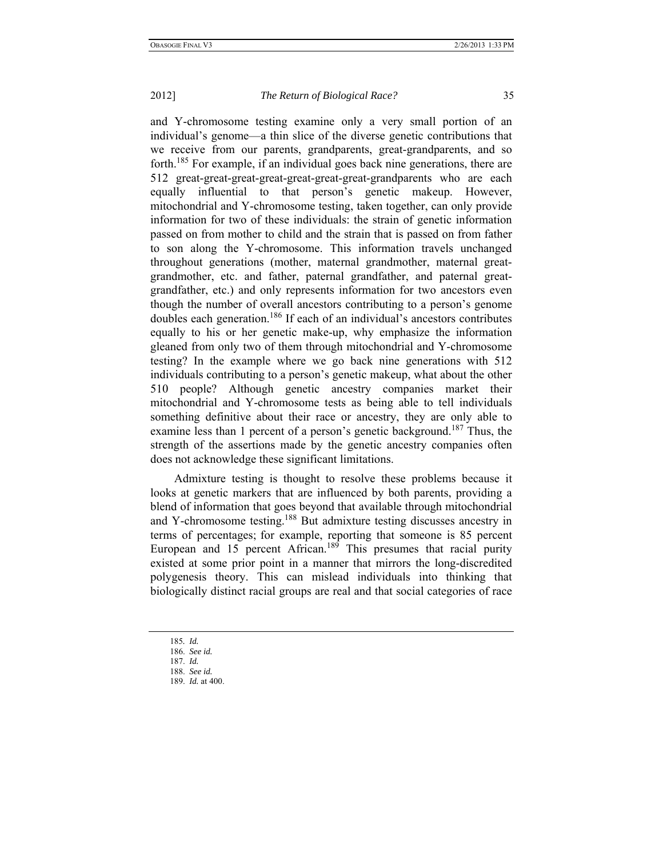and Y-chromosome testing examine only a very small portion of an individual's genome—a thin slice of the diverse genetic contributions that we receive from our parents, grandparents, great-grandparents, and so forth.<sup>185</sup> For example, if an individual goes back nine generations, there are 512 great-great-great-great-great-great-great-grandparents who are each equally influential to that person's genetic makeup. However, mitochondrial and Y-chromosome testing, taken together, can only provide information for two of these individuals: the strain of genetic information passed on from mother to child and the strain that is passed on from father to son along the Y-chromosome. This information travels unchanged throughout generations (mother, maternal grandmother, maternal greatgrandmother, etc. and father, paternal grandfather, and paternal greatgrandfather, etc.) and only represents information for two ancestors even though the number of overall ancestors contributing to a person's genome doubles each generation.186 If each of an individual's ancestors contributes equally to his or her genetic make-up, why emphasize the information gleaned from only two of them through mitochondrial and Y-chromosome testing? In the example where we go back nine generations with 512 individuals contributing to a person's genetic makeup, what about the other 510 people? Although genetic ancestry companies market their mitochondrial and Y-chromosome tests as being able to tell individuals something definitive about their race or ancestry, they are only able to examine less than 1 percent of a person's genetic background.<sup>187</sup> Thus, the strength of the assertions made by the genetic ancestry companies often does not acknowledge these significant limitations.

Admixture testing is thought to resolve these problems because it looks at genetic markers that are influenced by both parents, providing a blend of information that goes beyond that available through mitochondrial and Y-chromosome testing.188 But admixture testing discusses ancestry in terms of percentages; for example, reporting that someone is 85 percent European and 15 percent African.<sup>189</sup> This presumes that racial purity existed at some prior point in a manner that mirrors the long-discredited polygenesis theory. This can mislead individuals into thinking that biologically distinct racial groups are real and that social categories of race

- 185*. Id.*
- 186. *See id.*

<sup>187.</sup> *Id.* 

<sup>188.</sup> *See id.* 189. *Id.* at 400.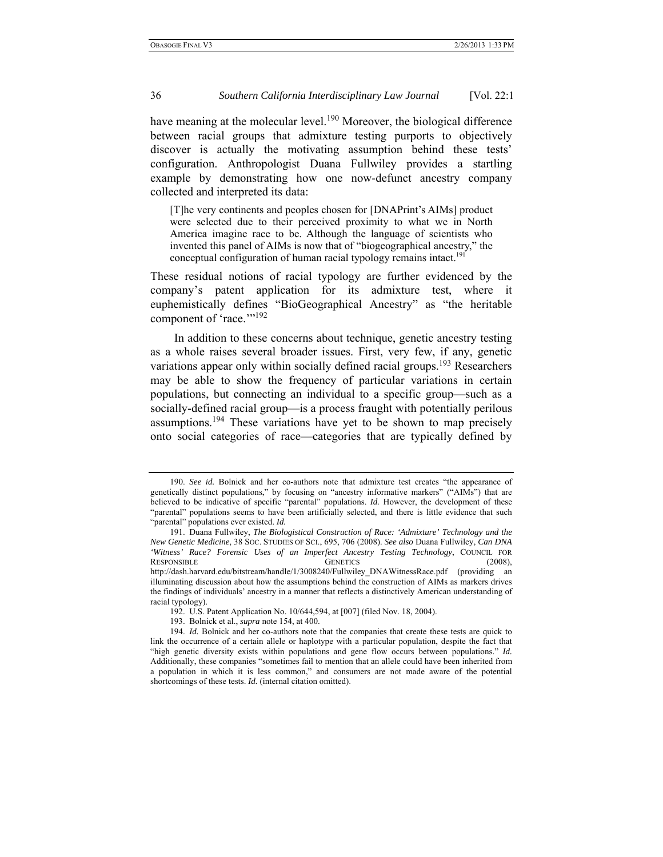have meaning at the molecular level.<sup>190</sup> Moreover, the biological difference between racial groups that admixture testing purports to objectively discover is actually the motivating assumption behind these tests' configuration. Anthropologist Duana Fullwiley provides a startling example by demonstrating how one now-defunct ancestry company collected and interpreted its data:

[T]he very continents and peoples chosen for [DNAPrint's AIMs] product were selected due to their perceived proximity to what we in North America imagine race to be. Although the language of scientists who invented this panel of AIMs is now that of "biogeographical ancestry," the conceptual configuration of human racial typology remains intact.<sup>191</sup>

These residual notions of racial typology are further evidenced by the company's patent application for its admixture test, where it euphemistically defines "BioGeographical Ancestry" as "the heritable component of 'race.'"<sup>192</sup>

In addition to these concerns about technique, genetic ancestry testing as a whole raises several broader issues. First, very few, if any, genetic variations appear only within socially defined racial groups.<sup>193</sup> Researchers may be able to show the frequency of particular variations in certain populations, but connecting an individual to a specific group—such as a socially-defined racial group—is a process fraught with potentially perilous assumptions.194 These variations have yet to be shown to map precisely onto social categories of race—categories that are typically defined by

<sup>190.</sup> *See id.* Bolnick and her co-authors note that admixture test creates "the appearance of genetically distinct populations," by focusing on "ancestry informative markers" ("AIMs") that are believed to be indicative of specific "parental" populations. *Id.* However, the development of these "parental" populations seems to have been artificially selected, and there is little evidence that such "parental" populations ever existed. *Id.*

<sup>191.</sup> Duana Fullwiley, *The Biologistical Construction of Race: 'Admixture' Technology and the New Genetic Medicine*, 38 SOC. STUDIES OF SCI., 695, 706 (2008). *See also* Duana Fullwiley, *Can DNA 'Witness' Race? Forensic Uses of an Imperfect Ancestry Testing Technology*, COUNCIL FOR RESPONSIBLE GENETICS (2008), http://dash.harvard.edu/bitstream/handle/1/3008240/Fullwiley\_DNAWitnessRace.pdf (providing an illuminating discussion about how the assumptions behind the construction of AIMs as markers drives the findings of individuals' ancestry in a manner that reflects a distinctively American understanding of racial typology).

<sup>192.</sup> U.S. Patent Application No. 10/644,594, at [007] (filed Nov. 18, 2004).

<sup>193.</sup> Bolnick et al., *supra* note 154, at 400.

<sup>194.</sup> *Id.* Bolnick and her co-authors note that the companies that create these tests are quick to link the occurrence of a certain allele or haplotype with a particular population, despite the fact that "high genetic diversity exists within populations and gene flow occurs between populations." *Id.* Additionally, these companies "sometimes fail to mention that an allele could have been inherited from a population in which it is less common," and consumers are not made aware of the potential shortcomings of these tests. *Id.* (internal citation omitted).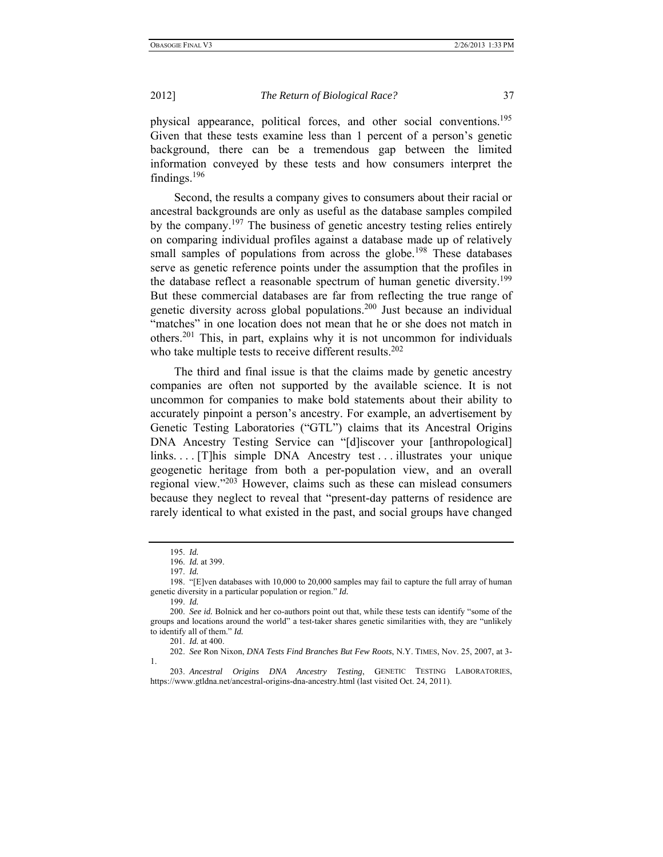physical appearance, political forces, and other social conventions.<sup>195</sup> Given that these tests examine less than 1 percent of a person's genetic background, there can be a tremendous gap between the limited information conveyed by these tests and how consumers interpret the findings.196

Second, the results a company gives to consumers about their racial or ancestral backgrounds are only as useful as the database samples compiled by the company.<sup>197</sup> The business of genetic ancestry testing relies entirely on comparing individual profiles against a database made up of relatively small samples of populations from across the globe.<sup>198</sup> These databases serve as genetic reference points under the assumption that the profiles in the database reflect a reasonable spectrum of human genetic diversity.<sup>199</sup> But these commercial databases are far from reflecting the true range of genetic diversity across global populations.200 Just because an individual "matches" in one location does not mean that he or she does not match in others.201 This, in part, explains why it is not uncommon for individuals who take multiple tests to receive different results.<sup>202</sup>

The third and final issue is that the claims made by genetic ancestry companies are often not supported by the available science. It is not uncommon for companies to make bold statements about their ability to accurately pinpoint a person's ancestry. For example, an advertisement by Genetic Testing Laboratories ("GTL") claims that its Ancestral Origins DNA Ancestry Testing Service can "[d]iscover your [anthropological] links.... [T]his simple DNA Ancestry test... illustrates your unique geogenetic heritage from both a per-population view, and an overall regional view."203 However, claims such as these can mislead consumers because they neglect to reveal that "present-day patterns of residence are rarely identical to what existed in the past, and social groups have changed

<sup>195.</sup> *Id.* 

<sup>196.</sup> *Id.* at 399.

<sup>197.</sup> *Id.*

<sup>198. &</sup>quot;[E]ven databases with 10,000 to 20,000 samples may fail to capture the full array of human genetic diversity in a particular population or region." *Id.*

<sup>199.</sup> *Id.* 

<sup>200.</sup> *See id.* Bolnick and her co-authors point out that, while these tests can identify "some of the groups and locations around the world" a test-taker shares genetic similarities with, they are "unlikely to identify all of them." *Id.*

<sup>201.</sup> *Id.* at 400.

<sup>202.</sup> *See* Ron Nixon, *DNA Tests Find Branches But Few Roots*, N.Y. TIMES, Nov. 25, 2007, at 3- 1.

<sup>203.</sup> *Ancestral Origins DNA Ancestry Testing*, GENETIC TESTING LABORATORIES, https://www.gtldna.net/ancestral-origins-dna-ancestry.html (last visited Oct. 24, 2011).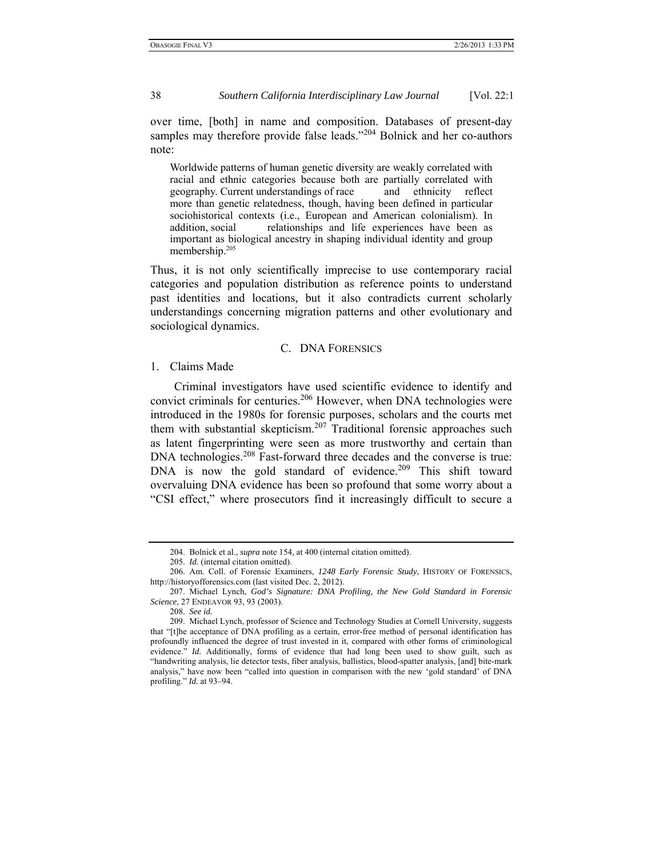over time, [both] in name and composition. Databases of present-day samples may therefore provide false leads."<sup>204</sup> Bolnick and her co-authors note:

Worldwide patterns of human genetic diversity are weakly correlated with racial and ethnic categories because both are partially correlated with geography. Current understandings of race and ethnicity reflect more than genetic relatedness, though, having been defined in particular sociohistorical contexts (i.e., European and American colonialism). In addition, social relationships and life experiences have been as important as biological ancestry in shaping individual identity and group membership.<sup>205</sup>

Thus, it is not only scientifically imprecise to use contemporary racial categories and population distribution as reference points to understand past identities and locations, but it also contradicts current scholarly understandings concerning migration patterns and other evolutionary and sociological dynamics.

#### C. DNA FORENSICS

## 1. Claims Made

Criminal investigators have used scientific evidence to identify and convict criminals for centuries.<sup>206</sup> However, when DNA technologies were introduced in the 1980s for forensic purposes, scholars and the courts met them with substantial skepticism.<sup>207</sup> Traditional forensic approaches such as latent fingerprinting were seen as more trustworthy and certain than DNA technologies.<sup>208</sup> Fast-forward three decades and the converse is true: DNA is now the gold standard of evidence.<sup>209</sup> This shift toward overvaluing DNA evidence has been so profound that some worry about a "CSI effect," where prosecutors find it increasingly difficult to secure a

<sup>204.</sup> Bolnick et al., *supra* note 154, at 400 (internal citation omitted).

<sup>205.</sup> *Id.* (internal citation omitted).

<sup>206.</sup> Am. Coll. of Forensic Examiners, *1248 Early Forensic Study*, HISTORY OF FORENSICS, http://historyofforensics.com (last visited Dec. 2, 2012).

<sup>207.</sup> Michael Lynch, *God's Signature: DNA Profiling, the New Gold Standard in Forensic Science*, 27 ENDEAVOR 93, 93 (2003).

<sup>208.</sup> *See id.*

<sup>209.</sup> Michael Lynch, professor of Science and Technology Studies at Cornell University, suggests that "[t]he acceptance of DNA profiling as a certain, error-free method of personal identification has profoundly influenced the degree of trust invested in it, compared with other forms of criminological evidence." *Id.* Additionally, forms of evidence that had long been used to show guilt, such as "handwriting analysis, lie detector tests, fiber analysis, ballistics, blood-spatter analysis, [and] bite-mark analysis," have now been "called into question in comparison with the new 'gold standard' of DNA profiling." *Id.* at 93–94.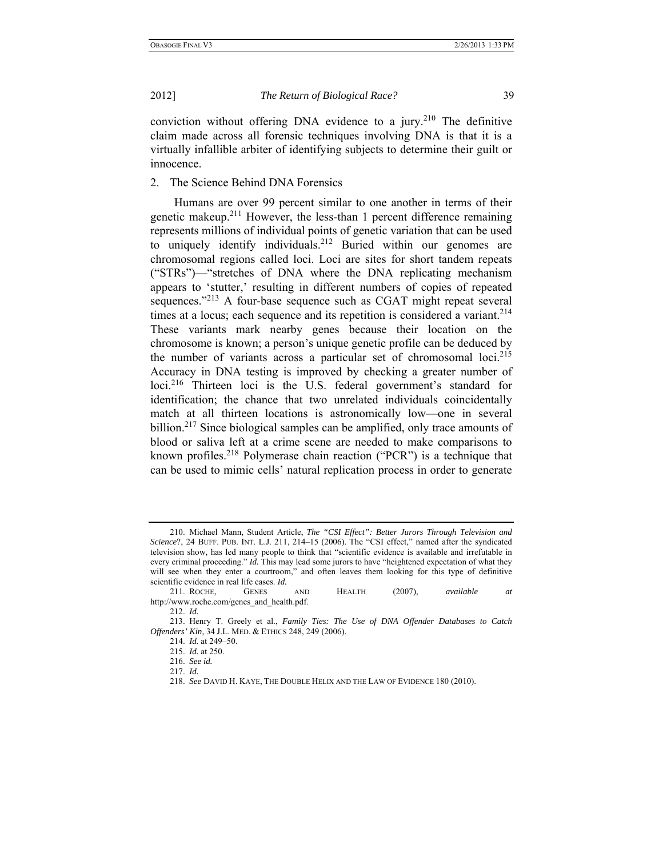conviction without offering DNA evidence to a jury.<sup>210</sup> The definitive claim made across all forensic techniques involving DNA is that it is a virtually infallible arbiter of identifying subjects to determine their guilt or innocence.

#### 2. The Science Behind DNA Forensics

Humans are over 99 percent similar to one another in terms of their genetic makeup.211 However, the less-than 1 percent difference remaining represents millions of individual points of genetic variation that can be used to uniquely identify individuals.<sup>212</sup> Buried within our genomes are chromosomal regions called loci. Loci are sites for short tandem repeats ("STRs")—"stretches of DNA where the DNA replicating mechanism appears to 'stutter,' resulting in different numbers of copies of repeated sequences."<sup>213</sup> A four-base sequence such as CGAT might repeat several times at a locus; each sequence and its repetition is considered a variant.<sup>214</sup> These variants mark nearby genes because their location on the chromosome is known; a person's unique genetic profile can be deduced by the number of variants across a particular set of chromosomal loci.<sup>215</sup> Accuracy in DNA testing is improved by checking a greater number of loci.<sup>216</sup> Thirteen loci is the U.S. federal government's standard for identification; the chance that two unrelated individuals coincidentally match at all thirteen locations is astronomically low—one in several billion.<sup>217</sup> Since biological samples can be amplified, only trace amounts of blood or saliva left at a crime scene are needed to make comparisons to known profiles.<sup>218</sup> Polymerase chain reaction ("PCR") is a technique that can be used to mimic cells' natural replication process in order to generate

<sup>210.</sup> Michael Mann, Student Article, *The "CSI Effect": Better Jurors Through Television and Science*?, 24 BUFF. PUB. INT. L.J. 211, 214–15 (2006). The "CSI effect," named after the syndicated television show, has led many people to think that "scientific evidence is available and irrefutable in every criminal proceeding." *Id.* This may lead some jurors to have "heightened expectation of what they will see when they enter a courtroom," and often leaves them looking for this type of definitive scientific evidence in real life cases. *Id.*

<sup>211.</sup> ROCHE, GENES AND HEALTH (2007), *available at* http://www.roche.com/genes\_and\_health.pdf.

<sup>212.</sup> *Id.*

<sup>213.</sup> Henry T. Greely et al., *Family Ties: The Use of DNA Offender Databases to Catch Offenders' Kin*, 34 J.L. MED. & ETHICS 248, 249 (2006).

<sup>214.</sup> *Id.* at 249–50.

<sup>215.</sup> *Id.* at 250.

<sup>216.</sup> *See id.*

<sup>217.</sup> *Id.*

<sup>218.</sup> *See* DAVID H. KAYE, THE DOUBLE HELIX AND THE LAW OF EVIDENCE 180 (2010).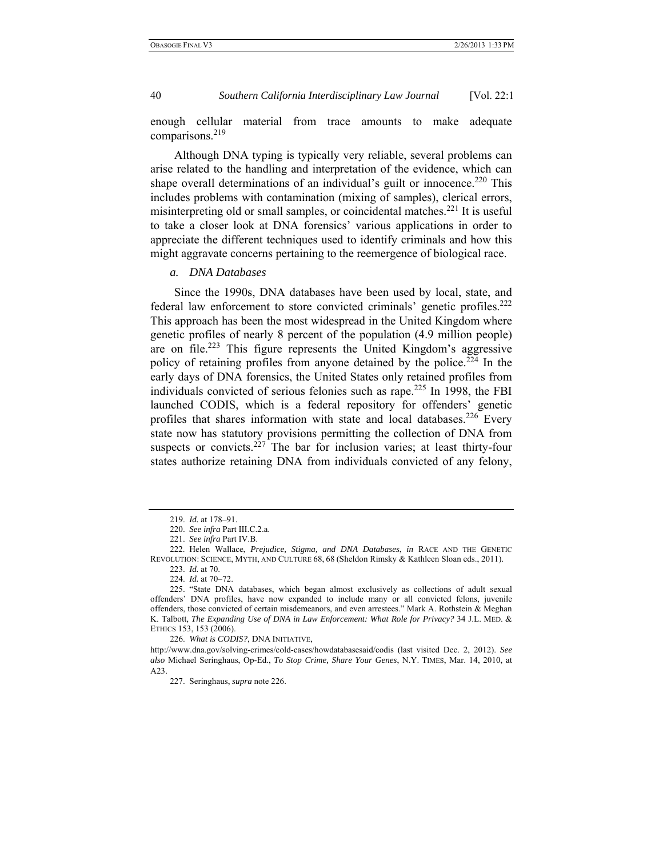enough cellular material from trace amounts to make adequate comparisons.<sup>219</sup>

Although DNA typing is typically very reliable, several problems can arise related to the handling and interpretation of the evidence, which can shape overall determinations of an individual's guilt or innocence.<sup>220</sup> This includes problems with contamination (mixing of samples), clerical errors, misinterpreting old or small samples, or coincidental matches.221 It is useful to take a closer look at DNA forensics' various applications in order to appreciate the different techniques used to identify criminals and how this might aggravate concerns pertaining to the reemergence of biological race.

*a. DNA Databases* 

Since the 1990s, DNA databases have been used by local, state, and federal law enforcement to store convicted criminals' genetic profiles.<sup>222</sup> This approach has been the most widespread in the United Kingdom where genetic profiles of nearly 8 percent of the population (4.9 million people) are on file.<sup>223</sup> This figure represents the United Kingdom's aggressive policy of retaining profiles from anyone detained by the police.<sup>224</sup> In the early days of DNA forensics, the United States only retained profiles from individuals convicted of serious felonies such as rape.<sup>225</sup> In 1998, the FBI launched CODIS, which is a federal repository for offenders' genetic profiles that shares information with state and local databases.<sup>226</sup> Every state now has statutory provisions permitting the collection of DNA from suspects or convicts.<sup>227</sup> The bar for inclusion varies; at least thirty-four states authorize retaining DNA from individuals convicted of any felony,

226. *What is CODIS?*, DNA INITIATIVE,

<sup>219.</sup> *Id.* at 178–91.

<sup>220.</sup> *See infra* Part III.C.2.a.

<sup>221.</sup> *See infra* Part IV.B.

<sup>222.</sup> Helen Wallace, *Prejudice, Stigma, and DNA Databases*, *in* RACE AND THE GENETIC REVOLUTION: SCIENCE, MYTH, AND CULTURE 68, 68 (Sheldon Rimsky & Kathleen Sloan eds., 2011).

<sup>223.</sup> *Id.* at 70.

<sup>224.</sup> *Id.* at 70–72.

<sup>225. &</sup>quot;State DNA databases, which began almost exclusively as collections of adult sexual offenders' DNA profiles, have now expanded to include many or all convicted felons, juvenile offenders, those convicted of certain misdemeanors, and even arrestees." Mark A. Rothstein & Meghan K. Talbott, *The Expanding Use of DNA in Law Enforcement: What Role for Privacy?* 34 J.L. MED. & ETHICS 153, 153 (2006).

http://www.dna.gov/solving-crimes/cold-cases/howdatabasesaid/codis (last visited Dec. 2, 2012). *See also* Michael Seringhaus, Op-Ed., *To Stop Crime, Share Your Genes*, N.Y. TIMES, Mar. 14, 2010, at A23.

<sup>227.</sup> Seringhaus, *supra* note 226.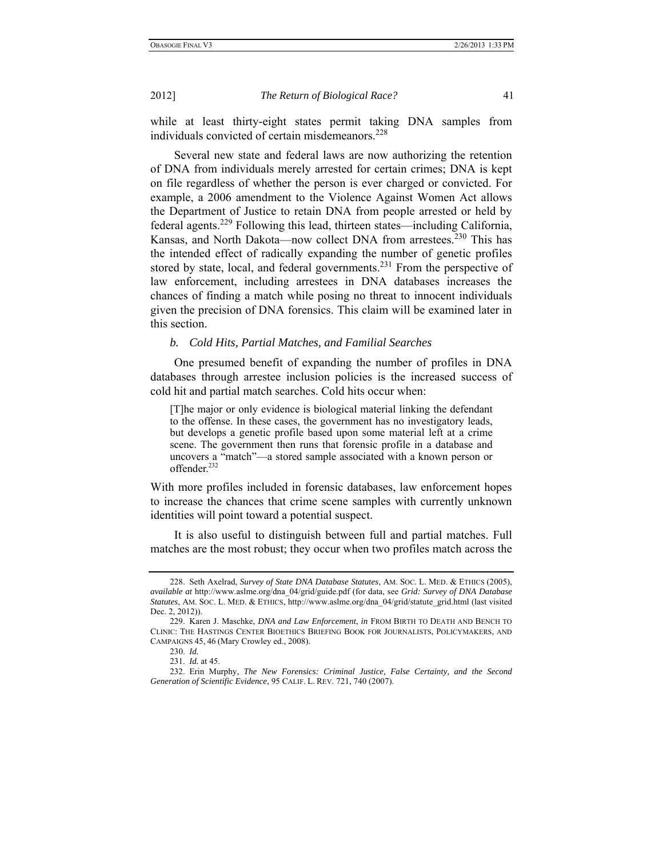while at least thirty-eight states permit taking DNA samples from individuals convicted of certain misdemeanors.<sup>228</sup>

Several new state and federal laws are now authorizing the retention of DNA from individuals merely arrested for certain crimes; DNA is kept on file regardless of whether the person is ever charged or convicted. For example, a 2006 amendment to the Violence Against Women Act allows the Department of Justice to retain DNA from people arrested or held by federal agents.229 Following this lead, thirteen states—including California, Kansas, and North Dakota—now collect DNA from arrestees.<sup>230</sup> This has the intended effect of radically expanding the number of genetic profiles stored by state, local, and federal governments.<sup>231</sup> From the perspective of law enforcement, including arrestees in DNA databases increases the chances of finding a match while posing no threat to innocent individuals given the precision of DNA forensics. This claim will be examined later in this section.

#### *b. Cold Hits, Partial Matches, and Familial Searches*

One presumed benefit of expanding the number of profiles in DNA databases through arrestee inclusion policies is the increased success of cold hit and partial match searches. Cold hits occur when:

[T]he major or only evidence is biological material linking the defendant to the offense. In these cases, the government has no investigatory leads, but develops a genetic profile based upon some material left at a crime scene. The government then runs that forensic profile in a database and uncovers a "match"—a stored sample associated with a known person or offender.<sup>232</sup>

With more profiles included in forensic databases, law enforcement hopes to increase the chances that crime scene samples with currently unknown identities will point toward a potential suspect.

It is also useful to distinguish between full and partial matches. Full matches are the most robust; they occur when two profiles match across the

<sup>228.</sup> Seth Axelrad, *Survey of State DNA Database Statutes*, AM. SOC. L. MED. & ETHICS (2005), *available at* http://www.aslme.org/dna\_04/grid/guide.pdf (for data, see *Grid: Survey of DNA Database Statutes*, AM. SOC. L. MED. & ETHICS, http://www.aslme.org/dna\_04/grid/statute\_grid.html (last visited Dec. 2, 2012)).

<sup>229.</sup> Karen J. Maschke, *DNA and Law Enforcement*, *in* FROM BIRTH TO DEATH AND BENCH TO CLINIC: THE HASTINGS CENTER BIOETHICS BRIEFING BOOK FOR JOURNALISTS, POLICYMAKERS, AND CAMPAIGNS 45, 46 (Mary Crowley ed., 2008).

<sup>230.</sup> *Id.* 

<sup>231.</sup> *Id.* at 45.

<sup>232.</sup> Erin Murphy, *The New Forensics: Criminal Justice, False Certainty, and the Second Generation of Scientific Evidence*, 95 CALIF. L. REV. 721, 740 (2007).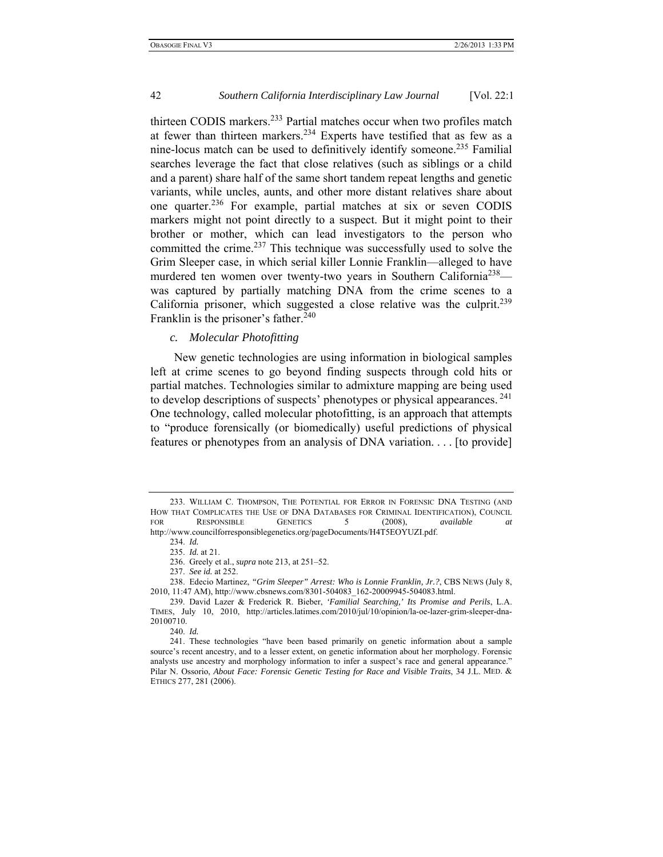thirteen CODIS markers.<sup>233</sup> Partial matches occur when two profiles match at fewer than thirteen markers.<sup>234</sup> Experts have testified that as few as a nine-locus match can be used to definitively identify someone.<sup>235</sup> Familial searches leverage the fact that close relatives (such as siblings or a child and a parent) share half of the same short tandem repeat lengths and genetic variants, while uncles, aunts, and other more distant relatives share about one quarter.<sup>236</sup> For example, partial matches at six or seven CODIS markers might not point directly to a suspect. But it might point to their brother or mother, which can lead investigators to the person who committed the crime.<sup>237</sup> This technique was successfully used to solve the Grim Sleeper case, in which serial killer Lonnie Franklin—alleged to have murdered ten women over twenty-two years in Southern California<sup>238</sup> was captured by partially matching DNA from the crime scenes to a California prisoner, which suggested a close relative was the culprit.<sup>239</sup> Franklin is the prisoner's father.<sup>240</sup>

# *c. Molecular Photofitting*

New genetic technologies are using information in biological samples left at crime scenes to go beyond finding suspects through cold hits or partial matches. Technologies similar to admixture mapping are being used to develop descriptions of suspects' phenotypes or physical appearances.<sup>241</sup> One technology, called molecular photofitting, is an approach that attempts to "produce forensically (or biomedically) useful predictions of physical features or phenotypes from an analysis of DNA variation. . . . [to provide]

<sup>233.</sup> WILLIAM C. THOMPSON, THE POTENTIAL FOR ERROR IN FORENSIC DNA TESTING (AND HOW THAT COMPLICATES THE USE OF DNA DATABASES FOR CRIMINAL IDENTIFICATION), COUNCIL FOR RESPONSIBLE GENETICS 5 (2008), *available at*  http://www.councilforresponsiblegenetics.org/pageDocuments/H4T5EOYUZI.pdf.

<sup>234.</sup> *Id.*

<sup>235.</sup> *Id.* at 21.

<sup>236.</sup> Greely et al., *supra* note 213, at 251–52.

<sup>237.</sup> *See id.* at 252.

<sup>238.</sup> Edecio Martinez, *"Grim Sleeper" Arrest: Who is Lonnie Franklin, Jr.?*, CBS NEWS (July 8, 2010, 11:47 AM), http://www.cbsnews.com/8301-504083\_162-20009945-504083.html.

<sup>239.</sup> David Lazer & Frederick R. Bieber, *'Familial Searching,' Its Promise and Perils*, L.A. TIMES, July 10, 2010, http://articles.latimes.com/2010/jul/10/opinion/la-oe-lazer-grim-sleeper-dna-20100710.

<sup>240.</sup> *Id.* 

<sup>241.</sup> These technologies "have been based primarily on genetic information about a sample source's recent ancestry, and to a lesser extent, on genetic information about her morphology. Forensic analysts use ancestry and morphology information to infer a suspect's race and general appearance." Pilar N. Ossorio, *About Face: Forensic Genetic Testing for Race and Visible Traits*, 34 J.L. MED. & ETHICS 277, 281 (2006).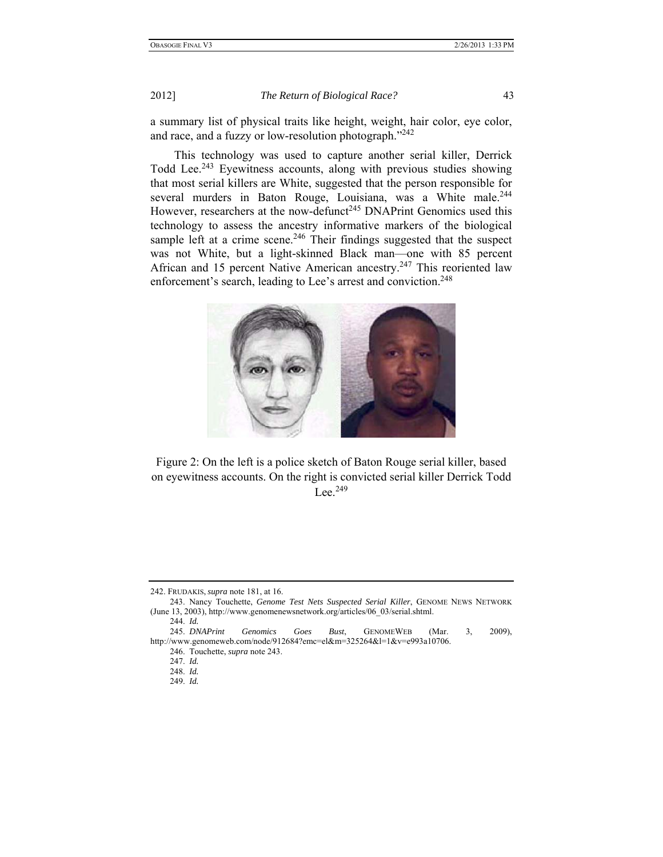a summary list of physical traits like height, weight, hair color, eye color, and race, and a fuzzy or low-resolution photograph."<sup>242</sup>

This technology was used to capture another serial killer, Derrick Todd Lee.<sup>243</sup> Eyewitness accounts, along with previous studies showing that most serial killers are White, suggested that the person responsible for several murders in Baton Rouge, Louisiana, was a White male.<sup>244</sup> However, researchers at the now-defunct<sup>245</sup> DNAPrint Genomics used this technology to assess the ancestry informative markers of the biological sample left at a crime scene. $246$  Their findings suggested that the suspect was not White, but a light-skinned Black man—one with 85 percent African and 15 percent Native American ancestry.<sup>247</sup> This reoriented law enforcement's search, leading to Lee's arrest and conviction.<sup>248</sup>



Figure 2: On the left is a police sketch of Baton Rouge serial killer, based on eyewitness accounts. On the right is convicted serial killer Derrick Todd Lee.<sup>249</sup>

<sup>242.</sup> FRUDAKIS, *supra* note 181, at 16.

<sup>243.</sup> Nancy Touchette, *Genome Test Nets Suspected Serial Killer*, GENOME NEWS NETWORK (June 13, 2003), http://www.genomenewsnetwork.org/articles/06\_03/serial.shtml.

<sup>244.</sup> *Id.* 

<sup>245.</sup> *DNAPrint Genomics Goes Bust*, GENOMEWEB (Mar. 3, 2009), http://www.genomeweb.com/node/912684?emc=el&m=325264&l=1&v=e993a10706. 246. Touchette, *supra* note 243.

<sup>247.</sup> *Id.*  248. *Id.* 

<sup>249.</sup> *Id.*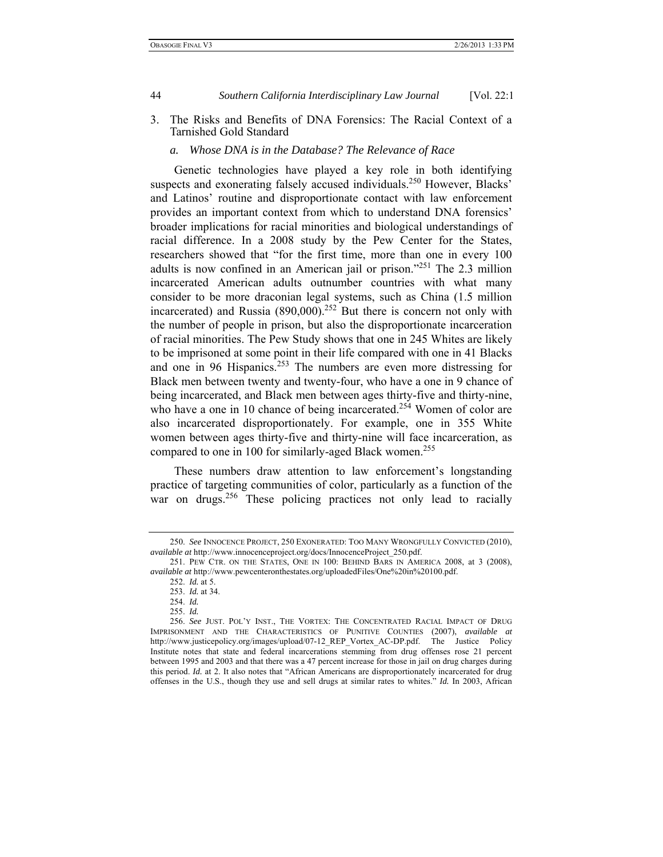- 3. The Risks and Benefits of DNA Forensics: The Racial Context of a Tarnished Gold Standard
	- *a. Whose DNA is in the Database? The Relevance of Race*

Genetic technologies have played a key role in both identifying suspects and exonerating falsely accused individuals.<sup>250</sup> However, Blacks' and Latinos' routine and disproportionate contact with law enforcement provides an important context from which to understand DNA forensics' broader implications for racial minorities and biological understandings of racial difference. In a 2008 study by the Pew Center for the States, researchers showed that "for the first time, more than one in every 100 adults is now confined in an American jail or prison."251 The 2.3 million incarcerated American adults outnumber countries with what many consider to be more draconian legal systems, such as China (1.5 million incarcerated) and Russia  $(890,000)$ <sup>252</sup> But there is concern not only with the number of people in prison, but also the disproportionate incarceration of racial minorities. The Pew Study shows that one in 245 Whites are likely to be imprisoned at some point in their life compared with one in 41 Blacks and one in 96 Hispanics.<sup>253</sup> The numbers are even more distressing for Black men between twenty and twenty-four, who have a one in 9 chance of being incarcerated, and Black men between ages thirty-five and thirty-nine, who have a one in 10 chance of being incarcerated.<sup>254</sup> Women of color are also incarcerated disproportionately. For example, one in 355 White women between ages thirty-five and thirty-nine will face incarceration, as compared to one in 100 for similarly-aged Black women.<sup>255</sup>

These numbers draw attention to law enforcement's longstanding practice of targeting communities of color, particularly as a function of the war on drugs.<sup>256</sup> These policing practices not only lead to racially

<sup>250.</sup> *See* INNOCENCE PROJECT, 250 EXONERATED: TOO MANY WRONGFULLY CONVICTED (2010), *available at* http://www.innocenceproject.org/docs/InnocenceProject\_250.pdf.

<sup>251.</sup> PEW CTR. ON THE STATES, ONE IN 100: BEHIND BARS IN AMERICA 2008, at 3 (2008), *available at* http://www.pewcenteronthestates.org/uploadedFiles/One%20in%20100.pdf.

<sup>252.</sup> *Id.* at 5.

<sup>253.</sup> *Id.* at 34.

<sup>254.</sup> *Id.*  255. *Id.* 

<sup>256.</sup> *See* JUST. POL'Y INST., THE VORTEX: THE CONCENTRATED RACIAL IMPACT OF DRUG IMPRISONMENT AND THE CHARACTERISTICS OF PUNITIVE COUNTIES (2007), *available at* http://www.justicepolicy.org/images/upload/07-12\_REP\_Vortex\_AC-DP.pdf. The Justice Policy Institute notes that state and federal incarcerations stemming from drug offenses rose 21 percent between 1995 and 2003 and that there was a 47 percent increase for those in jail on drug charges during this period. *Id.* at 2. It also notes that "African Americans are disproportionately incarcerated for drug offenses in the U.S., though they use and sell drugs at similar rates to whites." *Id.* In 2003, African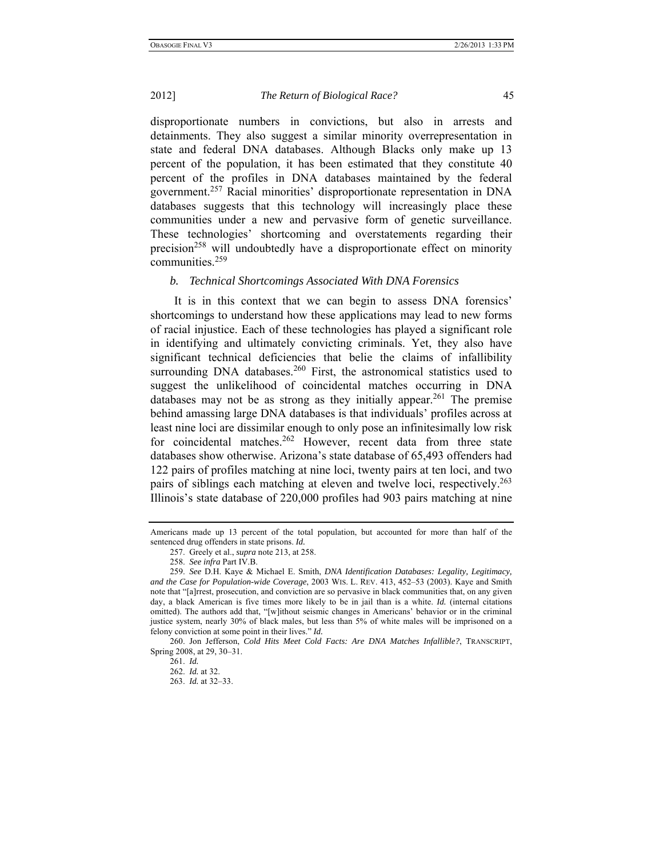disproportionate numbers in convictions, but also in arrests and detainments. They also suggest a similar minority overrepresentation in state and federal DNA databases. Although Blacks only make up 13 percent of the population, it has been estimated that they constitute 40 percent of the profiles in DNA databases maintained by the federal government.257 Racial minorities' disproportionate representation in DNA databases suggests that this technology will increasingly place these communities under a new and pervasive form of genetic surveillance. These technologies' shortcoming and overstatements regarding their precision<sup>258</sup> will undoubtedly have a disproportionate effect on minority communities.<sup>259</sup>

#### *b. Technical Shortcomings Associated With DNA Forensics*

It is in this context that we can begin to assess DNA forensics' shortcomings to understand how these applications may lead to new forms of racial injustice. Each of these technologies has played a significant role in identifying and ultimately convicting criminals. Yet, they also have significant technical deficiencies that belie the claims of infallibility surrounding DNA databases.<sup>260</sup> First, the astronomical statistics used to suggest the unlikelihood of coincidental matches occurring in DNA databases may not be as strong as they initially appear.<sup>261</sup> The premise behind amassing large DNA databases is that individuals' profiles across at least nine loci are dissimilar enough to only pose an infinitesimally low risk for coincidental matches.<sup>262</sup> However, recent data from three state databases show otherwise. Arizona's state database of 65,493 offenders had 122 pairs of profiles matching at nine loci, twenty pairs at ten loci, and two pairs of siblings each matching at eleven and twelve loci, respectively.<sup>263</sup> Illinois's state database of 220,000 profiles had 903 pairs matching at nine

Americans made up 13 percent of the total population, but accounted for more than half of the sentenced drug offenders in state prisons. *Id.*

<sup>257.</sup> Greely et al., *supra* note 213, at 258.

<sup>258.</sup> *See infra* Part IV.B.

<sup>259.</sup> *See* D.H. Kaye & Michael E. Smith, *DNA Identification Databases: Legality, Legitimacy, and the Case for Population-wide Coverage*, 2003 WIS. L. REV. 413, 452–53 (2003). Kaye and Smith note that "[a]rrest, prosecution, and conviction are so pervasive in black communities that, on any given day, a black American is five times more likely to be in jail than is a white. *Id.* (internal citations omitted). The authors add that, "[w]ithout seismic changes in Americans' behavior or in the criminal justice system, nearly 30% of black males, but less than 5% of white males will be imprisoned on a felony conviction at some point in their lives." *Id.*

<sup>260.</sup> Jon Jefferson, *Cold Hits Meet Cold Facts: Are DNA Matches Infallible?*, TRANSCRIPT, Spring 2008, at 29, 30–31.

<sup>261.</sup> *Id.* 

<sup>262.</sup> *Id.* at 32.

<sup>263.</sup> *Id.* at 32–33.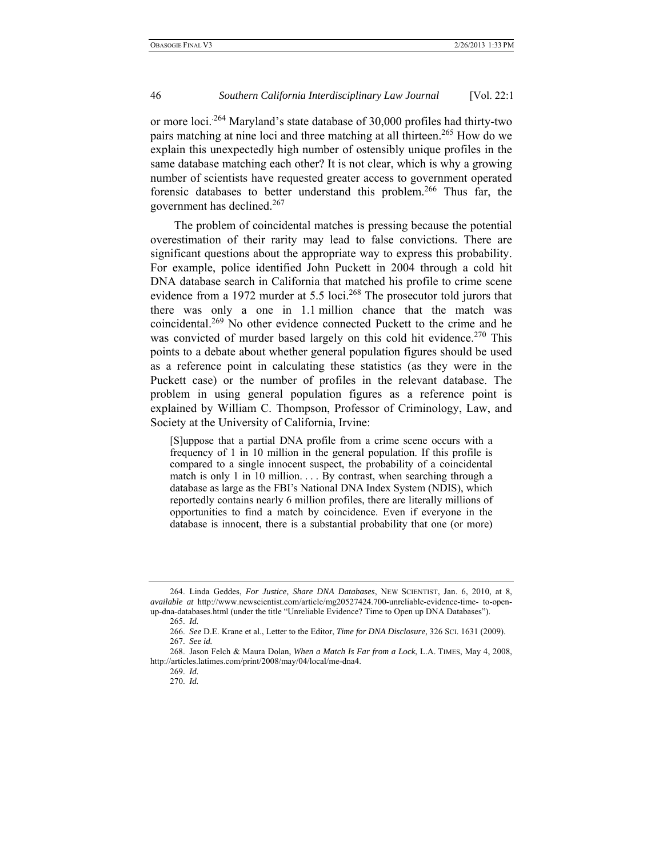or more loci.<sup>264</sup> Maryland's state database of 30,000 profiles had thirty-two pairs matching at nine loci and three matching at all thirteen.<sup>265</sup> How do we explain this unexpectedly high number of ostensibly unique profiles in the same database matching each other? It is not clear, which is why a growing number of scientists have requested greater access to government operated forensic databases to better understand this problem.266 Thus far, the government has declined.<sup>267</sup>

The problem of coincidental matches is pressing because the potential overestimation of their rarity may lead to false convictions. There are significant questions about the appropriate way to express this probability. For example, police identified John Puckett in 2004 through a cold hit DNA database search in California that matched his profile to crime scene evidence from a 1972 murder at 5.5 loci.<sup>268</sup> The prosecutor told jurors that there was only a one in 1.1 million chance that the match was coincidental.269 No other evidence connected Puckett to the crime and he was convicted of murder based largely on this cold hit evidence.<sup>270</sup> This points to a debate about whether general population figures should be used as a reference point in calculating these statistics (as they were in the Puckett case) or the number of profiles in the relevant database. The problem in using general population figures as a reference point is explained by William C. Thompson, Professor of Criminology, Law, and Society at the University of California, Irvine:

[S]uppose that a partial DNA profile from a crime scene occurs with a frequency of 1 in 10 million in the general population. If this profile is compared to a single innocent suspect, the probability of a coincidental match is only 1 in 10 million. . . . By contrast, when searching through a database as large as the FBI's National DNA Index System (NDIS), which reportedly contains nearly 6 million profiles, there are literally millions of opportunities to find a match by coincidence. Even if everyone in the database is innocent, there is a substantial probability that one (or more)

<sup>264.</sup> Linda Geddes, *For Justice, Share DNA Databases*, NEW SCIENTIST, Jan. 6, 2010, at 8, *available at* http://www.newscientist.com/article/mg20527424.700-unreliable-evidence-time- to-openup-dna-databases.html (under the title "Unreliable Evidence? Time to Open up DNA Databases").

<sup>265.</sup> *Id.* 

<sup>266.</sup> *See* D.E. Krane et al., Letter to the Editor, *Time for DNA Disclosure*, 326 SCI. 1631 (2009). 267. *See id.*

<sup>268.</sup> Jason Felch & Maura Dolan, *When a Match Is Far from a Lock*, L.A. TIMES, May 4, 2008, http://articles.latimes.com/print/2008/may/04/local/me-dna4.

<sup>269.</sup> *Id.*  270. *Id.*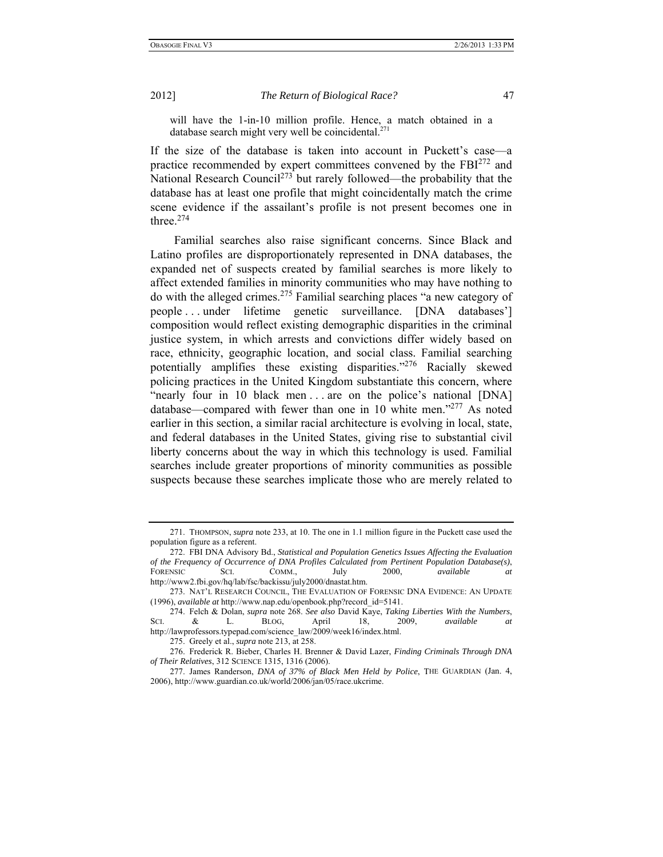will have the 1-in-10 million profile. Hence, a match obtained in a database search might very well be coincidental. $271$ 

If the size of the database is taken into account in Puckett's case—a practice recommended by expert committees convened by the FBI<sup>272</sup> and National Research Council<sup>273</sup> but rarely followed—the probability that the database has at least one profile that might coincidentally match the crime scene evidence if the assailant's profile is not present becomes one in three.<sup>274</sup>

Familial searches also raise significant concerns. Since Black and Latino profiles are disproportionately represented in DNA databases, the expanded net of suspects created by familial searches is more likely to affect extended families in minority communities who may have nothing to do with the alleged crimes.275 Familial searching places "a new category of people . . . under lifetime genetic surveillance. [DNA databases'] composition would reflect existing demographic disparities in the criminal justice system, in which arrests and convictions differ widely based on race, ethnicity, geographic location, and social class. Familial searching potentially amplifies these existing disparities."276 Racially skewed policing practices in the United Kingdom substantiate this concern, where "nearly four in 10 black men . . . are on the police's national [DNA] database—compared with fewer than one in 10 white men."277 As noted earlier in this section, a similar racial architecture is evolving in local, state, and federal databases in the United States, giving rise to substantial civil liberty concerns about the way in which this technology is used. Familial searches include greater proportions of minority communities as possible suspects because these searches implicate those who are merely related to

<sup>271.</sup> THOMPSON, *supra* note 233, at 10. The one in 1.1 million figure in the Puckett case used the population figure as a referent.

<sup>272.</sup> FBI DNA Advisory Bd., *Statistical and Population Genetics Issues Affecting the Evaluation of the Frequency of Occurrence of DNA Profiles Calculated from Pertinent Population Database(s)*, FORENSIC SCI. COMM., July 2000, *available at* http://www2.fbi.gov/hq/lab/fsc/backissu/july2000/dnastat.htm.

<sup>273.</sup> NAT'L RESEARCH COUNCIL, THE EVALUATION OF FORENSIC DNA EVIDENCE: AN UPDATE (1996), *available at* http://www.nap.edu/openbook.php?record\_id=5141.

<sup>274.</sup> Felch & Dolan, *supra* note 268. *See also* David Kaye, *Taking Liberties With the Numbers*, SCI. & L. BLOG, April 18, 2009, *available at* http://lawprofessors.typepad.com/science\_law/2009/week16/index.html.

<sup>275.</sup> Greely et al., *supra* note 213, at 258.

<sup>276.</sup> Frederick R. Bieber, Charles H. Brenner & David Lazer, *Finding Criminals Through DNA of Their Relatives*, 312 SCIENCE 1315, 1316 (2006).

<sup>277.</sup> James Randerson, *DNA of 37% of Black Men Held by Police*, THE GUARDIAN (Jan. 4, 2006), http://www.guardian.co.uk/world/2006/jan/05/race.ukcrime.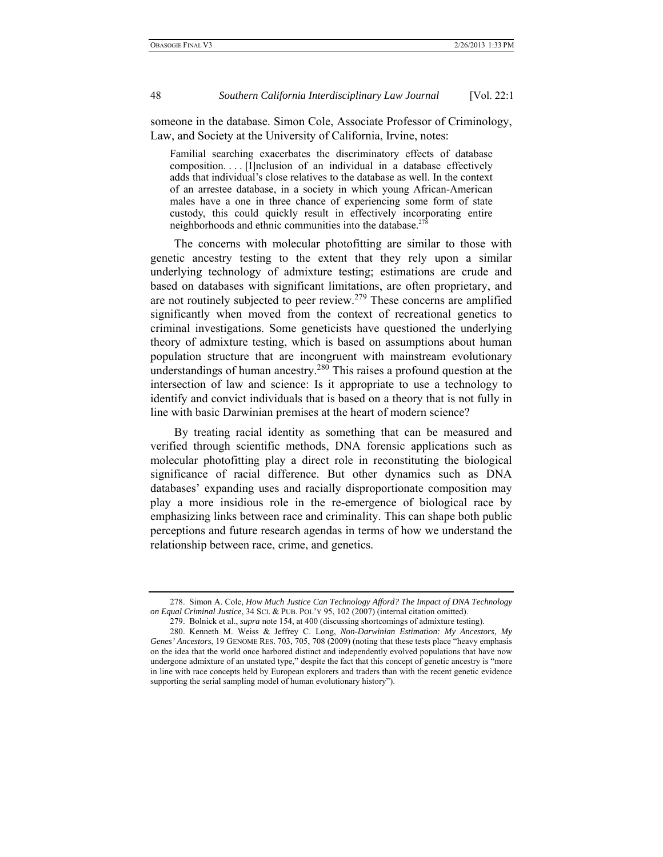someone in the database. Simon Cole, Associate Professor of Criminology, Law, and Society at the University of California, Irvine, notes:

Familial searching exacerbates the discriminatory effects of database composition. . . . [I]nclusion of an individual in a database effectively adds that individual's close relatives to the database as well. In the context of an arrestee database, in a society in which young African-American males have a one in three chance of experiencing some form of state custody, this could quickly result in effectively incorporating entire neighborhoods and ethnic communities into the database.<sup>27</sup>

The concerns with molecular photofitting are similar to those with genetic ancestry testing to the extent that they rely upon a similar underlying technology of admixture testing; estimations are crude and based on databases with significant limitations, are often proprietary, and are not routinely subjected to peer review.<sup>279</sup> These concerns are amplified significantly when moved from the context of recreational genetics to criminal investigations. Some geneticists have questioned the underlying theory of admixture testing, which is based on assumptions about human population structure that are incongruent with mainstream evolutionary understandings of human ancestry.<sup>280</sup> This raises a profound question at the intersection of law and science: Is it appropriate to use a technology to identify and convict individuals that is based on a theory that is not fully in line with basic Darwinian premises at the heart of modern science?

By treating racial identity as something that can be measured and verified through scientific methods, DNA forensic applications such as molecular photofitting play a direct role in reconstituting the biological significance of racial difference. But other dynamics such as DNA databases' expanding uses and racially disproportionate composition may play a more insidious role in the re-emergence of biological race by emphasizing links between race and criminality. This can shape both public perceptions and future research agendas in terms of how we understand the relationship between race, crime, and genetics.

<sup>278.</sup> Simon A. Cole, *How Much Justice Can Technology Afford? The Impact of DNA Technology on Equal Criminal Justice*, 34 SCI. & PUB. POL'Y 95, 102 (2007) (internal citation omitted).

<sup>279.</sup> Bolnick et al., *supra* note 154, at 400 (discussing shortcomings of admixture testing).

<sup>280.</sup> Kenneth M. Weiss & Jeffrey C. Long, *Non-Darwinian Estimation: My Ancestors, My Genes' Ancestors*, 19 GENOME RES. 703, 705, 708 (2009) (noting that these tests place "heavy emphasis on the idea that the world once harbored distinct and independently evolved populations that have now undergone admixture of an unstated type," despite the fact that this concept of genetic ancestry is "more in line with race concepts held by European explorers and traders than with the recent genetic evidence supporting the serial sampling model of human evolutionary history").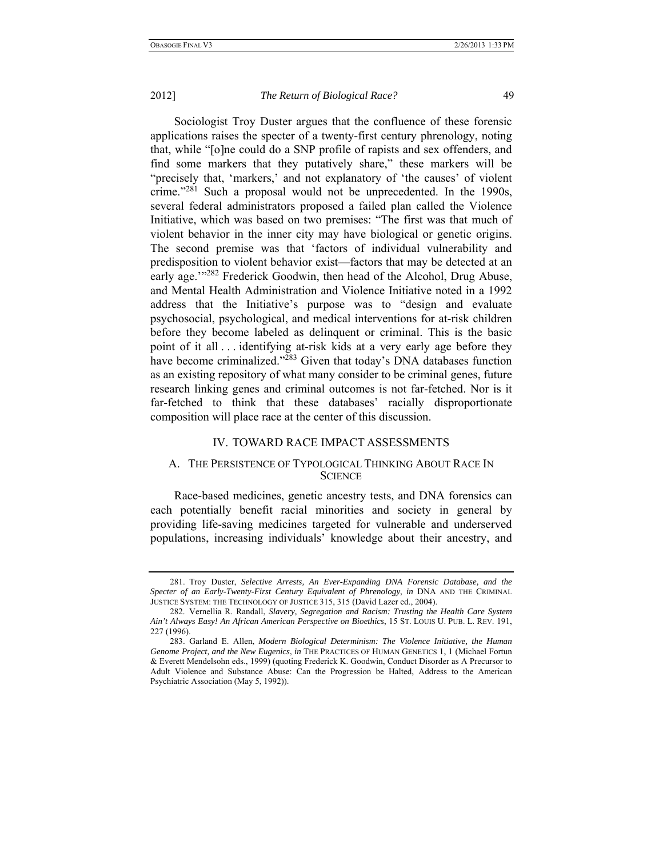Sociologist Troy Duster argues that the confluence of these forensic applications raises the specter of a twenty-first century phrenology, noting that, while "[o]ne could do a SNP profile of rapists and sex offenders, and find some markers that they putatively share," these markers will be "precisely that, 'markers,' and not explanatory of 'the causes' of violent crime."281 Such a proposal would not be unprecedented. In the 1990s, several federal administrators proposed a failed plan called the Violence Initiative, which was based on two premises: "The first was that much of violent behavior in the inner city may have biological or genetic origins. The second premise was that 'factors of individual vulnerability and predisposition to violent behavior exist—factors that may be detected at an early age.'"282 Frederick Goodwin, then head of the Alcohol, Drug Abuse, and Mental Health Administration and Violence Initiative noted in a 1992 address that the Initiative's purpose was to "design and evaluate psychosocial, psychological, and medical interventions for at-risk children before they become labeled as delinquent or criminal. This is the basic point of it all . . . identifying at-risk kids at a very early age before they have become criminalized." $^{283}$  Given that today's DNA databases function as an existing repository of what many consider to be criminal genes, future research linking genes and criminal outcomes is not far-fetched. Nor is it far-fetched to think that these databases' racially disproportionate composition will place race at the center of this discussion.

# IV. TOWARD RACE IMPACT ASSESSMENTS

# A. THE PERSISTENCE OF TYPOLOGICAL THINKING ABOUT RACE IN **SCIENCE**

Race-based medicines, genetic ancestry tests, and DNA forensics can each potentially benefit racial minorities and society in general by providing life-saving medicines targeted for vulnerable and underserved populations, increasing individuals' knowledge about their ancestry, and

<sup>281.</sup> Troy Duster, *Selective Arrests, An Ever-Expanding DNA Forensic Database, and the Specter of an Early-Twenty-First Century Equivalent of Phrenology*, *in* DNA AND THE CRIMINAL JUSTICE SYSTEM: THE TECHNOLOGY OF JUSTICE 315, 315 (David Lazer ed., 2004).

<sup>282.</sup> Vernellia R. Randall, *Slavery, Segregation and Racism: Trusting the Health Care System Ain't Always Easy! An African American Perspective on Bioethics*, 15 ST. LOUIS U. PUB. L. REV. 191, 227 (1996).

<sup>283.</sup> Garland E. Allen, *Modern Biological Determinism: The Violence Initiative, the Human Genome Project, and the New Eugenics*, *in* THE PRACTICES OF HUMAN GENETICS 1, 1 (Michael Fortun & Everett Mendelsohn eds., 1999) (quoting Frederick K. Goodwin, Conduct Disorder as A Precursor to Adult Violence and Substance Abuse: Can the Progression be Halted, Address to the American Psychiatric Association (May 5, 1992)).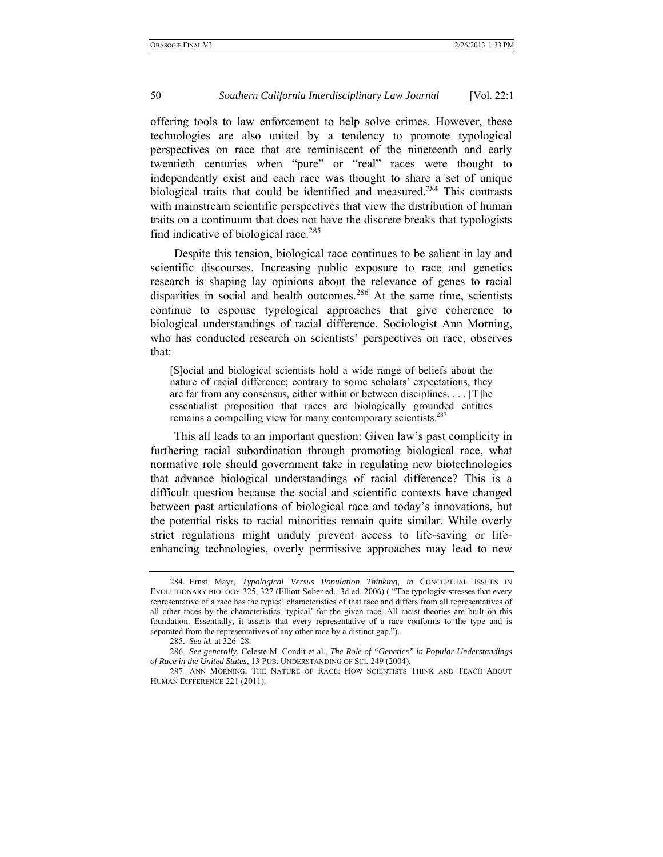offering tools to law enforcement to help solve crimes. However, these technologies are also united by a tendency to promote typological perspectives on race that are reminiscent of the nineteenth and early twentieth centuries when "pure" or "real" races were thought to independently exist and each race was thought to share a set of unique biological traits that could be identified and measured.<sup>284</sup> This contrasts with mainstream scientific perspectives that view the distribution of human traits on a continuum that does not have the discrete breaks that typologists find indicative of biological race.<sup>285</sup>

Despite this tension, biological race continues to be salient in lay and scientific discourses. Increasing public exposure to race and genetics research is shaping lay opinions about the relevance of genes to racial disparities in social and health outcomes.<sup>286</sup> At the same time, scientists continue to espouse typological approaches that give coherence to biological understandings of racial difference. Sociologist Ann Morning, who has conducted research on scientists' perspectives on race, observes that:

[S]ocial and biological scientists hold a wide range of beliefs about the nature of racial difference; contrary to some scholars' expectations, they are far from any consensus, either within or between disciplines. . . . [T]he essentialist proposition that races are biologically grounded entities remains a compelling view for many contemporary scientists.<sup>287</sup>

This all leads to an important question: Given law's past complicity in furthering racial subordination through promoting biological race, what normative role should government take in regulating new biotechnologies that advance biological understandings of racial difference? This is a difficult question because the social and scientific contexts have changed between past articulations of biological race and today's innovations, but the potential risks to racial minorities remain quite similar. While overly strict regulations might unduly prevent access to life-saving or lifeenhancing technologies, overly permissive approaches may lead to new

<sup>284.</sup> Ernst Mayr, *Typological Versus Population Thinking*, *in* CONCEPTUAL ISSUES IN EVOLUTIONARY BIOLOGY 325, 327 (Elliott Sober ed., 3d ed. 2006) ( "The typologist stresses that every representative of a race has the typical characteristics of that race and differs from all representatives of all other races by the characteristics 'typical' for the given race. All racist theories are built on this foundation. Essentially, it asserts that every representative of a race conforms to the type and is separated from the representatives of any other race by a distinct gap.").

<sup>285.</sup> *See id.* at 326–28.

<sup>286.</sup> *See generally*, Celeste M. Condit et al., *The Role of "Genetics" in Popular Understandings of Race in the United States*, 13 PUB. UNDERSTANDING OF SCI. 249 (2004).

<sup>287.</sup> ANN MORNING, THE NATURE OF RACE: HOW SCIENTISTS THINK AND TEACH ABOUT HUMAN DIFFERENCE 221 (2011).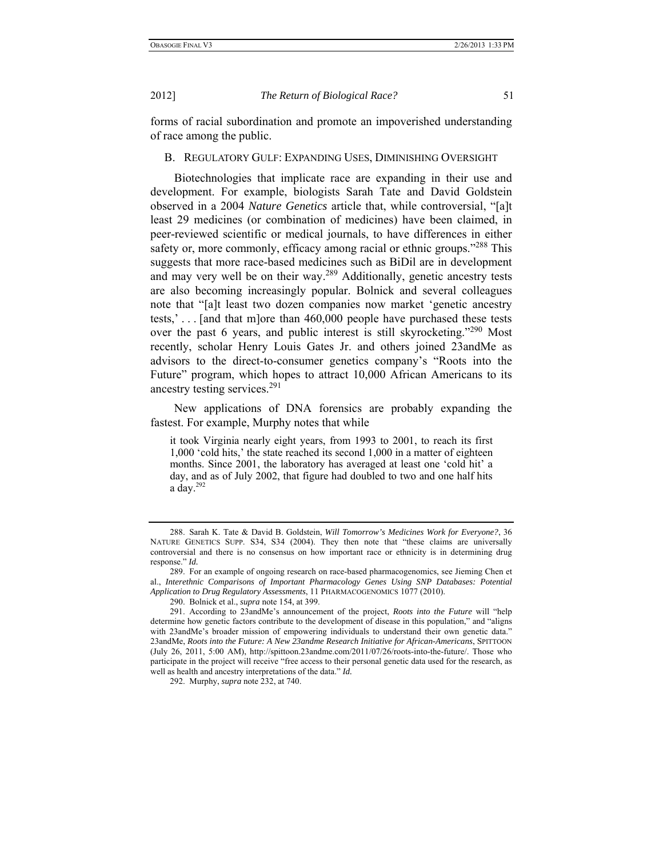forms of racial subordination and promote an impoverished understanding of race among the public.

B. REGULATORY GULF: EXPANDING USES, DIMINISHING OVERSIGHT

Biotechnologies that implicate race are expanding in their use and development. For example, biologists Sarah Tate and David Goldstein observed in a 2004 *Nature Genetics* article that, while controversial, "[a]t least 29 medicines (or combination of medicines) have been claimed, in peer-reviewed scientific or medical journals, to have differences in either safety or, more commonly, efficacy among racial or ethnic groups."<sup>288</sup> This suggests that more race-based medicines such as BiDil are in development and may very well be on their way.289 Additionally, genetic ancestry tests are also becoming increasingly popular. Bolnick and several colleagues note that "[a]t least two dozen companies now market 'genetic ancestry tests,' . . . [and that m]ore than 460,000 people have purchased these tests over the past 6 years, and public interest is still skyrocketing."<sup>290</sup> Most recently, scholar Henry Louis Gates Jr. and others joined 23andMe as advisors to the direct-to-consumer genetics company's "Roots into the Future" program, which hopes to attract 10,000 African Americans to its ancestry testing services.<sup>291</sup>

New applications of DNA forensics are probably expanding the fastest. For example, Murphy notes that while

it took Virginia nearly eight years, from 1993 to 2001, to reach its first 1,000 'cold hits,' the state reached its second 1,000 in a matter of eighteen months. Since 2001, the laboratory has averaged at least one 'cold hit' a day, and as of July 2002, that figure had doubled to two and one half hits a day.292

<sup>288.</sup> Sarah K. Tate & David B. Goldstein, *Will Tomorrow's Medicines Work for Everyone?*, 36 NATURE GENETICS SUPP. S34, S34 (2004). They then note that "these claims are universally controversial and there is no consensus on how important race or ethnicity is in determining drug response." *Id.*

<sup>289.</sup> For an example of ongoing research on race-based pharmacogenomics, see Jieming Chen et al., *Interethnic Comparisons of Important Pharmacology Genes Using SNP Databases: Potential Application to Drug Regulatory Assessments*, 11 PHARMACOGENOMICS 1077 (2010).

<sup>290.</sup> Bolnick et al., *supra* note 154, at 399.

<sup>291.</sup> According to 23andMe's announcement of the project, *Roots into the Future* will "help determine how genetic factors contribute to the development of disease in this population," and "aligns with 23andMe's broader mission of empowering individuals to understand their own genetic data." 23andMe, *Roots into the Future: A New 23andme Research Initiative for African-Americans*, SPITTOON (July 26, 2011, 5:00 AM), http://spittoon.23andme.com/2011/07/26/roots-into-the-future/. Those who participate in the project will receive "free access to their personal genetic data used for the research, as well as health and ancestry interpretations of the data." *Id.*

<sup>292.</sup> Murphy, *supra* note 232, at 740.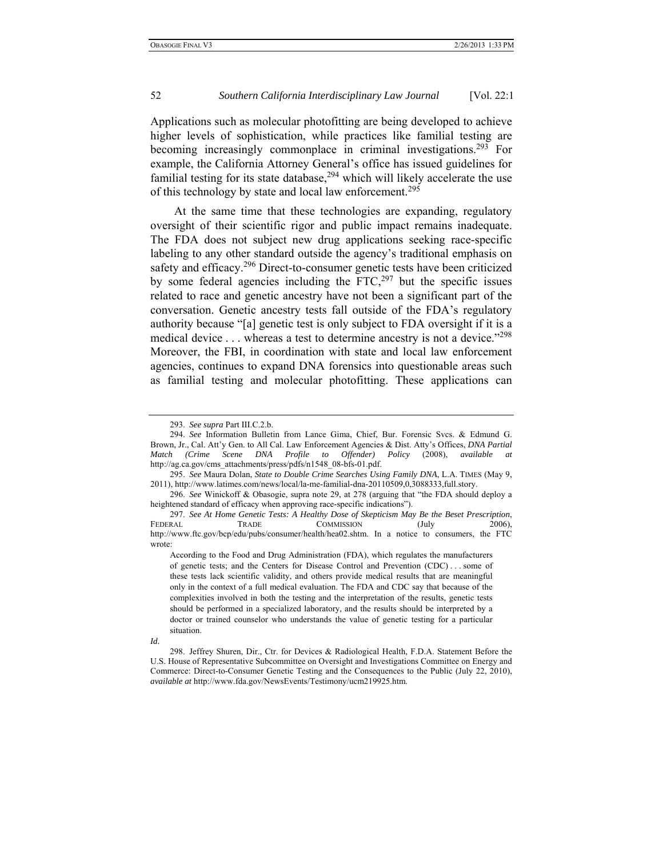Applications such as molecular photofitting are being developed to achieve higher levels of sophistication, while practices like familial testing are becoming increasingly commonplace in criminal investigations.<sup>293</sup> For example, the California Attorney General's office has issued guidelines for familial testing for its state database,  $294$  which will likely accelerate the use of this technology by state and local law enforcement.<sup>295</sup>

At the same time that these technologies are expanding, regulatory oversight of their scientific rigor and public impact remains inadequate. The FDA does not subject new drug applications seeking race-specific labeling to any other standard outside the agency's traditional emphasis on safety and efficacy.<sup>296</sup> Direct-to-consumer genetic tests have been criticized by some federal agencies including the  $FTC<sub>297</sub>$  but the specific issues related to race and genetic ancestry have not been a significant part of the conversation. Genetic ancestry tests fall outside of the FDA's regulatory authority because "[a] genetic test is only subject to FDA oversight if it is a medical device . . . whereas a test to determine ancestry is not a device."<sup>298</sup> Moreover, the FBI, in coordination with state and local law enforcement agencies, continues to expand DNA forensics into questionable areas such as familial testing and molecular photofitting. These applications can

<sup>293.</sup> *See supra* Part III.C.2.b.

<sup>294.</sup> *See* Information Bulletin from Lance Gima, Chief, Bur. Forensic Svcs. & Edmund G. Brown, Jr., Cal. Att'y Gen. to All Cal. Law Enforcement Agencies & Dist. Atty's Offices, *DNA Partial Match (Crime Scene DNA Profile to Offender) Policy* (2008), *available at*  http://ag.ca.gov/cms\_attachments/press/pdfs/n1548\_08-bfs-01.pdf.

<sup>295.</sup> *See* Maura Dolan, *State to Double Crime Searches Using Family DNA*, L.A. TIMES (May 9, 2011), http://www.latimes.com/news/local/la-me-familial-dna-20110509,0,3088333,full.story.

<sup>296.</sup> *See* Winickoff & Obasogie, supra note 29, at 278 (arguing that "the FDA should deploy a heightened standard of efficacy when approving race-specific indications").

<sup>297.</sup> *See At Home Genetic Tests: A Healthy Dose of Skepticism May Be the Beset Prescription*, FEDERAL TRADE COMMISSION (July 2006), http://www.ftc.gov/bcp/edu/pubs/consumer/health/hea02.shtm. In a notice to consumers, the FTC wrote:

According to the Food and Drug Administration (FDA), which regulates the manufacturers of genetic tests; and the Centers for Disease Control and Prevention (CDC) . . . some of these tests lack scientific validity, and others provide medical results that are meaningful only in the context of a full medical evaluation. The FDA and CDC say that because of the complexities involved in both the testing and the interpretation of the results, genetic tests should be performed in a specialized laboratory, and the results should be interpreted by a doctor or trained counselor who understands the value of genetic testing for a particular situation.

*Id.*

<sup>298.</sup> Jeffrey Shuren, Dir., Ctr. for Devices & Radiological Health, F.D.A. Statement Before the U.S. House of Representative Subcommittee on Oversight and Investigations Committee on Energy and Commerce: Direct-to-Consumer Genetic Testing and the Consequences to the Public (July 22, 2010), *available at* http://www.fda.gov/NewsEvents/Testimony/ucm219925.htm.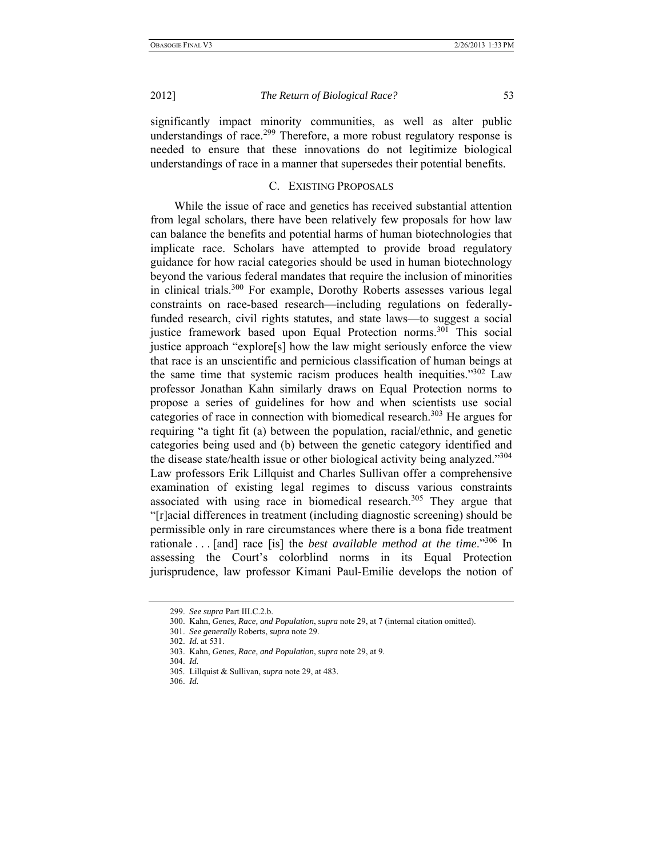significantly impact minority communities, as well as alter public understandings of race.<sup>299</sup> Therefore, a more robust regulatory response is needed to ensure that these innovations do not legitimize biological understandings of race in a manner that supersedes their potential benefits.

# C. EXISTING PROPOSALS

While the issue of race and genetics has received substantial attention from legal scholars, there have been relatively few proposals for how law can balance the benefits and potential harms of human biotechnologies that implicate race. Scholars have attempted to provide broad regulatory guidance for how racial categories should be used in human biotechnology beyond the various federal mandates that require the inclusion of minorities in clinical trials.300 For example, Dorothy Roberts assesses various legal constraints on race-based research—including regulations on federallyfunded research, civil rights statutes, and state laws—to suggest a social justice framework based upon Equal Protection norms.<sup>301</sup> This social justice approach "explore[s] how the law might seriously enforce the view that race is an unscientific and pernicious classification of human beings at the same time that systemic racism produces health inequities."<sup>302</sup> Law professor Jonathan Kahn similarly draws on Equal Protection norms to propose a series of guidelines for how and when scientists use social categories of race in connection with biomedical research.<sup>303</sup> He argues for requiring "a tight fit (a) between the population, racial/ethnic, and genetic categories being used and (b) between the genetic category identified and the disease state/health issue or other biological activity being analyzed."304 Law professors Erik Lillquist and Charles Sullivan offer a comprehensive examination of existing legal regimes to discuss various constraints associated with using race in biomedical research.<sup>305</sup> They argue that "[r]acial differences in treatment (including diagnostic screening) should be permissible only in rare circumstances where there is a bona fide treatment rationale . . . [and] race [is] the *best available method at the time*."306 In assessing the Court's colorblind norms in its Equal Protection jurisprudence, law professor Kimani Paul-Emilie develops the notion of

<sup>299.</sup> *See supra* Part III.C.2.b.

<sup>300.</sup> Kahn, *Genes, Race, and Population*, *supra* note 29, at 7 (internal citation omitted).

<sup>301.</sup> *See generally* Roberts, *supra* note 29.

<sup>302.</sup> *Id.* at 531.

<sup>303.</sup> Kahn, *Genes, Race, and Population*, *supra* note 29, at 9.

<sup>304.</sup> *Id.*

<sup>305.</sup> Lillquist & Sullivan, *supra* note 29, at 483.

<sup>306.</sup> *Id.*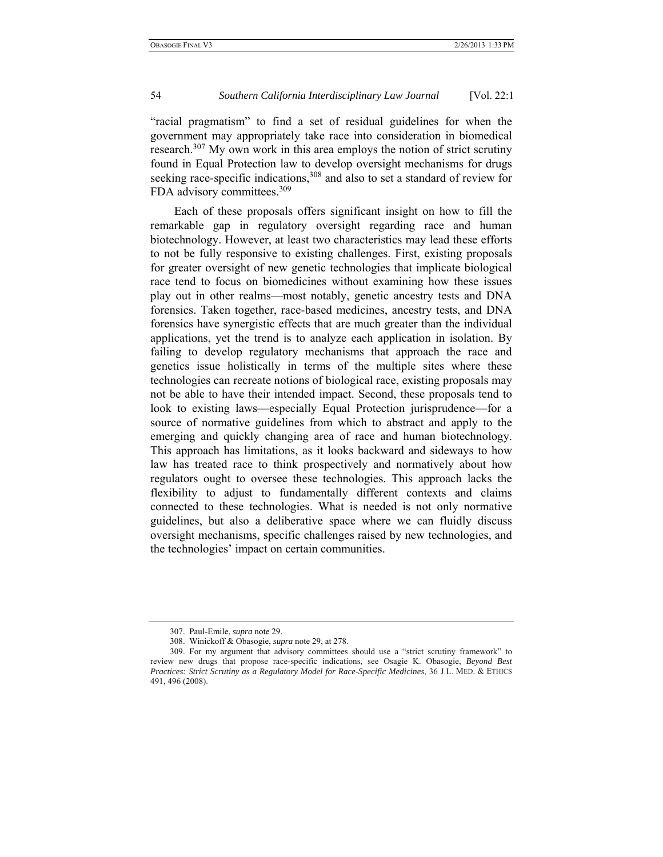"racial pragmatism" to find a set of residual guidelines for when the government may appropriately take race into consideration in biomedical research.<sup>307</sup> My own work in this area employs the notion of strict scrutiny found in Equal Protection law to develop oversight mechanisms for drugs seeking race-specific indications,<sup>308</sup> and also to set a standard of review for FDA advisory committees.<sup>309</sup>

Each of these proposals offers significant insight on how to fill the remarkable gap in regulatory oversight regarding race and human biotechnology. However, at least two characteristics may lead these efforts to not be fully responsive to existing challenges. First, existing proposals for greater oversight of new genetic technologies that implicate biological race tend to focus on biomedicines without examining how these issues play out in other realms—most notably, genetic ancestry tests and DNA forensics. Taken together, race-based medicines, ancestry tests, and DNA forensics have synergistic effects that are much greater than the individual applications, yet the trend is to analyze each application in isolation. By failing to develop regulatory mechanisms that approach the race and genetics issue holistically in terms of the multiple sites where these technologies can recreate notions of biological race, existing proposals may not be able to have their intended impact. Second, these proposals tend to look to existing laws—especially Equal Protection jurisprudence—for a source of normative guidelines from which to abstract and apply to the emerging and quickly changing area of race and human biotechnology. This approach has limitations, as it looks backward and sideways to how law has treated race to think prospectively and normatively about how regulators ought to oversee these technologies. This approach lacks the flexibility to adjust to fundamentally different contexts and claims connected to these technologies. What is needed is not only normative guidelines, but also a deliberative space where we can fluidly discuss oversight mechanisms, specific challenges raised by new technologies, and the technologies' impact on certain communities.

<sup>307.</sup> Paul-Emile, *supra* note 29.

<sup>308.</sup> Winickoff & Obasogie, *supra* note 29, at 278.

<sup>309.</sup> For my argument that advisory committees should use a "strict scrutiny framework" to review new drugs that propose race-specific indications, see Osagie K. Obasogie, *Beyond Best Practices: Strict Scrutiny as a Regulatory Model for Race-Specific Medicines*, 36 J.L. MED. & ETHICS 491, 496 (2008).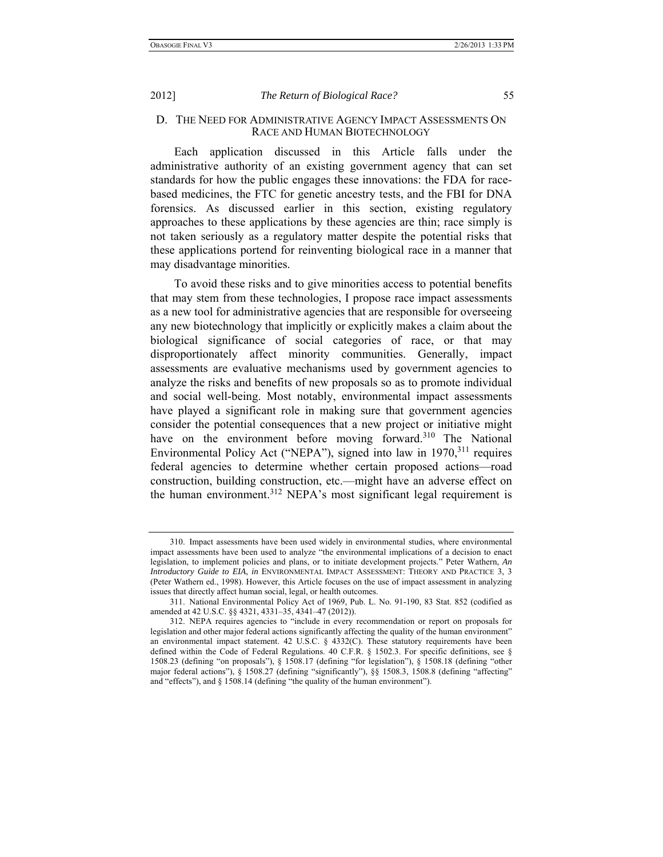D. THE NEED FOR ADMINISTRATIVE AGENCY IMPACT ASSESSMENTS ON RACE AND HUMAN BIOTECHNOLOGY

Each application discussed in this Article falls under the administrative authority of an existing government agency that can set standards for how the public engages these innovations: the FDA for racebased medicines, the FTC for genetic ancestry tests, and the FBI for DNA forensics. As discussed earlier in this section, existing regulatory approaches to these applications by these agencies are thin; race simply is not taken seriously as a regulatory matter despite the potential risks that these applications portend for reinventing biological race in a manner that may disadvantage minorities.

To avoid these risks and to give minorities access to potential benefits that may stem from these technologies, I propose race impact assessments as a new tool for administrative agencies that are responsible for overseeing any new biotechnology that implicitly or explicitly makes a claim about the biological significance of social categories of race, or that may disproportionately affect minority communities. Generally, impact assessments are evaluative mechanisms used by government agencies to analyze the risks and benefits of new proposals so as to promote individual and social well-being. Most notably, environmental impact assessments have played a significant role in making sure that government agencies consider the potential consequences that a new project or initiative might have on the environment before moving forward.<sup>310</sup> The National Environmental Policy Act ("NEPA"), signed into law in 1970,<sup>311</sup> requires federal agencies to determine whether certain proposed actions—road construction, building construction, etc.—might have an adverse effect on the human environment.<sup>312</sup> NEPA's most significant legal requirement is

<sup>310.</sup> Impact assessments have been used widely in environmental studies, where environmental impact assessments have been used to analyze "the environmental implications of a decision to enact legislation, to implement policies and plans, or to initiate development projects." Peter Wathern, *An Introductory Guide to EIA*, *in* ENVIRONMENTAL IMPACT ASSESSMENT: THEORY AND PRACTICE 3, 3 (Peter Wathern ed., 1998). However, this Article focuses on the use of impact assessment in analyzing issues that directly affect human social, legal, or health outcomes.

<sup>311.</sup> National Environmental Policy Act of 1969, Pub. L. No. 91-190, 83 Stat. 852 (codified as amended at 42 U.S.C. §§ 4321, 4331–35, 4341–47 (2012)).

<sup>312.</sup> NEPA requires agencies to "include in every recommendation or report on proposals for legislation and other major federal actions significantly affecting the quality of the human environment" an environmental impact statement. 42 U.S.C. § 4332(C). These statutory requirements have been defined within the Code of Federal Regulations. 40 C.F.R.  $\S$  1502.3. For specific definitions, see  $\S$ 1508.23 (defining "on proposals"), § 1508.17 (defining "for legislation"), § 1508.18 (defining "other major federal actions"), § 1508.27 (defining "significantly"), §§ 1508.3, 1508.8 (defining "affecting" and "effects"), and § 1508.14 (defining "the quality of the human environment").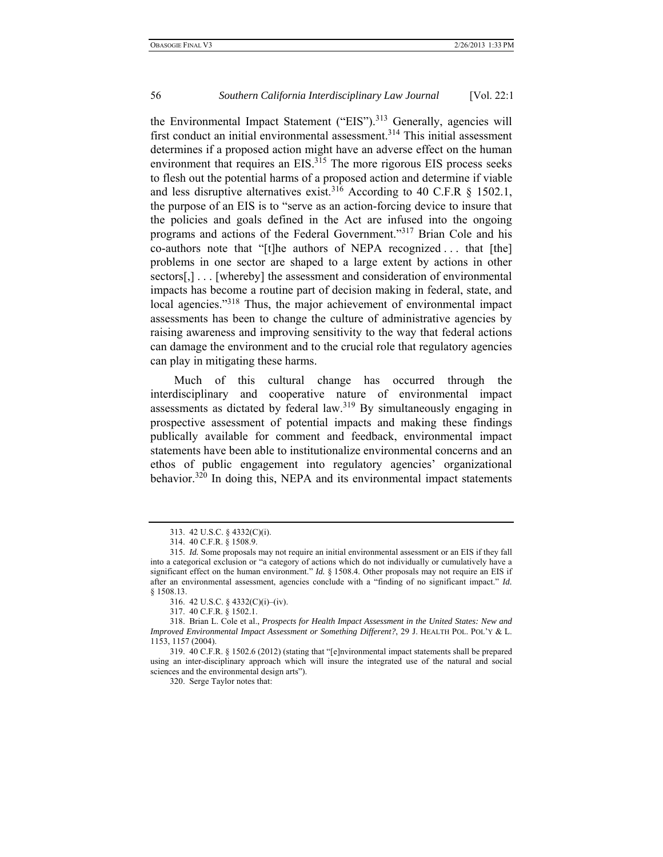the Environmental Impact Statement ("EIS").<sup>313</sup> Generally, agencies will first conduct an initial environmental assessment.<sup>314</sup> This initial assessment determines if a proposed action might have an adverse effect on the human environment that requires an EIS.<sup>315</sup> The more rigorous EIS process seeks to flesh out the potential harms of a proposed action and determine if viable and less disruptive alternatives exist.<sup>316</sup> According to 40 C.F.R  $\S$  1502.1, the purpose of an EIS is to "serve as an action-forcing device to insure that the policies and goals defined in the Act are infused into the ongoing programs and actions of the Federal Government."317 Brian Cole and his co-authors note that "[t]he authors of NEPA recognized . . . that [the] problems in one sector are shaped to a large extent by actions in other sectors[,] . . . [whereby] the assessment and consideration of environmental impacts has become a routine part of decision making in federal, state, and local agencies."<sup>318</sup> Thus, the major achievement of environmental impact assessments has been to change the culture of administrative agencies by raising awareness and improving sensitivity to the way that federal actions can damage the environment and to the crucial role that regulatory agencies can play in mitigating these harms.

Much of this cultural change has occurred through the interdisciplinary and cooperative nature of environmental impact assessments as dictated by federal law.<sup>319</sup> By simultaneously engaging in prospective assessment of potential impacts and making these findings publically available for comment and feedback, environmental impact statements have been able to institutionalize environmental concerns and an ethos of public engagement into regulatory agencies' organizational behavior.<sup>320</sup> In doing this, NEPA and its environmental impact statements

<sup>313. 42</sup> U.S.C. § 4332(C)(i).

<sup>314. 40</sup> C.F.R. § 1508.9.

<sup>315.</sup> *Id.* Some proposals may not require an initial environmental assessment or an EIS if they fall into a categorical exclusion or "a category of actions which do not individually or cumulatively have a significant effect on the human environment." *Id.* § 1508.4. Other proposals may not require an EIS if after an environmental assessment, agencies conclude with a "finding of no significant impact." *Id.*  § 1508.13.

<sup>316. 42</sup> U.S.C. § 4332(C)(i)–(iv).

<sup>317. 40</sup> C.F.R. § 1502.1.

<sup>318.</sup> Brian L. Cole et al., *Prospects for Health Impact Assessment in the United States: New and Improved Environmental Impact Assessment or Something Different?*, 29 J. HEALTH POL. POL'Y & L. 1153, 1157 (2004).

<sup>319. 40</sup> C.F.R. § 1502.6 (2012) (stating that "[e]nvironmental impact statements shall be prepared using an inter-disciplinary approach which will insure the integrated use of the natural and social sciences and the environmental design arts").

<sup>320.</sup> Serge Taylor notes that: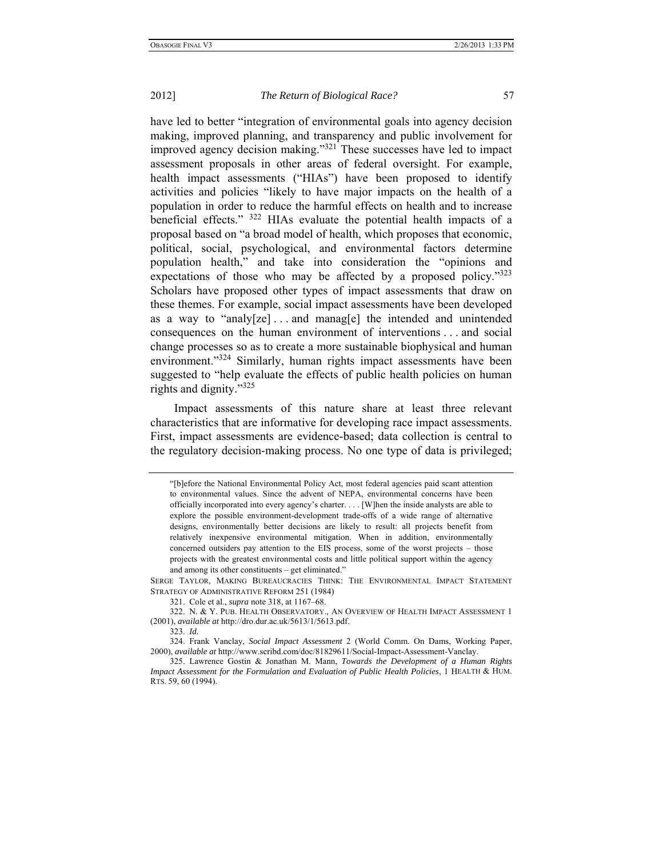have led to better "integration of environmental goals into agency decision making, improved planning, and transparency and public involvement for improved agency decision making."321 These successes have led to impact assessment proposals in other areas of federal oversight. For example, health impact assessments ("HIAs") have been proposed to identify activities and policies "likely to have major impacts on the health of a population in order to reduce the harmful effects on health and to increase beneficial effects." 322 HIAs evaluate the potential health impacts of a proposal based on "a broad model of health, which proposes that economic, political, social, psychological, and environmental factors determine population health," and take into consideration the "opinions and expectations of those who may be affected by a proposed policy." $323$ Scholars have proposed other types of impact assessments that draw on these themes. For example, social impact assessments have been developed as a way to "analy $[ze]$ ... and manag $[e]$  the intended and unintended consequences on the human environment of interventions . . . and social change processes so as to create a more sustainable biophysical and human environment."<sup>324</sup> Similarly, human rights impact assessments have been suggested to "help evaluate the effects of public health policies on human rights and dignity."325

Impact assessments of this nature share at least three relevant characteristics that are informative for developing race impact assessments. First, impact assessments are evidence-based; data collection is central to the regulatory decision-making process. No one type of data is privileged;

SERGE TAYLOR, MAKING BUREAUCRACIES THINK: THE ENVIRONMENTAL IMPACT STATEMENT STRATEGY OF ADMINISTRATIVE REFORM 251 (1984)

323. *Id.*

<sup>&</sup>quot;[b]efore the National Environmental Policy Act, most federal agencies paid scant attention to environmental values. Since the advent of NEPA, environmental concerns have been officially incorporated into every agency's charter. . . . [W]hen the inside analysts are able to explore the possible environment-development trade-offs of a wide range of alternative designs, environmentally better decisions are likely to result: all projects benefit from relatively inexpensive environmental mitigation. When in addition, environmentally concerned outsiders pay attention to the EIS process, some of the worst projects – those projects with the greatest environmental costs and little political support within the agency and among its other constituents – get eliminated."

<sup>321.</sup> Cole et al., *supra* note 318, at 1167–68.

<sup>322.</sup> N. & Y. PUB. HEALTH OBSERVATORY., AN OVERVIEW OF HEALTH IMPACT ASSESSMENT 1 (2001), *available at* http://dro.dur.ac.uk/5613/1/5613.pdf.

<sup>324.</sup> Frank Vanclay, *Social Impact Assessment* 2 (World Comm. On Dams, Working Paper, 2000), *available at* http://www.scribd.com/doc/81829611/Social-Impact-Assessment-Vanclay.

<sup>325.</sup> Lawrence Gostin & Jonathan M. Mann, *Towards the Development of a Human Rights Impact Assessment for the Formulation and Evaluation of Public Health Policies*, 1 HEALTH & HUM. RTS. 59, 60 (1994).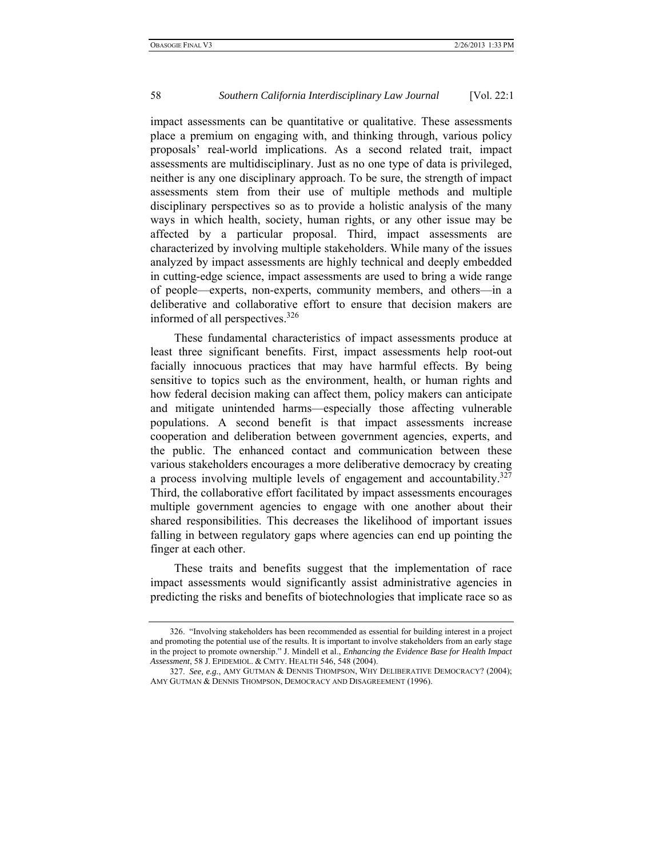impact assessments can be quantitative or qualitative. These assessments place a premium on engaging with, and thinking through, various policy proposals' real-world implications. As a second related trait, impact assessments are multidisciplinary. Just as no one type of data is privileged, neither is any one disciplinary approach. To be sure, the strength of impact assessments stem from their use of multiple methods and multiple disciplinary perspectives so as to provide a holistic analysis of the many ways in which health, society, human rights, or any other issue may be affected by a particular proposal. Third, impact assessments are characterized by involving multiple stakeholders. While many of the issues analyzed by impact assessments are highly technical and deeply embedded in cutting-edge science, impact assessments are used to bring a wide range of people—experts, non-experts, community members, and others—in a deliberative and collaborative effort to ensure that decision makers are informed of all perspectives.<sup>326</sup>

These fundamental characteristics of impact assessments produce at least three significant benefits. First, impact assessments help root-out facially innocuous practices that may have harmful effects. By being sensitive to topics such as the environment, health, or human rights and how federal decision making can affect them, policy makers can anticipate and mitigate unintended harms—especially those affecting vulnerable populations. A second benefit is that impact assessments increase cooperation and deliberation between government agencies, experts, and the public. The enhanced contact and communication between these various stakeholders encourages a more deliberative democracy by creating a process involving multiple levels of engagement and accountability. $327$ Third, the collaborative effort facilitated by impact assessments encourages multiple government agencies to engage with one another about their shared responsibilities. This decreases the likelihood of important issues falling in between regulatory gaps where agencies can end up pointing the finger at each other.

These traits and benefits suggest that the implementation of race impact assessments would significantly assist administrative agencies in predicting the risks and benefits of biotechnologies that implicate race so as

<sup>326. &</sup>quot;Involving stakeholders has been recommended as essential for building interest in a project and promoting the potential use of the results. It is important to involve stakeholders from an early stage in the project to promote ownership." J. Mindell et al., *Enhancing the Evidence Base for Health Impact Assessment*, 58 J. EPIDEMIOL. & CMTY. HEALTH 546, 548 (2004).

<sup>327.</sup> *See, e.g.*, AMY GUTMAN & DENNIS THOMPSON, WHY DELIBERATIVE DEMOCRACY? (2004); AMY GUTMAN & DENNIS THOMPSON, DEMOCRACY AND DISAGREEMENT (1996).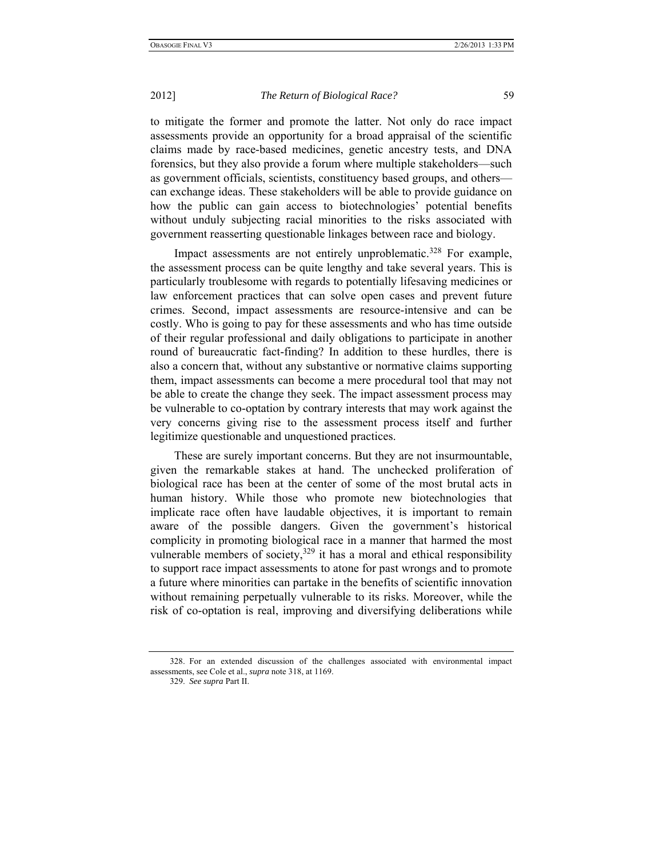to mitigate the former and promote the latter. Not only do race impact assessments provide an opportunity for a broad appraisal of the scientific claims made by race-based medicines, genetic ancestry tests, and DNA forensics, but they also provide a forum where multiple stakeholders—such as government officials, scientists, constituency based groups, and others can exchange ideas. These stakeholders will be able to provide guidance on how the public can gain access to biotechnologies' potential benefits without unduly subjecting racial minorities to the risks associated with government reasserting questionable linkages between race and biology.

Impact assessments are not entirely unproblematic.<sup>328</sup> For example, the assessment process can be quite lengthy and take several years. This is particularly troublesome with regards to potentially lifesaving medicines or law enforcement practices that can solve open cases and prevent future crimes. Second, impact assessments are resource-intensive and can be costly. Who is going to pay for these assessments and who has time outside of their regular professional and daily obligations to participate in another round of bureaucratic fact-finding? In addition to these hurdles, there is also a concern that, without any substantive or normative claims supporting them, impact assessments can become a mere procedural tool that may not be able to create the change they seek. The impact assessment process may be vulnerable to co-optation by contrary interests that may work against the very concerns giving rise to the assessment process itself and further legitimize questionable and unquestioned practices.

These are surely important concerns. But they are not insurmountable, given the remarkable stakes at hand. The unchecked proliferation of biological race has been at the center of some of the most brutal acts in human history. While those who promote new biotechnologies that implicate race often have laudable objectives, it is important to remain aware of the possible dangers. Given the government's historical complicity in promoting biological race in a manner that harmed the most vulnerable members of society,  $329$  it has a moral and ethical responsibility to support race impact assessments to atone for past wrongs and to promote a future where minorities can partake in the benefits of scientific innovation without remaining perpetually vulnerable to its risks. Moreover, while the risk of co-optation is real, improving and diversifying deliberations while

<sup>328.</sup> For an extended discussion of the challenges associated with environmental impact assessments, see Cole et al., *supra* note 318, at 1169.

<sup>329.</sup> *See supra* Part II.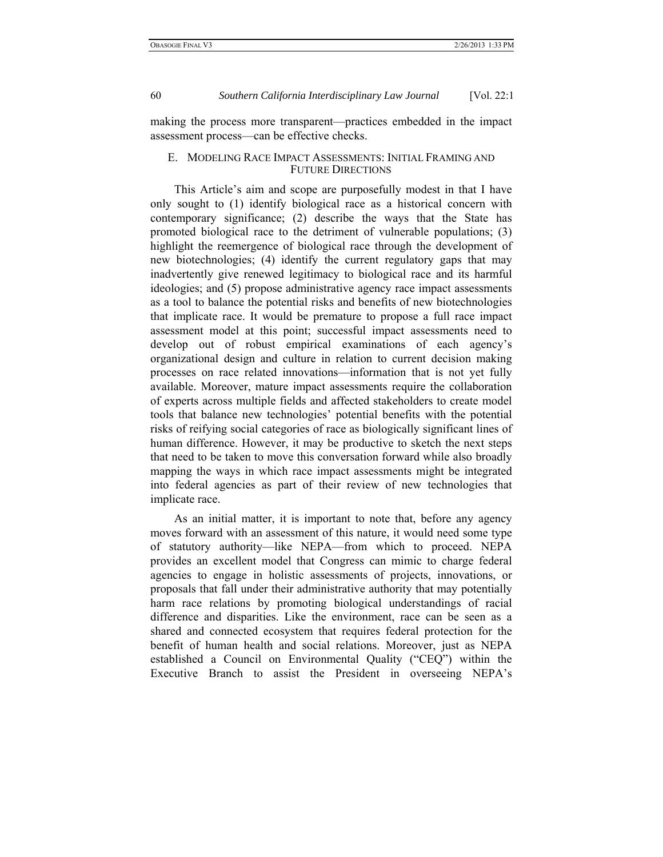making the process more transparent—practices embedded in the impact assessment process—can be effective checks.

# E. MODELING RACE IMPACT ASSESSMENTS: INITIAL FRAMING AND FUTURE DIRECTIONS

This Article's aim and scope are purposefully modest in that I have only sought to (1) identify biological race as a historical concern with contemporary significance; (2) describe the ways that the State has promoted biological race to the detriment of vulnerable populations; (3) highlight the reemergence of biological race through the development of new biotechnologies; (4) identify the current regulatory gaps that may inadvertently give renewed legitimacy to biological race and its harmful ideologies; and (5) propose administrative agency race impact assessments as a tool to balance the potential risks and benefits of new biotechnologies that implicate race. It would be premature to propose a full race impact assessment model at this point; successful impact assessments need to develop out of robust empirical examinations of each agency's organizational design and culture in relation to current decision making processes on race related innovations—information that is not yet fully available. Moreover, mature impact assessments require the collaboration of experts across multiple fields and affected stakeholders to create model tools that balance new technologies' potential benefits with the potential risks of reifying social categories of race as biologically significant lines of human difference. However, it may be productive to sketch the next steps that need to be taken to move this conversation forward while also broadly mapping the ways in which race impact assessments might be integrated into federal agencies as part of their review of new technologies that implicate race.

As an initial matter, it is important to note that, before any agency moves forward with an assessment of this nature, it would need some type of statutory authority—like NEPA—from which to proceed. NEPA provides an excellent model that Congress can mimic to charge federal agencies to engage in holistic assessments of projects, innovations, or proposals that fall under their administrative authority that may potentially harm race relations by promoting biological understandings of racial difference and disparities. Like the environment, race can be seen as a shared and connected ecosystem that requires federal protection for the benefit of human health and social relations. Moreover, just as NEPA established a Council on Environmental Quality ("CEQ") within the Executive Branch to assist the President in overseeing NEPA's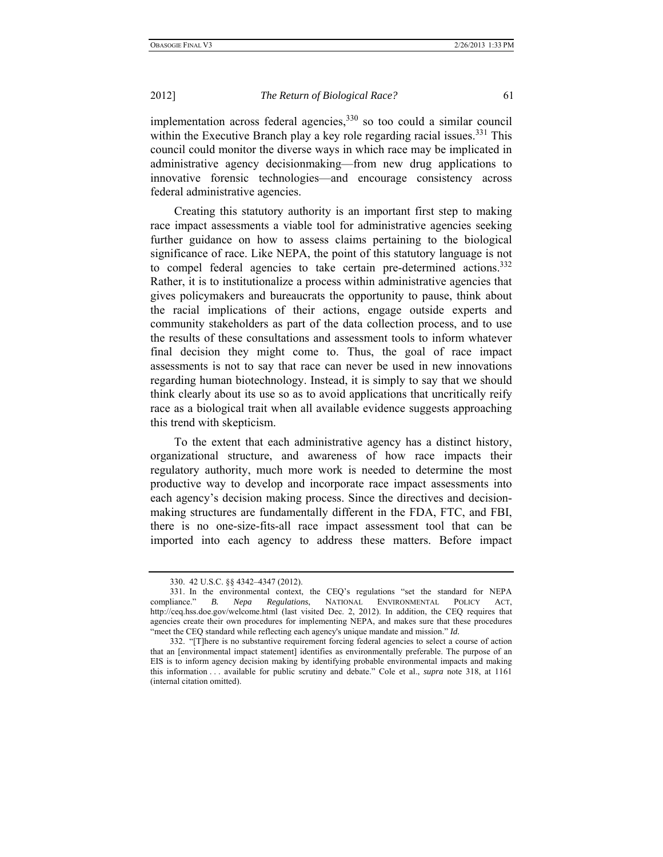implementation across federal agencies, $330$  so too could a similar council within the Executive Branch play a key role regarding racial issues.<sup>331</sup> This council could monitor the diverse ways in which race may be implicated in administrative agency decisionmaking—from new drug applications to innovative forensic technologies—and encourage consistency across federal administrative agencies.

Creating this statutory authority is an important first step to making race impact assessments a viable tool for administrative agencies seeking further guidance on how to assess claims pertaining to the biological significance of race. Like NEPA, the point of this statutory language is not to compel federal agencies to take certain pre-determined actions.<sup>332</sup> Rather, it is to institutionalize a process within administrative agencies that gives policymakers and bureaucrats the opportunity to pause, think about the racial implications of their actions, engage outside experts and community stakeholders as part of the data collection process, and to use the results of these consultations and assessment tools to inform whatever final decision they might come to. Thus, the goal of race impact assessments is not to say that race can never be used in new innovations regarding human biotechnology. Instead, it is simply to say that we should think clearly about its use so as to avoid applications that uncritically reify race as a biological trait when all available evidence suggests approaching this trend with skepticism.

To the extent that each administrative agency has a distinct history, organizational structure, and awareness of how race impacts their regulatory authority, much more work is needed to determine the most productive way to develop and incorporate race impact assessments into each agency's decision making process. Since the directives and decisionmaking structures are fundamentally different in the FDA, FTC, and FBI, there is no one-size-fits-all race impact assessment tool that can be imported into each agency to address these matters. Before impact

<sup>330. 42</sup> U.S.C. §§ 4342–4347 (2012).

<sup>331.</sup> In the environmental context, the CEQ's regulations "set the standard for NEPA compliance." *B. Nepa Regulations*, NATIONAL ENVIRONMENTAL POLICY ACT, http://ceq.hss.doe.gov/welcome.html (last visited Dec. 2, 2012). In addition, the CEQ requires that agencies create their own procedures for implementing NEPA, and makes sure that these procedures "meet the CEQ standard while reflecting each agency's unique mandate and mission." *Id.* 

<sup>332. &</sup>quot;[T]here is no substantive requirement forcing federal agencies to select a course of action that an [environmental impact statement] identifies as environmentally preferable. The purpose of an EIS is to inform agency decision making by identifying probable environmental impacts and making this information . . . available for public scrutiny and debate." Cole et al., *supra* note 318, at 1161 (internal citation omitted).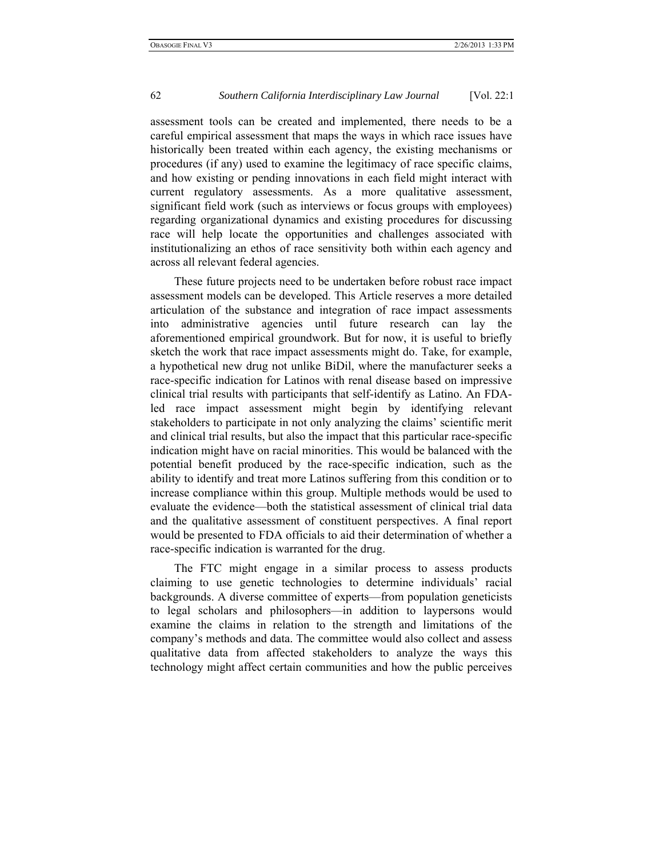assessment tools can be created and implemented, there needs to be a careful empirical assessment that maps the ways in which race issues have historically been treated within each agency, the existing mechanisms or procedures (if any) used to examine the legitimacy of race specific claims, and how existing or pending innovations in each field might interact with current regulatory assessments. As a more qualitative assessment, significant field work (such as interviews or focus groups with employees) regarding organizational dynamics and existing procedures for discussing race will help locate the opportunities and challenges associated with institutionalizing an ethos of race sensitivity both within each agency and across all relevant federal agencies.

These future projects need to be undertaken before robust race impact assessment models can be developed. This Article reserves a more detailed articulation of the substance and integration of race impact assessments into administrative agencies until future research can lay the aforementioned empirical groundwork. But for now, it is useful to briefly sketch the work that race impact assessments might do. Take, for example, a hypothetical new drug not unlike BiDil, where the manufacturer seeks a race-specific indication for Latinos with renal disease based on impressive clinical trial results with participants that self-identify as Latino. An FDAled race impact assessment might begin by identifying relevant stakeholders to participate in not only analyzing the claims' scientific merit and clinical trial results, but also the impact that this particular race-specific indication might have on racial minorities. This would be balanced with the potential benefit produced by the race-specific indication, such as the ability to identify and treat more Latinos suffering from this condition or to increase compliance within this group. Multiple methods would be used to evaluate the evidence—both the statistical assessment of clinical trial data and the qualitative assessment of constituent perspectives. A final report would be presented to FDA officials to aid their determination of whether a race-specific indication is warranted for the drug.

The FTC might engage in a similar process to assess products claiming to use genetic technologies to determine individuals' racial backgrounds. A diverse committee of experts—from population geneticists to legal scholars and philosophers—in addition to laypersons would examine the claims in relation to the strength and limitations of the company's methods and data. The committee would also collect and assess qualitative data from affected stakeholders to analyze the ways this technology might affect certain communities and how the public perceives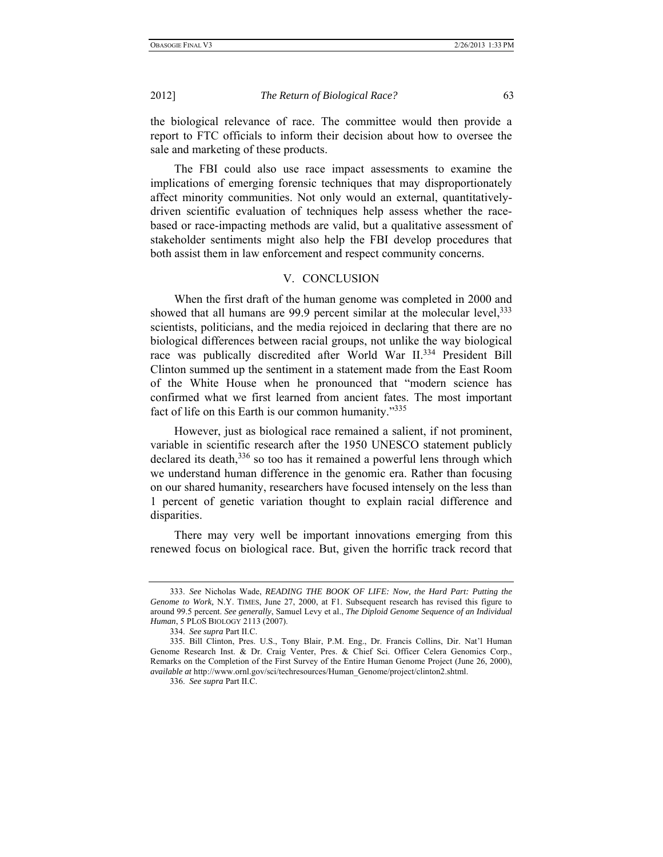the biological relevance of race. The committee would then provide a report to FTC officials to inform their decision about how to oversee the sale and marketing of these products.

The FBI could also use race impact assessments to examine the implications of emerging forensic techniques that may disproportionately affect minority communities. Not only would an external, quantitativelydriven scientific evaluation of techniques help assess whether the racebased or race-impacting methods are valid, but a qualitative assessment of stakeholder sentiments might also help the FBI develop procedures that both assist them in law enforcement and respect community concerns.

# V. CONCLUSION

When the first draft of the human genome was completed in 2000 and showed that all humans are 99.9 percent similar at the molecular level,  $333$ scientists, politicians, and the media rejoiced in declaring that there are no biological differences between racial groups, not unlike the way biological race was publically discredited after World War II.<sup>334</sup> President Bill Clinton summed up the sentiment in a statement made from the East Room of the White House when he pronounced that "modern science has confirmed what we first learned from ancient fates. The most important fact of life on this Earth is our common humanity."<sup>335</sup>

However, just as biological race remained a salient, if not prominent, variable in scientific research after the 1950 UNESCO statement publicly declared its death,<sup>336</sup> so too has it remained a powerful lens through which we understand human difference in the genomic era. Rather than focusing on our shared humanity, researchers have focused intensely on the less than 1 percent of genetic variation thought to explain racial difference and disparities.

There may very well be important innovations emerging from this renewed focus on biological race. But, given the horrific track record that

<sup>333.</sup> *See* Nicholas Wade, *READING THE BOOK OF LIFE: Now, the Hard Part: Putting the Genome to Work,* N.Y. TIMES, June 27, 2000, at F1. Subsequent research has revised this figure to around 99.5 percent. *See generally*, Samuel Levy et al., *The Diploid Genome Sequence of an Individual Human*, 5 PLOS BIOLOGY 2113 (2007).

<sup>334.</sup> *See supra* Part II.C.

<sup>335.</sup> Bill Clinton, Pres. U.S., Tony Blair, P.M. Eng., Dr. Francis Collins, Dir. Nat'l Human Genome Research Inst. & Dr. Craig Venter, Pres. & Chief Sci. Officer Celera Genomics Corp., Remarks on the Completion of the First Survey of the Entire Human Genome Project (June 26, 2000), *available at* http://www.ornl.gov/sci/techresources/Human\_Genome/project/clinton2.shtml.

<sup>336.</sup> *See supra* Part II.C.